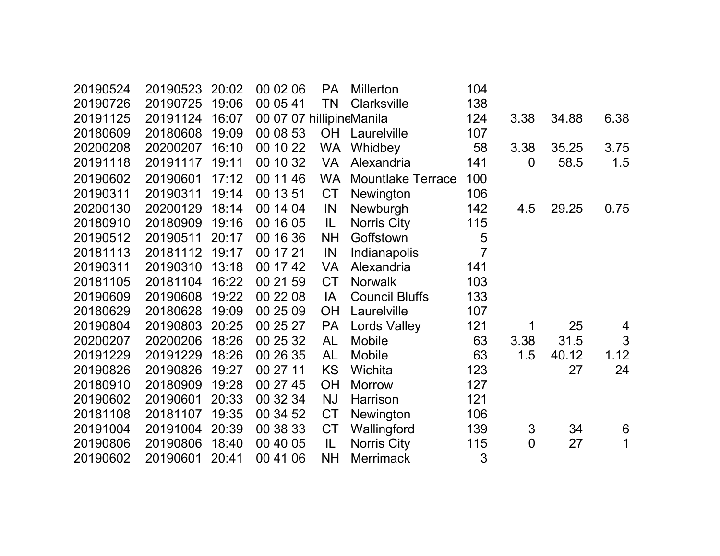| 20190524 | 20190523 | 20:02 | 00 02 06                 | <b>PA</b> | <b>Millerton</b>         | 104            |                |       |      |
|----------|----------|-------|--------------------------|-----------|--------------------------|----------------|----------------|-------|------|
| 20190726 | 20190725 | 19:06 | 00 05 41                 | TN        | <b>Clarksville</b>       | 138            |                |       |      |
| 20191125 | 20191124 | 16:07 | 00 07 07 hillipineManila |           |                          | 124            | 3.38           | 34.88 | 6.38 |
| 20180609 | 20180608 | 19:09 | 00 08 53                 |           | <b>OH</b> Laurelville    | 107            |                |       |      |
| 20200208 | 20200207 | 16:10 | 00 10 22                 | <b>WA</b> | Whidbey                  | 58             | 3.38           | 35.25 | 3.75 |
| 20191118 | 20191117 | 19:11 | 00 10 32                 | <b>VA</b> | Alexandria               | 141            | 0              | 58.5  | 1.5  |
| 20190602 | 20190601 | 17:12 | 00 11 46                 | <b>WA</b> | <b>Mountlake Terrace</b> | 100            |                |       |      |
| 20190311 | 20190311 | 19:14 | 00 13 51                 | <b>CT</b> | Newington                | 106            |                |       |      |
| 20200130 | 20200129 | 18:14 | 00 14 04                 | IN        | Newburgh                 | 142            | 4.5            | 29.25 | 0.75 |
| 20180910 | 20180909 | 19:16 | 00 16 05                 | IL        | Norris City              | 115            |                |       |      |
| 20190512 | 20190511 | 20:17 | 00 16 36                 | <b>NH</b> | Goffstown                | 5              |                |       |      |
| 20181113 | 20181112 | 19:17 | 00 17 21                 | IN        | Indianapolis             | $\overline{7}$ |                |       |      |
| 20190311 | 20190310 | 13:18 | 00 17 42                 | <b>VA</b> | Alexandria               | 141            |                |       |      |
| 20181105 | 20181104 | 16:22 | 00 21 59                 | <b>CT</b> | <b>Norwalk</b>           | 103            |                |       |      |
| 20190609 | 20190608 | 19:22 | 00 22 08                 | IA        | <b>Council Bluffs</b>    | 133            |                |       |      |
| 20180629 | 20180628 | 19:09 | 00 25 09                 | <b>OH</b> | Laurelville              | 107            |                |       |      |
| 20190804 | 20190803 | 20:25 | 00 25 27                 | <b>PA</b> | <b>Lords Valley</b>      | 121            | 1              | 25    | 4    |
| 20200207 | 20200206 | 18:26 | 00 25 32                 | <b>AL</b> | <b>Mobile</b>            | 63             | 3.38           | 31.5  | 3    |
| 20191229 | 20191229 | 18:26 | 00 26 35                 | AL        | <b>Mobile</b>            | 63             | 1.5            | 40.12 | 1.12 |
| 20190826 | 20190826 | 19:27 | 00 27 11                 | <b>KS</b> | Wichita                  | 123            |                | 27    | 24   |
| 20180910 | 20180909 | 19:28 | 00 27 45                 | <b>OH</b> | <b>Morrow</b>            | 127            |                |       |      |
| 20190602 | 20190601 | 20:33 | 00 32 34                 | <b>NJ</b> | Harrison                 | 121            |                |       |      |
| 20181108 | 20181107 | 19:35 | 00 34 52                 | <b>CT</b> | Newington                | 106            |                |       |      |
| 20191004 | 20191004 | 20:39 | 00 38 33                 | <b>CT</b> | Wallingford              | 139            | $\mathfrak{S}$ | 34    | 6    |
| 20190806 | 20190806 | 18:40 | 00 40 05                 | IL        | Norris City              | 115            | $\overline{0}$ | 27    | 1    |
| 20190602 | 20190601 | 20:41 | 00 41 06                 | <b>NH</b> | <b>Merrimack</b>         | 3              |                |       |      |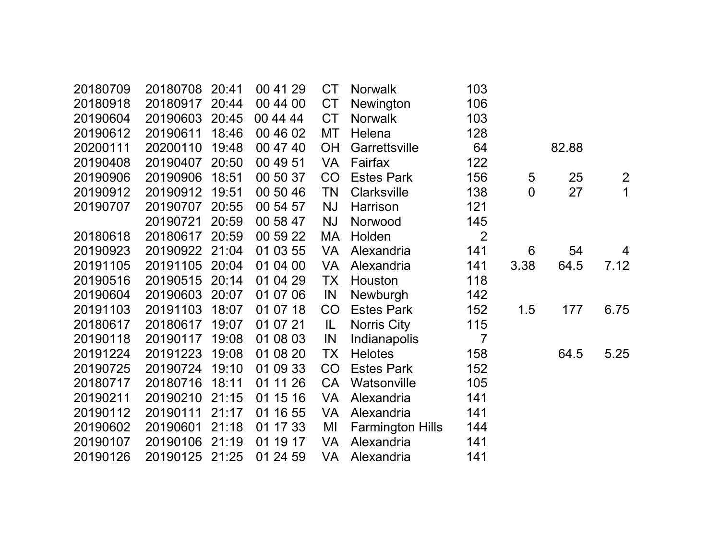| 20180709 | 20180708       | 20:41 | 00 41 29 | <b>CT</b> | <b>Norwalk</b>          | 103            |                |       |                |
|----------|----------------|-------|----------|-----------|-------------------------|----------------|----------------|-------|----------------|
| 20180918 | 20180917       | 20:44 | 00 44 00 | <b>CT</b> | Newington               | 106            |                |       |                |
| 20190604 | 20190603       | 20:45 | 00 44 44 | <b>CT</b> | <b>Norwalk</b>          | 103            |                |       |                |
| 20190612 | 20190611       | 18:46 | 00 46 02 | MT        | Helena                  | 128            |                |       |                |
| 20200111 | 20200110       | 19:48 | 00 47 40 | <b>OH</b> | Garrettsville           | 64             |                | 82.88 |                |
| 20190408 | 20190407       | 20:50 | 00 49 51 | <b>VA</b> | Fairfax                 | 122            |                |       |                |
| 20190906 | 20190906       | 18:51 | 00 50 37 | CO        | <b>Estes Park</b>       | 156            | 5              | 25    | $\overline{2}$ |
| 20190912 | 20190912       | 19:51 | 00 50 46 | <b>TN</b> | <b>Clarksville</b>      | 138            | $\overline{0}$ | 27    | $\mathbf 1$    |
| 20190707 | 20190707       | 20:55 | 00 54 57 | <b>NJ</b> | Harrison                | 121            |                |       |                |
|          | 20190721       | 20:59 | 00 58 47 | <b>NJ</b> | Norwood                 | 145            |                |       |                |
| 20180618 | 20180617       | 20:59 | 00 59 22 | MA        | Holden                  | $\overline{2}$ |                |       |                |
| 20190923 | 20190922 21:04 |       | 01 03 55 | <b>VA</b> | Alexandria              | 141            | 6              | 54    | 4              |
| 20191105 | 20191105       | 20:04 | 01 04 00 | <b>VA</b> | Alexandria              | 141            | 3.38           | 64.5  | 7.12           |
| 20190516 | 20190515       | 20:14 | 01 04 29 | TX        | Houston                 | 118            |                |       |                |
| 20190604 | 20190603       | 20:07 | 01 07 06 | IN        | Newburgh                | 142            |                |       |                |
| 20191103 | 20191103       | 18:07 | 01 07 18 | CO        | <b>Estes Park</b>       | 152            | 1.5            | 177   | 6.75           |
| 20180617 | 20180617       | 19:07 | 01 07 21 | IL.       | Norris City             | 115            |                |       |                |
| 20190118 | 20190117       | 19:08 | 01 08 03 | IN        | Indianapolis            | $\overline{7}$ |                |       |                |
| 20191224 | 20191223       | 19:08 | 01 08 20 | TX        | <b>Helotes</b>          | 158            |                | 64.5  | 5.25           |
| 20190725 | 20190724       | 19:10 | 01 09 33 | CO        | <b>Estes Park</b>       | 152            |                |       |                |
| 20180717 | 20180716       | 18:11 | 01 11 26 | <b>CA</b> | Watsonville             | 105            |                |       |                |
| 20190211 | 20190210       | 21:15 | 01 15 16 | <b>VA</b> | Alexandria              | 141            |                |       |                |
| 20190112 | 20190111       | 21:17 | 01 16 55 | <b>VA</b> | Alexandria              | 141            |                |       |                |
| 20190602 | 20190601       | 21:18 | 01 17 33 | MI        | <b>Farmington Hills</b> | 144            |                |       |                |
| 20190107 | 20190106       | 21:19 | 01 19 17 | <b>VA</b> | Alexandria              | 141            |                |       |                |
| 20190126 | 20190125       | 21:25 | 01 24 59 | VA        | Alexandria              | 141            |                |       |                |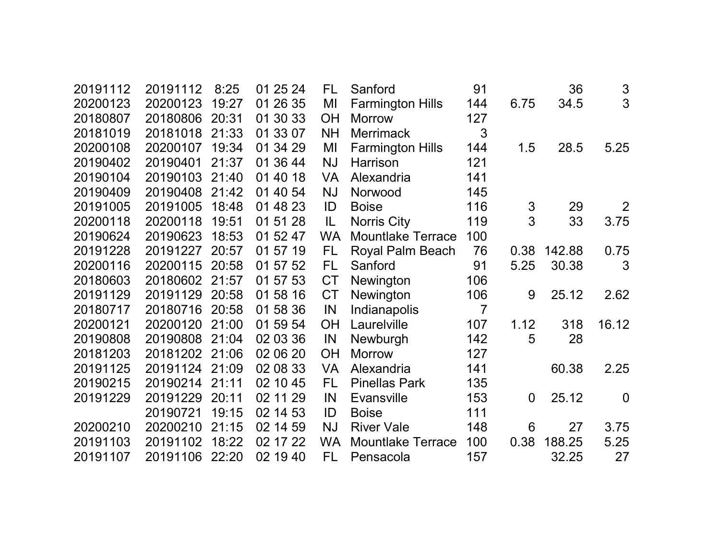| 20191112 | 20191112 | 8:25  | 01 25 24 | FL        | Sanford                  | 91             |                | 36     | $\mathfrak{S}% _{CS}^{ab}(A)$ |
|----------|----------|-------|----------|-----------|--------------------------|----------------|----------------|--------|-------------------------------|
| 20200123 | 20200123 | 19:27 | 01 26 35 | MI        | <b>Farmington Hills</b>  | 144            | 6.75           | 34.5   | 3                             |
| 20180807 | 20180806 | 20:31 | 01 30 33 | <b>OH</b> | <b>Morrow</b>            | 127            |                |        |                               |
| 20181019 | 20181018 | 21:33 | 01 33 07 | <b>NH</b> | <b>Merrimack</b>         | 3              |                |        |                               |
| 20200108 | 20200107 | 19:34 | 01 34 29 | MI        | <b>Farmington Hills</b>  | 144            | 1.5            | 28.5   | 5.25                          |
| 20190402 | 20190401 | 21:37 | 01 36 44 | <b>NJ</b> | Harrison                 | 121            |                |        |                               |
| 20190104 | 20190103 | 21:40 | 01 40 18 | <b>VA</b> | Alexandria               | 141            |                |        |                               |
| 20190409 | 20190408 | 21:42 | 01 40 54 | <b>NJ</b> | Norwood                  | 145            |                |        |                               |
| 20191005 | 20191005 | 18:48 | 01 48 23 | ID        | <b>Boise</b>             | 116            | 3              | 29     | 2                             |
| 20200118 | 20200118 | 19:51 | 01 51 28 | IL        | <b>Norris City</b>       | 119            | 3              | 33     | 3.75                          |
| 20190624 | 20190623 | 18:53 | 01 52 47 | <b>WA</b> | <b>Mountlake Terrace</b> | 100            |                |        |                               |
| 20191228 | 20191227 | 20:57 | 01 57 19 | FL.       | Royal Palm Beach         | 76             | 0.38           | 142.88 | 0.75                          |
| 20200116 | 20200115 | 20:58 | 01 57 52 | FL        | Sanford                  | 91             | 5.25           | 30.38  | 3                             |
| 20180603 | 20180602 | 21:57 | 01 57 53 | <b>CT</b> | Newington                | 106            |                |        |                               |
| 20191129 | 20191129 | 20:58 | 01 58 16 | <b>CT</b> | Newington                | 106            | 9              | 25.12  | 2.62                          |
| 20180717 | 20180716 | 20:58 | 01 58 36 | IN        | Indianapolis             | $\overline{7}$ |                |        |                               |
| 20200121 | 20200120 | 21:00 | 01 59 54 | <b>OH</b> | Laurelville              | 107            | 1.12           | 318    | 16.12                         |
| 20190808 | 20190808 | 21:04 | 02 03 36 | IN        | Newburgh                 | 142            | 5              | 28     |                               |
| 20181203 | 20181202 | 21:06 | 02 06 20 | <b>OH</b> | <b>Morrow</b>            | 127            |                |        |                               |
| 20191125 | 20191124 | 21:09 | 02 08 33 | <b>VA</b> | Alexandria               | 141            |                | 60.38  | 2.25                          |
| 20190215 | 20190214 | 21:11 | 02 10 45 | FL        | <b>Pinellas Park</b>     | 135            |                |        |                               |
| 20191229 | 20191229 | 20:11 | 02 11 29 | IN        | <b>Evansville</b>        | 153            | $\overline{0}$ | 25.12  | $\overline{0}$                |
|          | 20190721 | 19:15 | 02 14 53 | ID        | <b>Boise</b>             | 111            |                |        |                               |
| 20200210 | 20200210 | 21:15 | 02 14 59 | <b>NJ</b> | <b>River Vale</b>        | 148            | 6              | 27     | 3.75                          |
| 20191103 | 20191102 | 18:22 | 02 17 22 | <b>WA</b> | <b>Mountlake Terrace</b> | 100            | 0.38           | 188.25 | 5.25                          |
| 20191107 | 20191106 | 22:20 | 02 19 40 | FL        | Pensacola                | 157            |                | 32.25  | 27                            |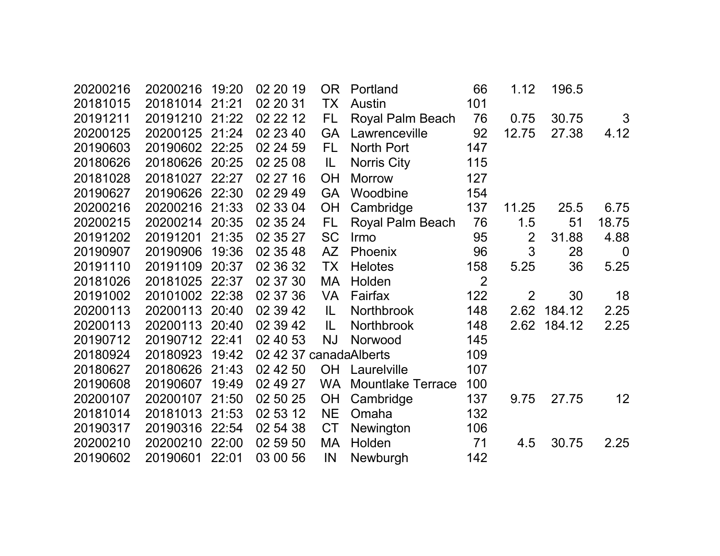| 20200216 | 20200216 | 19:20 | 02 20 19               | OR.       | Portland                 | 66             | 1.12           | 196.5  |             |
|----------|----------|-------|------------------------|-----------|--------------------------|----------------|----------------|--------|-------------|
| 20181015 | 20181014 | 21:21 | 02 20 31               | TX        | Austin                   | 101            |                |        |             |
| 20191211 | 20191210 | 21:22 | 02 22 12               | FL.       | Royal Palm Beach         | 76             | 0.75           | 30.75  | 3           |
| 20200125 | 20200125 | 21:24 | 02 23 40               | <b>GA</b> | Lawrenceville            | 92             | 12.75          | 27.38  | 4.12        |
| 20190603 | 20190602 | 22:25 | 02 24 59               | FL.       | North Port               | 147            |                |        |             |
| 20180626 | 20180626 | 20:25 | 02 25 08               | IL        | <b>Norris City</b>       | 115            |                |        |             |
| 20181028 | 20181027 | 22:27 | 02 27 16               | <b>OH</b> | <b>Morrow</b>            | 127            |                |        |             |
| 20190627 | 20190626 | 22:30 | 02 29 49               | <b>GA</b> | Woodbine                 | 154            |                |        |             |
| 20200216 | 20200216 | 21:33 | 02 33 04               | OH        | Cambridge                | 137            | 11.25          | 25.5   | 6.75        |
| 20200215 | 20200214 | 20:35 | 02 35 24               | FL.       | Royal Palm Beach         | 76             | 1.5            | 51     | 18.75       |
| 20191202 | 20191201 | 21:35 | 02 35 27               | <b>SC</b> | Irmo                     | 95             | $\overline{2}$ | 31.88  | 4.88        |
| 20190907 | 20190906 | 19:36 | 02 35 48               | AZ        | Phoenix                  | 96             | 3              | 28     | $\mathbf 0$ |
| 20191110 | 20191109 | 20:37 | 02 36 32               | <b>TX</b> | <b>Helotes</b>           | 158            | 5.25           | 36     | 5.25        |
| 20181026 | 20181025 | 22:37 | 02 37 30               | MA        | Holden                   | $\overline{2}$ |                |        |             |
| 20191002 | 20101002 | 22:38 | 02 37 36               | <b>VA</b> | Fairfax                  | 122            | $\overline{2}$ | 30     | 18          |
| 20200113 | 20200113 | 20:40 | 02 39 42               | IL.       | Northbrook               | 148            | 2.62           | 184.12 | 2.25        |
| 20200113 | 20200113 | 20:40 | 02 39 42               | IL        | Northbrook               | 148            | 2.62           | 184.12 | 2.25        |
| 20190712 | 20190712 | 22:41 | 02 40 53               | <b>NJ</b> | Norwood                  | 145            |                |        |             |
| 20180924 | 20180923 | 19:42 | 02 42 37 canadaAlberts |           |                          | 109            |                |        |             |
| 20180627 | 20180626 | 21:43 | 02 42 50               | <b>OH</b> | Laurelville              | 107            |                |        |             |
| 20190608 | 20190607 | 19:49 | 02 49 27               | <b>WA</b> | <b>Mountlake Terrace</b> | 100            |                |        |             |
| 20200107 | 20200107 | 21:50 | 02 50 25               | <b>OH</b> | Cambridge                | 137            | 9.75           | 27.75  | 12          |
| 20181014 | 20181013 | 21:53 | 02 53 12               | <b>NE</b> | Omaha                    | 132            |                |        |             |
| 20190317 | 20190316 | 22:54 | 02 54 38               | <b>CT</b> | Newington                | 106            |                |        |             |
| 20200210 | 20200210 | 22:00 | 02 59 50               | MA        | Holden                   | 71             | 4.5            | 30.75  | 2.25        |
| 20190602 | 20190601 | 22:01 | 03 00 56               | IN        | Newburgh                 | 142            |                |        |             |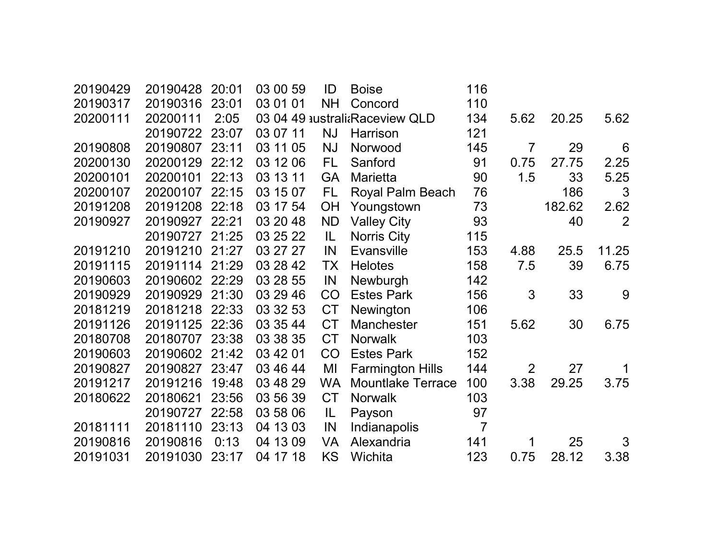| 20190429 | 20190428 | 20:01 | 03 00 59 | ID        | <b>Boise</b>                   | 116            |                |        |       |
|----------|----------|-------|----------|-----------|--------------------------------|----------------|----------------|--------|-------|
| 20190317 | 20190316 | 23:01 | 03 01 01 | <b>NH</b> | Concord                        | 110            |                |        |       |
| 20200111 | 20200111 | 2:05  |          |           | 03 04 49 australi Raceview QLD | 134            | 5.62           | 20.25  | 5.62  |
|          | 20190722 | 23:07 | 03 07 11 | <b>NJ</b> | Harrison                       | 121            |                |        |       |
| 20190808 | 20190807 | 23:11 | 03 11 05 | <b>NJ</b> | Norwood                        | 145            | 7              | 29     | 6     |
| 20200130 | 20200129 | 22:12 | 03 12 06 | <b>FL</b> | Sanford                        | 91             | 0.75           | 27.75  | 2.25  |
| 20200101 | 20200101 | 22:13 | 03 13 11 | <b>GA</b> | Marietta                       | 90             | 1.5            | 33     | 5.25  |
| 20200107 | 20200107 | 22:15 | 03 15 07 | <b>FL</b> | Royal Palm Beach               | 76             |                | 186    | 3     |
| 20191208 | 20191208 | 22:18 | 03 17 54 | <b>OH</b> | Youngstown                     | 73             |                | 182.62 | 2.62  |
| 20190927 | 20190927 | 22:21 | 03 20 48 | <b>ND</b> | <b>Valley City</b>             | 93             |                | 40     | 2     |
|          | 20190727 | 21:25 | 03 25 22 | IL.       | <b>Norris City</b>             | 115            |                |        |       |
| 20191210 | 20191210 | 21:27 | 03 27 27 | IN        | <b>Evansville</b>              | 153            | 4.88           | 25.5   | 11.25 |
| 20191115 | 20191114 | 21:29 | 03 28 42 | TX        | <b>Helotes</b>                 | 158            | 7.5            | 39     | 6.75  |
| 20190603 | 20190602 | 22:29 | 03 28 55 | IN        | Newburgh                       | 142            |                |        |       |
| 20190929 | 20190929 | 21:30 | 03 29 46 | CO        | <b>Estes Park</b>              | 156            | 3              | 33     | 9     |
| 20181219 | 20181218 | 22:33 | 03 32 53 | <b>CT</b> | Newington                      | 106            |                |        |       |
| 20191126 | 20191125 | 22:36 | 03 35 44 | <b>CT</b> | <b>Manchester</b>              | 151            | 5.62           | 30     | 6.75  |
| 20180708 | 20180707 | 23:38 | 03 38 35 | <b>CT</b> | <b>Norwalk</b>                 | 103            |                |        |       |
| 20190603 | 20190602 | 21:42 | 03 42 01 | CO        | <b>Estes Park</b>              | 152            |                |        |       |
| 20190827 | 20190827 | 23:47 | 03 46 44 | MI        | <b>Farmington Hills</b>        | 144            | $\overline{2}$ | 27     | 1     |
| 20191217 | 20191216 | 19:48 | 03 48 29 | <b>WA</b> | <b>Mountlake Terrace</b>       | 100            | 3.38           | 29.25  | 3.75  |
| 20180622 | 20180621 | 23:56 | 03 56 39 | <b>CT</b> | <b>Norwalk</b>                 | 103            |                |        |       |
|          | 20190727 | 22:58 | 03 58 06 | IL        | Payson                         | 97             |                |        |       |
| 20181111 | 20181110 | 23:13 | 04 13 03 | IN        | Indianapolis                   | $\overline{7}$ |                |        |       |
| 20190816 | 20190816 | 0:13  | 04 13 09 | <b>VA</b> | Alexandria                     | 141            | 1              | 25     | 3     |
| 20191031 | 20191030 | 23:17 | 04 17 18 | KS        | Wichita                        | 123            | 0.75           | 28.12  | 3.38  |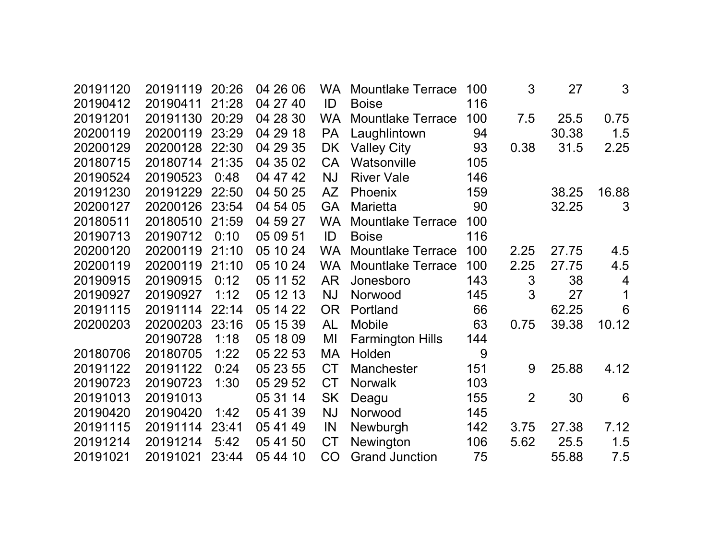| 20191120<br>20190412 | 20191119<br>20190411 | 20:26<br>21:28 | 04 26 06<br>04 27 40 | <b>WA</b><br>ID | <b>Mountlake Terrace</b><br><b>Boise</b> | 100<br>116 | 3    | 27    | 3               |
|----------------------|----------------------|----------------|----------------------|-----------------|------------------------------------------|------------|------|-------|-----------------|
| 20191201             | 20191130             | 20:29          | 04 28 30             | <b>WA</b>       | <b>Mountlake Terrace</b>                 | 100        | 7.5  | 25.5  | 0.75            |
| 20200119             | 20200119             | 23:29          | 04 29 18             | <b>PA</b>       | Laughlintown                             | 94         |      | 30.38 | 1.5             |
| 20200129             | 20200128             | 22:30          | 04 29 35             | DK              | <b>Valley City</b>                       | 93         | 0.38 | 31.5  | 2.25            |
| 20180715             | 20180714             | 21:35          | 04 35 02             | <b>CA</b>       | Watsonville                              | 105        |      |       |                 |
| 20190524             | 20190523             | 0:48           | 04 47 42             | <b>NJ</b>       | <b>River Vale</b>                        | 146        |      |       |                 |
| 20191230             | 20191229             | 22:50          | 04 50 25             | AZ              | Phoenix                                  | 159        |      | 38.25 | 16.88           |
| 20200127             | 20200126             | 23:54          | 04 54 05             | <b>GA</b>       | <b>Marietta</b>                          | 90         |      | 32.25 | 3               |
| 20180511             | 20180510             | 21:59          | 04 59 27             | <b>WA</b>       | <b>Mountlake Terrace</b>                 | 100        |      |       |                 |
| 20190713             | 20190712             | 0:10           | 05 09 51             | ID              | <b>Boise</b>                             | 116        |      |       |                 |
| 20200120             | 20200119             | 21:10          | 05 10 24             | <b>WA</b>       | <b>Mountlake Terrace</b>                 | 100        | 2.25 | 27.75 | 4.5             |
| 20200119             | 20200119             | 21:10          | 05 10 24             | <b>WA</b>       | <b>Mountlake Terrace</b>                 | 100        | 2.25 | 27.75 | 4.5             |
| 20190915             | 20190915             | 0:12           | 05 11 52             | <b>AR</b>       | Jonesboro                                | 143        | 3    | 38    | $\overline{4}$  |
| 20190927             | 20190927             | 1:12           | 05 12 13             | <b>NJ</b>       | Norwood                                  | 145        | 3    | 27    | 1               |
| 20191115             | 20191114             | 22:14          | 05 14 22             | <b>OR</b>       | Portland                                 | 66         |      | 62.25 | $6\phantom{1}6$ |
| 20200203             | 20200203             | 23:16          | 05 15 39             | <b>AL</b>       | <b>Mobile</b>                            | 63         | 0.75 | 39.38 | 10.12           |
|                      | 20190728             | 1:18           | 05 18 09             | MI              | <b>Farmington Hills</b>                  | 144        |      |       |                 |
| 20180706             | 20180705             | 1:22           | 05 22 53             | <b>MA</b>       | Holden                                   | 9          |      |       |                 |
| 20191122             | 20191122             | 0:24           | 05 23 55             | <b>CT</b>       | <b>Manchester</b>                        | 151        | 9    | 25.88 | 4.12            |
| 20190723             | 20190723             | 1:30           | 05 29 52             | <b>CT</b>       | <b>Norwalk</b>                           | 103        |      |       |                 |
| 20191013             | 20191013             |                | 05 31 14             | <b>SK</b>       | Deagu                                    | 155        | 2    | 30    | 6               |
| 20190420             | 20190420             | 1:42           | 05 41 39             | <b>NJ</b>       | Norwood                                  | 145        |      |       |                 |
| 20191115             | 20191114             | 23:41          | 05 41 49             | IN              | Newburgh                                 | 142        | 3.75 | 27.38 | 7.12            |
| 20191214             | 20191214             | 5:42           | 05 41 50             | <b>CT</b>       | Newington                                | 106        | 5.62 | 25.5  | 1.5             |
| 20191021             | 20191021             | 23:44          | 05 44 10             | CO              | <b>Grand Junction</b>                    | 75         |      | 55.88 | 7.5             |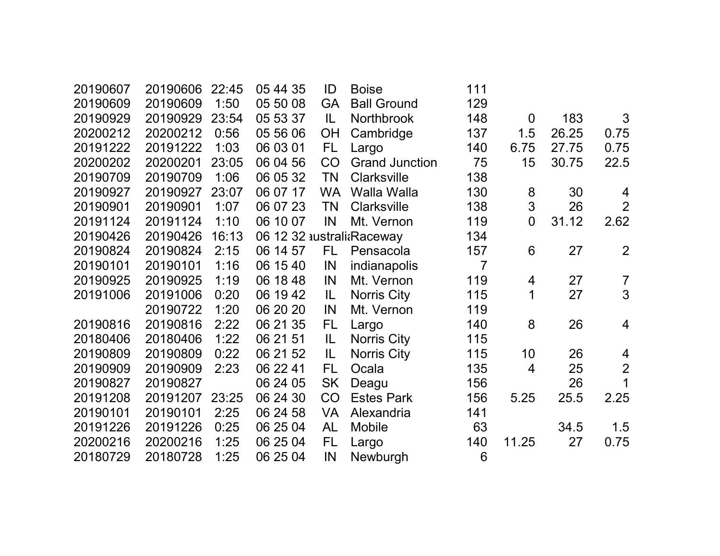| 20190607 | 20190606 | 22:45 | 05 44 35 | ID        | <b>Boise</b>              | 111            |                |       |                |
|----------|----------|-------|----------|-----------|---------------------------|----------------|----------------|-------|----------------|
| 20190609 | 20190609 | 1:50  | 05 50 08 | <b>GA</b> | <b>Ball Ground</b>        | 129            |                |       |                |
| 20190929 | 20190929 | 23:54 | 05 53 37 | IL        | Northbrook                | 148            | $\overline{0}$ | 183   | 3              |
| 20200212 | 20200212 | 0:56  | 05 56 06 | OH        | Cambridge                 | 137            | 1.5            | 26.25 | 0.75           |
| 20191222 | 20191222 | 1:03  | 06 03 01 | FL.       | Largo                     | 140            | 6.75           | 27.75 | 0.75           |
| 20200202 | 20200201 | 23:05 | 06 04 56 | <b>CO</b> | <b>Grand Junction</b>     | 75             | 15             | 30.75 | 22.5           |
| 20190709 | 20190709 | 1:06  | 06 05 32 | <b>TN</b> | <b>Clarksville</b>        | 138            |                |       |                |
| 20190927 | 20190927 | 23:07 | 06 07 17 | <b>WA</b> | Walla Walla               | 130            | 8              | 30    | 4              |
| 20190901 | 20190901 | 1:07  | 06 07 23 | <b>TN</b> | <b>Clarksville</b>        | 138            | 3              | 26    | $\overline{2}$ |
| 20191124 | 20191124 | 1:10  | 06 10 07 | IN        | Mt. Vernon                | 119            | $\overline{0}$ | 31.12 | 2.62           |
| 20190426 | 20190426 | 16:13 |          |           | 06 12 32 australi Raceway | 134            |                |       |                |
| 20190824 | 20190824 | 2:15  | 06 14 57 | FL.       | Pensacola                 | 157            | 6              | 27    | $\overline{2}$ |
| 20190101 | 20190101 | 1:16  | 06 15 40 | IN        | indianapolis              | $\overline{7}$ |                |       |                |
| 20190925 | 20190925 | 1:19  | 06 18 48 | IN        | Mt. Vernon                | 119            | 4              | 27    | $\overline{7}$ |
| 20191006 | 20191006 | 0:20  | 06 19 42 | IL        | <b>Norris City</b>        | 115            | $\mathbf 1$    | 27    | 3              |
|          | 20190722 | 1:20  | 06 20 20 | IN        | Mt. Vernon                | 119            |                |       |                |
| 20190816 | 20190816 | 2:22  | 06 21 35 | FL        | Largo                     | 140            | 8              | 26    | $\overline{4}$ |
| 20180406 | 20180406 | 1:22  | 06 21 51 | IL        | <b>Norris City</b>        | 115            |                |       |                |
| 20190809 | 20190809 | 0:22  | 06 21 52 | IL        | <b>Norris City</b>        | 115            | 10             | 26    | 4              |
| 20190909 | 20190909 | 2:23  | 06 22 41 | FL        | Ocala                     | 135            | 4              | 25    | $\overline{2}$ |
| 20190827 | 20190827 |       | 06 24 05 | <b>SK</b> | Deagu                     | 156            |                | 26    | 1              |
| 20191208 | 20191207 | 23:25 | 06 24 30 | <b>CO</b> | <b>Estes Park</b>         | 156            | 5.25           | 25.5  | 2.25           |
| 20190101 | 20190101 | 2:25  | 06 24 58 | VA        | Alexandria                | 141            |                |       |                |
| 20191226 | 20191226 | 0:25  | 06 25 04 | <b>AL</b> | <b>Mobile</b>             | 63             |                | 34.5  | 1.5            |
| 20200216 | 20200216 | 1:25  | 06 25 04 | FL.       | Largo                     | 140            | 11.25          | 27    | 0.75           |
| 20180729 | 20180728 | 1:25  | 06 25 04 | IN        | Newburgh                  | 6              |                |       |                |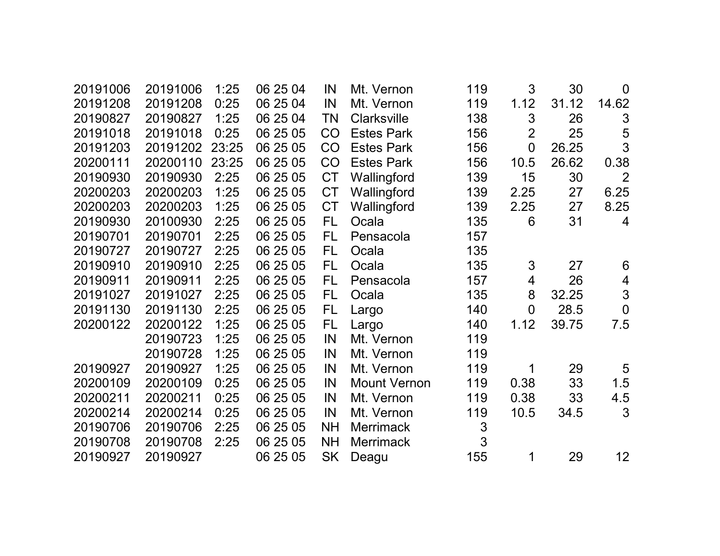| 20191006 | 20191006 | 1:25  | 06 25 04 | IN        | Mt. Vernon          | 119 | 3              | 30    | $\mathbf 0$     |
|----------|----------|-------|----------|-----------|---------------------|-----|----------------|-------|-----------------|
| 20191208 | 20191208 | 0:25  | 06 25 04 | IN        | Mt. Vernon          | 119 | 1.12           | 31.12 | 14.62           |
| 20190827 | 20190827 | 1:25  | 06 25 04 | <b>TN</b> | Clarksville         | 138 | 3              | 26    | $\mathfrak{S}$  |
| 20191018 | 20191018 | 0:25  | 06 25 05 | CO        | <b>Estes Park</b>   | 156 | $\overline{2}$ | 25    | 5               |
| 20191203 | 20191202 | 23:25 | 06 25 05 | CO        | <b>Estes Park</b>   | 156 | $\overline{0}$ | 26.25 | 3               |
| 20200111 | 20200110 | 23:25 | 06 25 05 | CO        | <b>Estes Park</b>   | 156 | 10.5           | 26.62 | 0.38            |
| 20190930 | 20190930 | 2:25  | 06 25 05 | <b>CT</b> | Wallingford         | 139 | 15             | 30    | $\overline{2}$  |
| 20200203 | 20200203 | 1:25  | 06 25 05 | <b>CT</b> | Wallingford         | 139 | 2.25           | 27    | 6.25            |
| 20200203 | 20200203 | 1:25  | 06 25 05 | <b>CT</b> | Wallingford         | 139 | 2.25           | 27    | 8.25            |
| 20190930 | 20100930 | 2:25  | 06 25 05 | FL.       | Ocala               | 135 | 6              | 31    | $\overline{4}$  |
| 20190701 | 20190701 | 2:25  | 06 25 05 | FL.       | Pensacola           | 157 |                |       |                 |
| 20190727 | 20190727 | 2:25  | 06 25 05 | FL        | Ocala               | 135 |                |       |                 |
| 20190910 | 20190910 | 2:25  | 06 25 05 | FL        | Ocala               | 135 | 3              | 27    | 6               |
| 20190911 | 20190911 | 2:25  | 06 25 05 | <b>FL</b> | Pensacola           | 157 | $\overline{4}$ | 26    | 4               |
| 20191027 | 20191027 | 2:25  | 06 25 05 | <b>FL</b> | Ocala               | 135 | 8              | 32.25 | 3               |
| 20191130 | 20191130 | 2:25  | 06 25 05 | FL.       | Largo               | 140 | $\overline{0}$ | 28.5  | $\mathbf 0$     |
| 20200122 | 20200122 | 1:25  | 06 25 05 | FL        | Largo               | 140 | 1.12           | 39.75 | 7.5             |
|          | 20190723 | 1:25  | 06 25 05 | IN        | Mt. Vernon          | 119 |                |       |                 |
|          | 20190728 | 1:25  | 06 25 05 | IN        | Mt. Vernon          | 119 |                |       |                 |
| 20190927 | 20190927 | 1:25  | 06 25 05 | IN        | Mt. Vernon          | 119 | 1              | 29    | $5\overline{)}$ |
| 20200109 | 20200109 | 0:25  | 06 25 05 | IN        | <b>Mount Vernon</b> | 119 | 0.38           | 33    | 1.5             |
| 20200211 | 20200211 | 0:25  | 06 25 05 | IN        | Mt. Vernon          | 119 | 0.38           | 33    | 4.5             |
| 20200214 | 20200214 | 0:25  | 06 25 05 | IN        | Mt. Vernon          | 119 | 10.5           | 34.5  | 3               |
| 20190706 | 20190706 | 2:25  | 06 25 05 | <b>NH</b> | <b>Merrimack</b>    | 3   |                |       |                 |
| 20190708 | 20190708 | 2:25  | 06 25 05 | <b>NH</b> | <b>Merrimack</b>    | 3   |                |       |                 |
| 20190927 | 20190927 |       | 06 25 05 | <b>SK</b> | Deagu               | 155 | 1              | 29    | 12 <sub>2</sub> |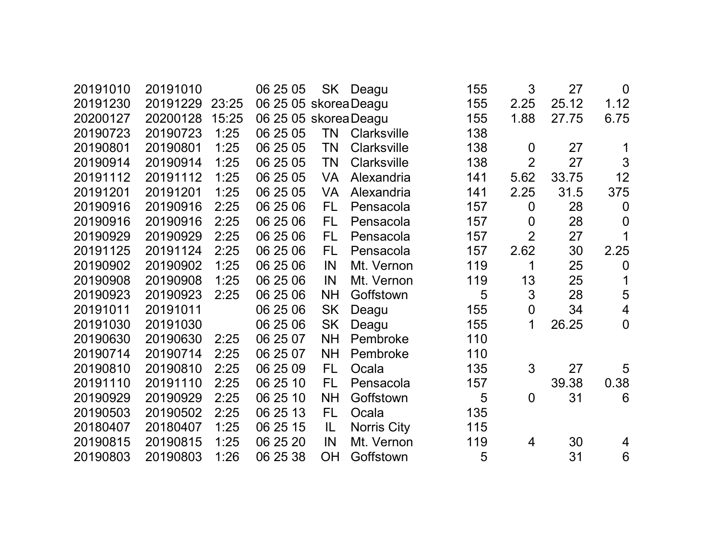| 20191010 | 20191010 |       | 06 25 05              |           | SK Deagu           | 155 | 3                | 27    | $\mathbf 0$      |
|----------|----------|-------|-----------------------|-----------|--------------------|-----|------------------|-------|------------------|
| 20191230 | 20191229 | 23:25 | 06 25 05 skorea Deagu |           |                    | 155 | 2.25             | 25.12 | 1.12             |
| 20200127 | 20200128 | 15:25 | 06 25 05 skorea Deagu |           |                    | 155 | 1.88             | 27.75 | 6.75             |
| 20190723 | 20190723 | 1:25  | 06 25 05              | <b>TN</b> | Clarksville        | 138 |                  |       |                  |
| 20190801 | 20190801 | 1:25  | 06 25 05              | <b>TN</b> | <b>Clarksville</b> | 138 | $\overline{0}$   | 27    |                  |
| 20190914 | 20190914 | 1:25  | 06 25 05              | <b>TN</b> | Clarksville        | 138 | $\overline{2}$   | 27    | $\mathfrak{S}$   |
| 20191112 | 20191112 | 1:25  | 06 25 05              | <b>VA</b> | Alexandria         | 141 | 5.62             | 33.75 | 12               |
| 20191201 | 20191201 | 1:25  | 06 25 05              | <b>VA</b> | Alexandria         | 141 | 2.25             | 31.5  | 375              |
| 20190916 | 20190916 | 2:25  | 06 25 06              | FL        | Pensacola          | 157 | $\boldsymbol{0}$ | 28    | $\boldsymbol{0}$ |
| 20190916 | 20190916 | 2:25  | 06 25 06              | FL.       | Pensacola          | 157 | $\boldsymbol{0}$ | 28    | $\boldsymbol{0}$ |
| 20190929 | 20190929 | 2:25  | 06 25 06              | FL        | Pensacola          | 157 | $\overline{2}$   | 27    | $\mathbf 1$      |
| 20191125 | 20191124 | 2:25  | 06 25 06              | FL.       | Pensacola          | 157 | 2.62             | 30    | 2.25             |
| 20190902 | 20190902 | 1:25  | 06 25 06              | IN        | Mt. Vernon         | 119 | 1                | 25    | $\boldsymbol{0}$ |
| 20190908 | 20190908 | 1:25  | 06 25 06              | IN        | Mt. Vernon         | 119 | 13               | 25    | $\mathbf 1$      |
| 20190923 | 20190923 | 2:25  | 06 25 06              | <b>NH</b> | Goffstown          | 5   | 3                | 28    | 5                |
| 20191011 | 20191011 |       | 06 25 06              | <b>SK</b> | Deagu              | 155 | $\boldsymbol{0}$ | 34    | $\overline{4}$   |
| 20191030 | 20191030 |       | 06 25 06              | <b>SK</b> | Deagu              | 155 | 1                | 26.25 | $\overline{0}$   |
| 20190630 | 20190630 | 2:25  | 06 25 07              | <b>NH</b> | Pembroke           | 110 |                  |       |                  |
| 20190714 | 20190714 | 2:25  | 06 25 07              | <b>NH</b> | Pembroke           | 110 |                  |       |                  |
| 20190810 | 20190810 | 2:25  | 06 25 09              | FL        | Ocala              | 135 | 3                | 27    | 5                |
| 20191110 | 20191110 | 2:25  | 06 25 10              | <b>FL</b> | Pensacola          | 157 |                  | 39.38 | 0.38             |
| 20190929 | 20190929 | 2:25  | 06 25 10              | <b>NH</b> | Goffstown          | 5   | $\overline{0}$   | 31    | 6                |
| 20190503 | 20190502 | 2:25  | 06 25 13              | FL        | Ocala              | 135 |                  |       |                  |
| 20180407 | 20180407 | 1:25  | 06 25 15              | IL.       | <b>Norris City</b> | 115 |                  |       |                  |
| 20190815 | 20190815 | 1:25  | 06 25 20              | IN        | Mt. Vernon         | 119 | 4                | 30    | 4                |
| 20190803 | 20190803 | 1:26  | 06 25 38              | <b>OH</b> | Goffstown          | 5   |                  | 31    | $6\phantom{1}6$  |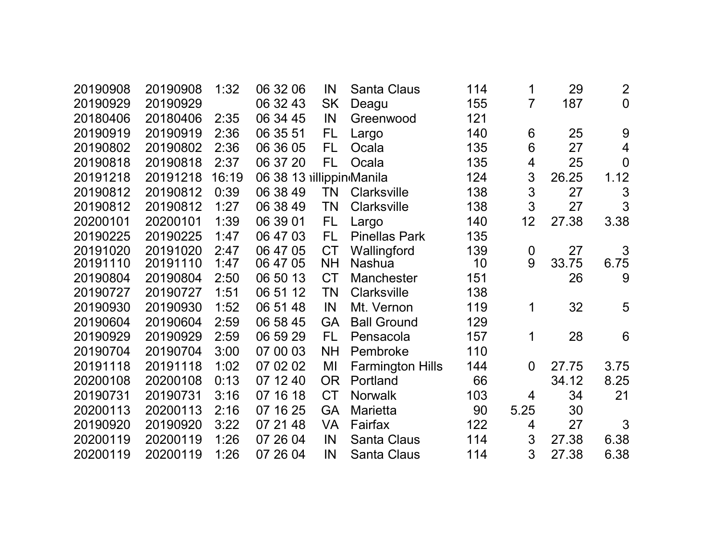| 20190908 | 20190908 | 1:32  | 06 32 06                 | IN        | <b>Santa Claus</b>      | 114 | 1              | 29    | $\overline{2}$ |
|----------|----------|-------|--------------------------|-----------|-------------------------|-----|----------------|-------|----------------|
| 20190929 | 20190929 |       | 06 32 43                 | <b>SK</b> | Deagu                   | 155 | $\overline{7}$ | 187   | $\overline{0}$ |
| 20180406 | 20180406 | 2:35  | 06 34 45                 | IN        | Greenwood               | 121 |                |       |                |
| 20190919 | 20190919 | 2:36  | 06 35 51                 | FL        | Largo                   | 140 | 6              | 25    | 9              |
| 20190802 | 20190802 | 2:36  | 06 36 05                 | FL        | Ocala                   | 135 | 6              | 27    | $\overline{4}$ |
| 20190818 | 20190818 | 2:37  | 06 37 20                 | FL        | Ocala                   | 135 | 4              | 25    | $\overline{0}$ |
| 20191218 | 20191218 | 16:19 | 06 38 13 illippin Manila |           |                         | 124 | 3              | 26.25 | 1.12           |
| 20190812 | 20190812 | 0:39  | 06 38 49                 | TN        | <b>Clarksville</b>      | 138 | 3              | 27    | 3              |
| 20190812 | 20190812 | 1:27  | 06 38 49                 | <b>TN</b> | <b>Clarksville</b>      | 138 | 3              | 27    | 3              |
| 20200101 | 20200101 | 1:39  | 06 39 01                 | FL.       | Largo                   | 140 | 12             | 27.38 | 3.38           |
| 20190225 | 20190225 | 1:47  | 06 47 03                 | <b>FL</b> | <b>Pinellas Park</b>    | 135 |                |       |                |
| 20191020 | 20191020 | 2:47  | 06 47 05                 | <b>CT</b> | Wallingford             | 139 | 0              | 27    | 3              |
| 20191110 | 20191110 | 1:47  | 06 47 05                 | <b>NH</b> | <b>Nashua</b>           | 10  | 9              | 33.75 | 6.75           |
| 20190804 | 20190804 | 2:50  | 06 50 13                 | <b>CT</b> | <b>Manchester</b>       | 151 |                | 26    | 9              |
| 20190727 | 20190727 | 1:51  | 06 51 12                 | TN        | <b>Clarksville</b>      | 138 |                |       |                |
| 20190930 | 20190930 | 1:52  | 06 51 48                 | IN        | Mt. Vernon              | 119 | 1              | 32    | 5              |
| 20190604 | 20190604 | 2:59  | 06 58 45                 | <b>GA</b> | <b>Ball Ground</b>      | 129 |                |       |                |
| 20190929 | 20190929 | 2:59  | 06 59 29                 | FL        | Pensacola               | 157 | 1              | 28    | 6              |
| 20190704 | 20190704 | 3:00  | 07 00 03                 | <b>NH</b> | Pembroke                | 110 |                |       |                |
| 20191118 | 20191118 | 1:02  | 07 02 02                 | MI        | <b>Farmington Hills</b> | 144 | $\Omega$       | 27.75 | 3.75           |
| 20200108 | 20200108 | 0:13  | 07 12 40                 | <b>OR</b> | Portland                | 66  |                | 34.12 | 8.25           |
| 20190731 | 20190731 | 3:16  | 07 16 18                 | <b>CT</b> | <b>Norwalk</b>          | 103 | 4              | 34    | 21             |
| 20200113 | 20200113 | 2:16  | 07 16 25                 | <b>GA</b> | <b>Marietta</b>         | 90  | 5.25           | 30    |                |
| 20190920 | 20190920 | 3:22  | 07 21 48                 | <b>VA</b> | Fairfax                 | 122 | 4              | 27    | 3              |
| 20200119 | 20200119 | 1:26  | 07 26 04                 | IN        | <b>Santa Claus</b>      | 114 | 3              | 27.38 | 6.38           |
| 20200119 | 20200119 | 1:26  | 07 26 04                 | IN        | <b>Santa Claus</b>      | 114 | 3              | 27.38 | 6.38           |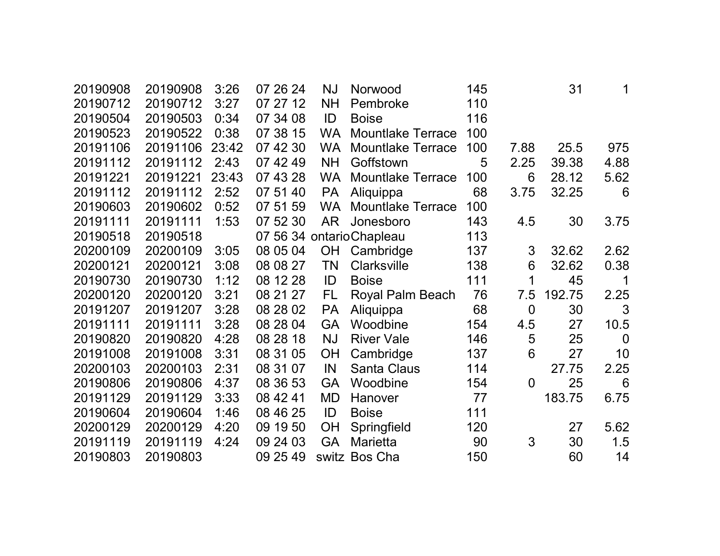| 20190908 | 20190908 | 3:26  | 07 26 24 | <b>NJ</b> | Norwood                  | 145 |                | 31     | 1              |
|----------|----------|-------|----------|-----------|--------------------------|-----|----------------|--------|----------------|
| 20190712 | 20190712 | 3:27  | 07 27 12 | <b>NH</b> | Pembroke                 | 110 |                |        |                |
| 20190504 | 20190503 | 0:34  | 07 34 08 | ID        | <b>Boise</b>             | 116 |                |        |                |
| 20190523 | 20190522 | 0:38  | 07 38 15 | <b>WA</b> | <b>Mountlake Terrace</b> | 100 |                |        |                |
| 20191106 | 20191106 | 23:42 | 07 42 30 | <b>WA</b> | <b>Mountlake Terrace</b> | 100 | 7.88           | 25.5   | 975            |
| 20191112 | 20191112 | 2:43  | 07 42 49 | <b>NH</b> | Goffstown                | 5   | 2.25           | 39.38  | 4.88           |
| 20191221 | 20191221 | 23:43 | 07 43 28 | <b>WA</b> | <b>Mountlake Terrace</b> | 100 | 6              | 28.12  | 5.62           |
| 20191112 | 20191112 | 2:52  | 07 51 40 | <b>PA</b> | Aliquippa                | 68  | 3.75           | 32.25  | 6              |
| 20190603 | 20190602 | 0:52  | 07 51 59 | <b>WA</b> | <b>Mountlake Terrace</b> | 100 |                |        |                |
| 20191111 | 20191111 | 1:53  | 07 52 30 | AR        | Jonesboro                | 143 | 4.5            | 30     | 3.75           |
| 20190518 | 20190518 |       |          |           | 07 56 34 ontarioChapleau | 113 |                |        |                |
| 20200109 | 20200109 | 3:05  | 08 05 04 |           | OH Cambridge             | 137 | 3              | 32.62  | 2.62           |
| 20200121 | 20200121 | 3:08  | 08 08 27 | TN        | <b>Clarksville</b>       | 138 | 6              | 32.62  | 0.38           |
| 20190730 | 20190730 | 1:12  | 08 12 28 | ID        | <b>Boise</b>             | 111 | 1              | 45     | 1              |
| 20200120 | 20200120 | 3:21  | 08 21 27 | <b>FL</b> | Royal Palm Beach         | 76  | 7.5            | 192.75 | 2.25           |
| 20191207 | 20191207 | 3:28  | 08 28 02 | <b>PA</b> | Aliquippa                | 68  | $\mathbf 0$    | 30     | 3              |
| 20191111 | 20191111 | 3:28  | 08 28 04 | <b>GA</b> | Woodbine                 | 154 | 4.5            | 27     | 10.5           |
| 20190820 | 20190820 | 4:28  | 08 28 18 | <b>NJ</b> | <b>River Vale</b>        | 146 | 5              | 25     | $\overline{0}$ |
| 20191008 | 20191008 | 3:31  | 08 31 05 | <b>OH</b> | Cambridge                | 137 | 6              | 27     | 10             |
| 20200103 | 20200103 | 2:31  | 08 31 07 | IN        | <b>Santa Claus</b>       | 114 |                | 27.75  | 2.25           |
| 20190806 | 20190806 | 4:37  | 08 36 53 | <b>GA</b> | Woodbine                 | 154 | $\overline{0}$ | 25     | 6              |
| 20191129 | 20191129 | 3:33  | 08 42 41 | <b>MD</b> | Hanover                  | 77  |                | 183.75 | 6.75           |
| 20190604 | 20190604 | 1:46  | 08 46 25 | ID        | <b>Boise</b>             | 111 |                |        |                |
| 20200129 | 20200129 | 4:20  | 09 19 50 | <b>OH</b> | Springfield              | 120 |                | 27     | 5.62           |
| 20191119 | 20191119 | 4:24  | 09 24 03 | <b>GA</b> | <b>Marietta</b>          | 90  | 3              | 30     | 1.5            |
| 20190803 | 20190803 |       | 09 25 49 |           | switz Bos Cha            | 150 |                | 60     | 14             |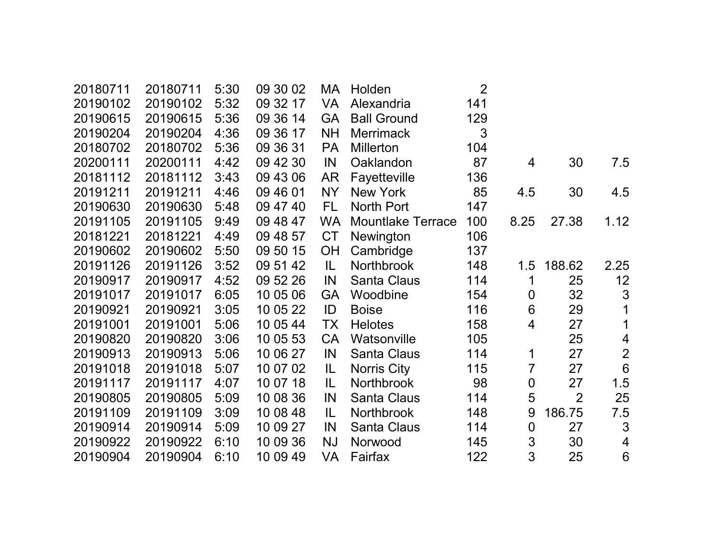| 20180711 | 20180711 | 5:30 | 09 30 02 | МA        | Holden                   | $\overline{2}$ |                  |                |                  |
|----------|----------|------|----------|-----------|--------------------------|----------------|------------------|----------------|------------------|
| 20190102 | 20190102 | 5:32 | 09 32 17 | <b>VA</b> | Alexandria               | 141            |                  |                |                  |
| 20190615 | 20190615 | 5:36 | 09 36 14 | <b>GA</b> | <b>Ball Ground</b>       | 129            |                  |                |                  |
| 20190204 | 20190204 | 4:36 | 09 36 17 | <b>NH</b> | <b>Merrimack</b>         | 3              |                  |                |                  |
| 20180702 | 20180702 | 5:36 | 09 36 31 | <b>PA</b> | <b>Millerton</b>         | 104            |                  |                |                  |
| 20200111 | 20200111 | 4:42 | 09 42 30 | IN        | Oaklandon                | 87             | $\overline{4}$   | 30             | 7.5              |
| 20181112 | 20181112 | 3:43 | 09 43 06 | <b>AR</b> | Fayetteville             | 136            |                  |                |                  |
| 20191211 | 20191211 | 4:46 | 09 46 01 | <b>NY</b> | New York                 | 85             | 4.5              | 30             | 4.5              |
| 20190630 | 20190630 | 5:48 | 09 47 40 | FL.       | North Port               | 147            |                  |                |                  |
| 20191105 | 20191105 | 9:49 | 09 48 47 | <b>WA</b> | <b>Mountlake Terrace</b> | 100            | 8.25             | 27.38          | 1.12             |
| 20181221 | 20181221 | 4:49 | 09 48 57 | <b>CT</b> | Newington                | 106            |                  |                |                  |
| 20190602 | 20190602 | 5:50 | 09 50 15 | <b>OH</b> | Cambridge                | 137            |                  |                |                  |
| 20191126 | 20191126 | 3:52 | 09 51 42 | IL.       | Northbrook               | 148            | 1.5              | 188.62         | 2.25             |
| 20190917 | 20190917 | 4:52 | 09 52 26 | IN        | <b>Santa Claus</b>       | 114            | 1                | 25             | 12               |
| 20191017 | 20191017 | 6:05 | 10 05 06 | <b>GA</b> | Woodbine                 | 154            | $\boldsymbol{0}$ | 32             | $\mathfrak{S}$   |
| 20190921 | 20190921 | 3:05 | 10 05 22 | ID        | <b>Boise</b>             | 116            | 6                | 29             | $\mathbf 1$      |
| 20191001 | 20191001 | 5:06 | 10 05 44 | <b>TX</b> | <b>Helotes</b>           | 158            | 4                | 27             | 1                |
| 20190820 | 20190820 | 3:06 | 10 05 53 | <b>CA</b> | Watsonville              | 105            |                  | 25             | $\overline{4}$   |
| 20190913 | 20190913 | 5:06 | 10 06 27 | IN        | <b>Santa Claus</b>       | 114            | 1                | 27             | $\overline{2}$   |
| 20191018 | 20191018 | 5:07 | 10 07 02 | IL        | <b>Norris City</b>       | 115            | 7                | 27             | $\boldsymbol{6}$ |
| 20191117 | 20191117 | 4:07 | 10 07 18 | IL.       | <b>Northbrook</b>        | 98             | $\mathbf 0$      | 27             | 1.5              |
| 20190805 | 20190805 | 5:09 | 10 08 36 | IN        | <b>Santa Claus</b>       | 114            | 5                | $\overline{2}$ | 25               |
| 20191109 | 20191109 | 3:09 | 10 08 48 | IL.       | <b>Northbrook</b>        | 148            | 9                | 186.75         | 7.5              |
| 20190914 | 20190914 | 5:09 | 10 09 27 | IN        | Santa Claus              | 114            | 0                | 27             | $\mathfrak{Z}$   |
| 20190922 | 20190922 | 6:10 | 10 09 36 | <b>NJ</b> | Norwood                  | 145            | $\mathfrak{S}$   | 30             | 4                |
| 20190904 | 20190904 | 6:10 | 10 09 49 | VA        | Fairfax                  | 122            | 3                | 25             | $6\phantom{1}6$  |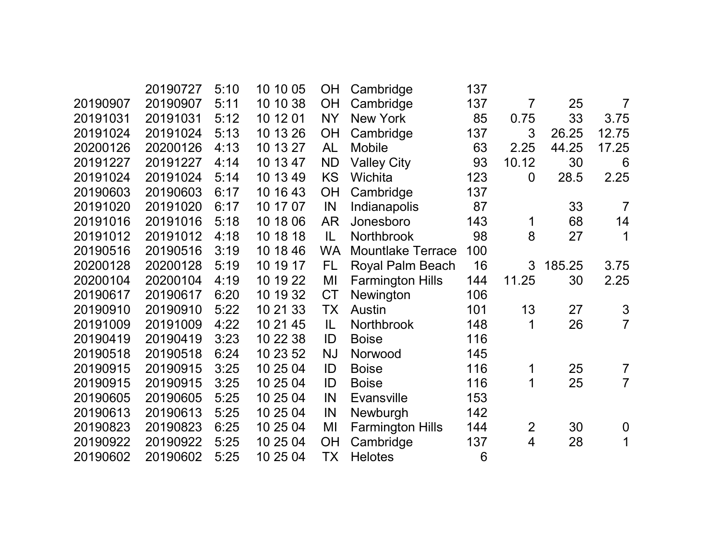|          | 20190727 | 5:10 | 10 10 05 | <b>OH</b> | Cambridge                | 137 |                |        |                |
|----------|----------|------|----------|-----------|--------------------------|-----|----------------|--------|----------------|
| 20190907 | 20190907 | 5:11 | 10 10 38 | <b>OH</b> | Cambridge                | 137 | $\overline{7}$ | 25     | $\overline{7}$ |
| 20191031 | 20191031 | 5:12 | 10 12 01 | <b>NY</b> | <b>New York</b>          | 85  | 0.75           | 33     | 3.75           |
| 20191024 | 20191024 | 5:13 | 10 13 26 | <b>OH</b> | Cambridge                | 137 | 3              | 26.25  | 12.75          |
| 20200126 | 20200126 | 4:13 | 10 13 27 | <b>AL</b> | <b>Mobile</b>            | 63  | 2.25           | 44.25  | 17.25          |
| 20191227 | 20191227 | 4:14 | 10 13 47 | <b>ND</b> | <b>Valley City</b>       | 93  | 10.12          | 30     | 6              |
| 20191024 | 20191024 | 5:14 | 10 13 49 | <b>KS</b> | Wichita                  | 123 | $\overline{0}$ | 28.5   | 2.25           |
| 20190603 | 20190603 | 6:17 | 10 16 43 | OH        | Cambridge                | 137 |                |        |                |
| 20191020 | 20191020 | 6:17 | 10 17 07 | IN        | Indianapolis             | 87  |                | 33     | $\overline{7}$ |
| 20191016 | 20191016 | 5:18 | 10 18 06 | AR        | Jonesboro                | 143 | 1              | 68     | 14             |
| 20191012 | 20191012 | 4:18 | 10 18 18 | IL.       | Northbrook               | 98  | 8              | 27     | 1              |
| 20190516 | 20190516 | 3:19 | 10 18 46 | <b>WA</b> | <b>Mountlake Terrace</b> | 100 |                |        |                |
| 20200128 | 20200128 | 5:19 | 10 19 17 | FL.       | Royal Palm Beach         | 16  | 3              | 185.25 | 3.75           |
| 20200104 | 20200104 | 4:19 | 10 19 22 | MI        | <b>Farmington Hills</b>  | 144 | 11.25          | 30     | 2.25           |
| 20190617 | 20190617 | 6:20 | 10 19 32 | <b>CT</b> | Newington                | 106 |                |        |                |
| 20190910 | 20190910 | 5:22 | 10 21 33 | TX        | <b>Austin</b>            | 101 | 13             | 27     | $\mathfrak{S}$ |
| 20191009 | 20191009 | 4:22 | 10 21 45 | IL        | Northbrook               | 148 | 1              | 26     | $\overline{7}$ |
| 20190419 | 20190419 | 3:23 | 10 22 38 | ID        | <b>Boise</b>             | 116 |                |        |                |
| 20190518 | 20190518 | 6:24 | 10 23 52 | <b>NJ</b> | Norwood                  | 145 |                |        |                |
| 20190915 | 20190915 | 3:25 | 10 25 04 | ID        | <b>Boise</b>             | 116 | 1              | 25     | $\overline{7}$ |
| 20190915 | 20190915 | 3:25 | 10 25 04 | ID        | <b>Boise</b>             | 116 | 1              | 25     | $\overline{7}$ |
| 20190605 | 20190605 | 5:25 | 10 25 04 | IN        | <b>Evansville</b>        | 153 |                |        |                |
| 20190613 | 20190613 | 5:25 | 10 25 04 | IN        | Newburgh                 | 142 |                |        |                |
| 20190823 | 20190823 | 6:25 | 10 25 04 | MI        | <b>Farmington Hills</b>  | 144 | $\overline{2}$ | 30     | $\mathbf 0$    |
| 20190922 | 20190922 | 5:25 | 10 25 04 | OH        | Cambridge                | 137 | $\overline{4}$ | 28     | $\mathbf 1$    |
| 20190602 | 20190602 | 5:25 | 10 25 04 | TX        | <b>Helotes</b>           | 6   |                |        |                |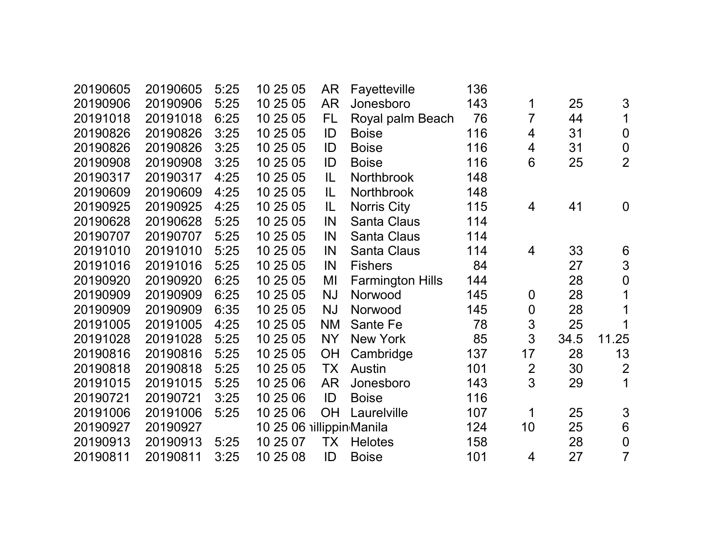| 20190605 | 20190605 | 5:25 | 10 25 05                 | AR        | Fayetteville            | 136 |                  |      |                  |
|----------|----------|------|--------------------------|-----------|-------------------------|-----|------------------|------|------------------|
| 20190906 | 20190906 | 5:25 | 10 25 05                 | <b>AR</b> | Jonesboro               | 143 | 1                | 25   | 3                |
| 20191018 | 20191018 | 6:25 | 10 25 05                 | FL.       | Royal palm Beach        | 76  | $\overline{7}$   | 44   | 1                |
| 20190826 | 20190826 | 3:25 | 10 25 05                 | ID        | <b>Boise</b>            | 116 | 4                | 31   | $\mathbf 0$      |
| 20190826 | 20190826 | 3:25 | 10 25 05                 | ID        | <b>Boise</b>            | 116 | 4                | 31   | $\mathbf 0$      |
| 20190908 | 20190908 | 3:25 | 10 25 05                 | ID        | <b>Boise</b>            | 116 | 6                | 25   | $\overline{2}$   |
| 20190317 | 20190317 | 4:25 | 10 25 05                 | IL        | Northbrook              | 148 |                  |      |                  |
| 20190609 | 20190609 | 4:25 | 10 25 05                 | IL        | Northbrook              | 148 |                  |      |                  |
| 20190925 | 20190925 | 4:25 | 10 25 05                 | IL        | <b>Norris City</b>      | 115 | 4                | 41   | $\overline{0}$   |
| 20190628 | 20190628 | 5:25 | 10 25 05                 | IN        | <b>Santa Claus</b>      | 114 |                  |      |                  |
| 20190707 | 20190707 | 5:25 | 10 25 05                 | IN        | <b>Santa Claus</b>      | 114 |                  |      |                  |
| 20191010 | 20191010 | 5:25 | 10 25 05                 | IN        | <b>Santa Claus</b>      | 114 | 4                | 33   | 6                |
| 20191016 | 20191016 | 5:25 | 10 25 05                 | IN        | <b>Fishers</b>          | 84  |                  | 27   | 3                |
| 20190920 | 20190920 | 6:25 | 10 25 05                 | MI        | <b>Farmington Hills</b> | 144 |                  | 28   | $\overline{0}$   |
| 20190909 | 20190909 | 6:25 | 10 25 05                 | <b>NJ</b> | Norwood                 | 145 | $\mathbf 0$      | 28   | 1                |
| 20190909 | 20190909 | 6:35 | 10 25 05                 | <b>NJ</b> | Norwood                 | 145 | $\boldsymbol{0}$ | 28   | 1                |
| 20191005 | 20191005 | 4:25 | 10 25 05                 | <b>NM</b> | Sante Fe                | 78  | 3                | 25   | 1                |
| 20191028 | 20191028 | 5:25 | 10 25 05                 | <b>NY</b> | <b>New York</b>         | 85  | 3                | 34.5 | 11.25            |
| 20190816 | 20190816 | 5:25 | 10 25 05                 | <b>OH</b> | Cambridge               | 137 | 17               | 28   | 13               |
| 20190818 | 20190818 | 5:25 | 10 25 05                 | <b>TX</b> | Austin                  | 101 | $\overline{2}$   | 30   | $\overline{2}$   |
| 20191015 | 20191015 | 5:25 | 10 25 06                 | <b>AR</b> | Jonesboro               | 143 | 3                | 29   | 1                |
| 20190721 | 20190721 | 3:25 | 10 25 06                 | ID        | <b>Boise</b>            | 116 |                  |      |                  |
| 20191006 | 20191006 | 5:25 | 10 25 06                 | <b>OH</b> | Laurelville             | 107 | 1                | 25   | 3                |
| 20190927 | 20190927 |      | 10 25 06 illippin Manila |           |                         | 124 | 10               | 25   | $6\phantom{1}6$  |
| 20190913 | 20190913 | 5:25 | 10 25 07                 | <b>TX</b> | <b>Helotes</b>          | 158 |                  | 28   | $\boldsymbol{0}$ |
| 20190811 | 20190811 | 3:25 | 10 25 08                 | ID        | <b>Boise</b>            | 101 | 4                | 27   | $\overline{7}$   |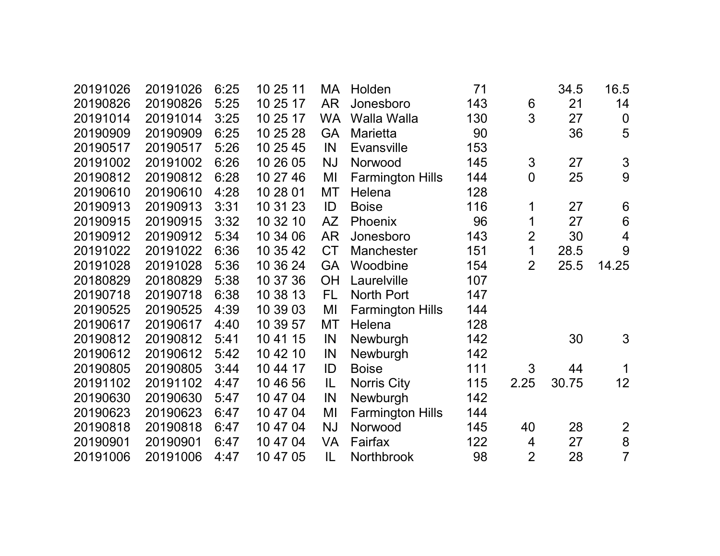| 20191026 | 20191026 | 6:25 | 10 25 11 | МA        | Holden                  | 71  |                | 34.5  | 16.5                                                                                   |
|----------|----------|------|----------|-----------|-------------------------|-----|----------------|-------|----------------------------------------------------------------------------------------|
| 20190826 | 20190826 | 5:25 | 10 25 17 | <b>AR</b> | Jonesboro               | 143 | 6              | 21    | 14                                                                                     |
| 20191014 | 20191014 | 3:25 | 10 25 17 | <b>WA</b> | Walla Walla             | 130 | 3              | 27    | $\boldsymbol{0}$                                                                       |
| 20190909 | 20190909 | 6:25 | 10 25 28 | <b>GA</b> | <b>Marietta</b>         | 90  |                | 36    | 5                                                                                      |
| 20190517 | 20190517 | 5:26 | 10 25 45 | IN        | <b>Evansville</b>       | 153 |                |       |                                                                                        |
| 20191002 | 20191002 | 6:26 | 10 26 05 | <b>NJ</b> | Norwood                 | 145 | $\mathfrak{S}$ | 27    | $\mathfrak{S}% _{CS}^{\ast}(\mathfrak{S}_{\alpha}^{\ast},\mathcal{C}_{\alpha}^{\ast})$ |
| 20190812 | 20190812 | 6:28 | 10 27 46 | MI        | <b>Farmington Hills</b> | 144 | $\mathbf 0$    | 25    | 9                                                                                      |
| 20190610 | 20190610 | 4:28 | 10 28 01 | <b>MT</b> | Helena                  | 128 |                |       |                                                                                        |
| 20190913 | 20190913 | 3:31 | 10 31 23 | ID        | <b>Boise</b>            | 116 | 1              | 27    | $6\phantom{1}6$                                                                        |
| 20190915 | 20190915 | 3:32 | 10 32 10 | <b>AZ</b> | Phoenix                 | 96  | 1              | 27    | $\,6\,$                                                                                |
| 20190912 | 20190912 | 5:34 | 10 34 06 | <b>AR</b> | Jonesboro               | 143 | $\overline{2}$ | 30    | $\overline{\mathbf{4}}$                                                                |
| 20191022 | 20191022 | 6:36 | 10 35 42 | <b>CT</b> | <b>Manchester</b>       | 151 | 1              | 28.5  | 9                                                                                      |
| 20191028 | 20191028 | 5:36 | 10 36 24 | <b>GA</b> | Woodbine                | 154 | $\overline{2}$ | 25.5  | 14.25                                                                                  |
| 20180829 | 20180829 | 5:38 | 10 37 36 | <b>OH</b> | Laurelville             | 107 |                |       |                                                                                        |
| 20190718 | 20190718 | 6:38 | 10 38 13 | <b>FL</b> | <b>North Port</b>       | 147 |                |       |                                                                                        |
| 20190525 | 20190525 | 4:39 | 10 39 03 | MI        | <b>Farmington Hills</b> | 144 |                |       |                                                                                        |
| 20190617 | 20190617 | 4:40 | 10 39 57 | <b>MT</b> | Helena                  | 128 |                |       |                                                                                        |
| 20190812 | 20190812 | 5:41 | 10 41 15 | IN        | Newburgh                | 142 |                | 30    | 3                                                                                      |
| 20190612 | 20190612 | 5:42 | 10 42 10 | IN        | Newburgh                | 142 |                |       |                                                                                        |
| 20190805 | 20190805 | 3:44 | 10 44 17 | ID        | <b>Boise</b>            | 111 | 3              | 44    | 1                                                                                      |
| 20191102 | 20191102 | 4:47 | 10 46 56 | IL        | Norris City             | 115 | 2.25           | 30.75 | 12 <sub>2</sub>                                                                        |
| 20190630 | 20190630 | 5:47 | 10 47 04 | IN        | Newburgh                | 142 |                |       |                                                                                        |
| 20190623 | 20190623 | 6:47 | 10 47 04 | MI        | <b>Farmington Hills</b> | 144 |                |       |                                                                                        |
| 20190818 | 20190818 | 6:47 | 10 47 04 | <b>NJ</b> | Norwood                 | 145 | 40             | 28    | $\overline{2}$                                                                         |
| 20190901 | 20190901 | 6:47 | 10 47 04 | <b>VA</b> | Fairfax                 | 122 | 4              | 27    | 8                                                                                      |
| 20191006 | 20191006 | 4:47 | 10 47 05 | IL        | <b>Northbrook</b>       | 98  | $\overline{2}$ | 28    | $\overline{7}$                                                                         |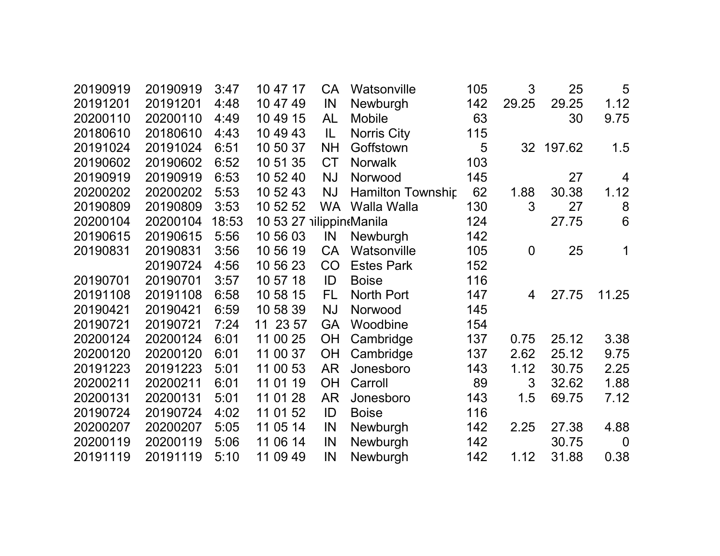| 20190919 | 20190919 | 3:47  | 10 47 17                 | <b>CA</b> | Watsonville              | 105 | 3              | 25        | 5               |
|----------|----------|-------|--------------------------|-----------|--------------------------|-----|----------------|-----------|-----------------|
| 20191201 | 20191201 | 4:48  | 10 47 49                 | IN        | Newburgh                 | 142 | 29.25          | 29.25     | 1.12            |
| 20200110 | 20200110 | 4:49  | 10 49 15                 | AL        | <b>Mobile</b>            | 63  |                | 30        | 9.75            |
| 20180610 | 20180610 | 4:43  | 10 49 43                 | IL.       | Norris City              | 115 |                |           |                 |
| 20191024 | 20191024 | 6:51  | 10 50 37                 | <b>NH</b> | Goffstown                | 5   |                | 32 197.62 | 1.5             |
| 20190602 | 20190602 | 6:52  | 10 51 35                 | <b>CT</b> | <b>Norwalk</b>           | 103 |                |           |                 |
| 20190919 | 20190919 | 6:53  | 10 52 40                 | <b>NJ</b> | Norwood                  | 145 |                | 27        | 4               |
| 20200202 | 20200202 | 5:53  | 10 52 43                 | <b>NJ</b> | <b>Hamilton Township</b> | 62  | 1.88           | 30.38     | 1.12            |
| 20190809 | 20190809 | 3:53  | 10 52 52                 | <b>WA</b> | Walla Walla              | 130 | 3              | 27        | 8               |
| 20200104 | 20200104 | 18:53 | 10 53 27 illippineManila |           |                          | 124 |                | 27.75     | $6\phantom{1}6$ |
| 20190615 | 20190615 | 5:56  | 10 56 03                 | IN        | Newburgh                 | 142 |                |           |                 |
| 20190831 | 20190831 | 3:56  | 10 56 19                 | <b>CA</b> | Watsonville              | 105 | $\mathbf 0$    | 25        | 1               |
|          | 20190724 | 4:56  | 10 56 23                 | CO        | <b>Estes Park</b>        | 152 |                |           |                 |
| 20190701 | 20190701 | 3:57  | 10 57 18                 | ID        | <b>Boise</b>             | 116 |                |           |                 |
| 20191108 | 20191108 | 6:58  | 10 58 15                 | <b>FL</b> | <b>North Port</b>        | 147 | $\overline{4}$ | 27.75     | 11.25           |
| 20190421 | 20190421 | 6:59  | 10 58 39                 | <b>NJ</b> | Norwood                  | 145 |                |           |                 |
| 20190721 | 20190721 | 7:24  | 11 23 57                 | <b>GA</b> | Woodbine                 | 154 |                |           |                 |
| 20200124 | 20200124 | 6:01  | 11 00 25                 | <b>OH</b> | Cambridge                | 137 | 0.75           | 25.12     | 3.38            |
| 20200120 | 20200120 | 6:01  | 11 00 37                 | OH        | Cambridge                | 137 | 2.62           | 25.12     | 9.75            |
| 20191223 | 20191223 | 5:01  | 11 00 53                 | AR        | Jonesboro                | 143 | 1.12           | 30.75     | 2.25            |
| 20200211 | 20200211 | 6:01  | 11 01 19                 | <b>OH</b> | Carroll                  | 89  | 3              | 32.62     | 1.88            |
| 20200131 | 20200131 | 5:01  | 11 01 28                 | <b>AR</b> | Jonesboro                | 143 | 1.5            | 69.75     | 7.12            |
| 20190724 | 20190724 | 4:02  | 11 01 52                 | ID        | <b>Boise</b>             | 116 |                |           |                 |
| 20200207 | 20200207 | 5:05  | 11 05 14                 | IN        | Newburgh                 | 142 | 2.25           | 27.38     | 4.88            |
| 20200119 | 20200119 | 5:06  | 11 06 14                 | IN        | Newburgh                 | 142 |                | 30.75     | $\overline{0}$  |
| 20191119 | 20191119 | 5:10  | 11 09 49                 | IN        | Newburgh                 | 142 | 1.12           | 31.88     | 0.38            |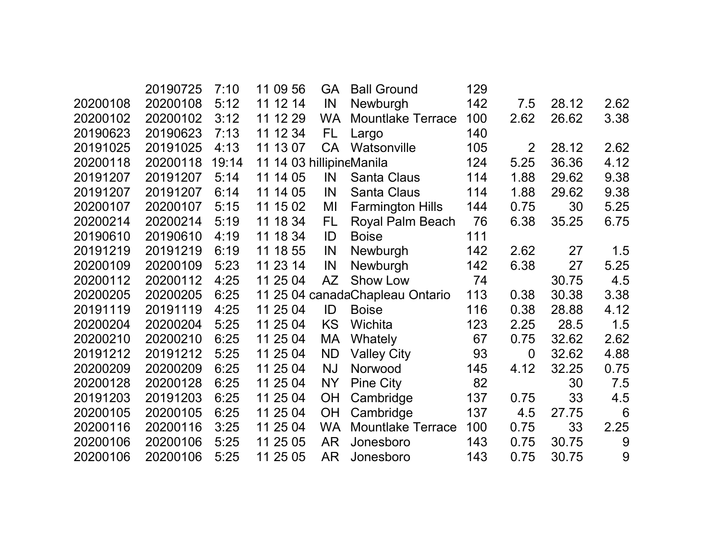|          | 20190725 | 7:10  | 11 09 56                 | <b>GA</b> | <b>Ball Ground</b>              | 129 |                |       |      |
|----------|----------|-------|--------------------------|-----------|---------------------------------|-----|----------------|-------|------|
| 20200108 | 20200108 | 5:12  | 11 12 14                 | IN        | Newburgh                        | 142 | 7.5            | 28.12 | 2.62 |
| 20200102 | 20200102 | 3:12  | 11 12 29                 | <b>WA</b> | <b>Mountlake Terrace</b>        | 100 | 2.62           | 26.62 | 3.38 |
| 20190623 | 20190623 | 7:13  | 11 12 34                 | FL.       | Largo                           | 140 |                |       |      |
| 20191025 | 20191025 | 4:13  | 11 13 07                 | <b>CA</b> | Watsonville                     | 105 | 2              | 28.12 | 2.62 |
| 20200118 | 20200118 | 19:14 | 11 14 03 hillipineManila |           |                                 | 124 | 5.25           | 36.36 | 4.12 |
| 20191207 | 20191207 | 5:14  | 11 14 05                 | IN        | <b>Santa Claus</b>              | 114 | 1.88           | 29.62 | 9.38 |
| 20191207 | 20191207 | 6:14  | 14 05<br>11              | IN        | <b>Santa Claus</b>              | 114 | 1.88           | 29.62 | 9.38 |
| 20200107 | 20200107 | 5:15  | 11 15 02                 | MI        | <b>Farmington Hills</b>         | 144 | 0.75           | 30    | 5.25 |
| 20200214 | 20200214 | 5:19  | 11 18 34                 | FL.       | Royal Palm Beach                | 76  | 6.38           | 35.25 | 6.75 |
| 20190610 | 20190610 | 4:19  | 11 18 34                 | ID        | <b>Boise</b>                    | 111 |                |       |      |
| 20191219 | 20191219 | 6:19  | 11 18 55                 | IN        | Newburgh                        | 142 | 2.62           | 27    | 1.5  |
| 20200109 | 20200109 | 5:23  | 11 23 14                 | IN        | Newburgh                        | 142 | 6.38           | 27    | 5.25 |
| 20200112 | 20200112 | 4:25  | 11 25 04                 | <b>AZ</b> | Show Low                        | 74  |                | 30.75 | 4.5  |
| 20200205 | 20200205 | 6:25  |                          |           | 11 25 04 canadaChapleau Ontario | 113 | 0.38           | 30.38 | 3.38 |
| 20191119 | 20191119 | 4:25  | 11 25 04                 | ID        | <b>Boise</b>                    | 116 | 0.38           | 28.88 | 4.12 |
| 20200204 | 20200204 | 5:25  | 11 25 04                 | <b>KS</b> | Wichita                         | 123 | 2.25           | 28.5  | 1.5  |
| 20200210 | 20200210 | 6:25  | 11 25 04                 | MA        | Whately                         | 67  | 0.75           | 32.62 | 2.62 |
| 20191212 | 20191212 | 5:25  | 11 25 04                 | ND        | <b>Valley City</b>              | 93  | $\overline{0}$ | 32.62 | 4.88 |
| 20200209 | 20200209 | 6:25  | 11 25 04                 | <b>NJ</b> | Norwood                         | 145 | 4.12           | 32.25 | 0.75 |
| 20200128 | 20200128 | 6:25  | 11 25 04                 | <b>NY</b> | <b>Pine City</b>                | 82  |                | 30    | 7.5  |
| 20191203 | 20191203 | 6:25  | 11 25 04                 | <b>OH</b> | Cambridge                       | 137 | 0.75           | 33    | 4.5  |
| 20200105 | 20200105 | 6:25  | 11 25 04                 | <b>OH</b> | Cambridge                       | 137 | 4.5            | 27.75 | 6    |
| 20200116 | 20200116 | 3:25  | 11 25 04                 | <b>WA</b> | <b>Mountlake Terrace</b>        | 100 | 0.75           | 33    | 2.25 |
| 20200106 | 20200106 | 5:25  | 11 25 05                 | <b>AR</b> | Jonesboro                       | 143 | 0.75           | 30.75 | 9    |
| 20200106 | 20200106 | 5:25  | 11 25 05                 | AR        | Jonesboro                       | 143 | 0.75           | 30.75 | 9    |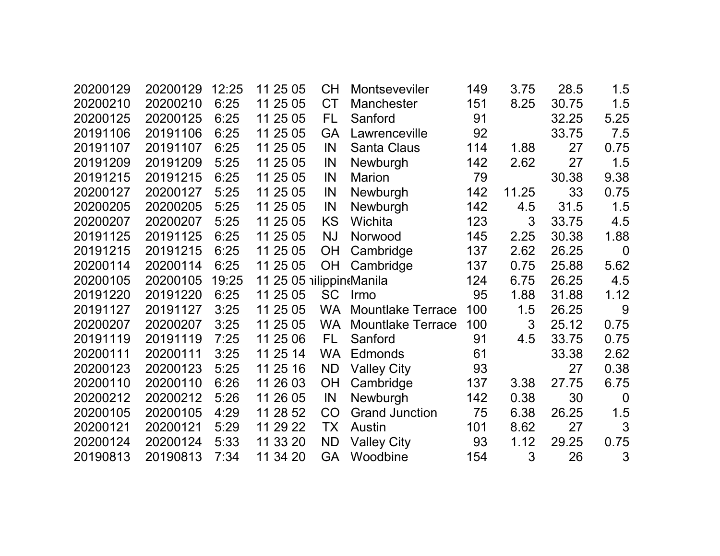| 20200129 | 20200129 | 12:25 | 11 25 05                 | <b>CH</b> | Montseveviler            | 149 | 3.75  | 28.5  | 1.5              |
|----------|----------|-------|--------------------------|-----------|--------------------------|-----|-------|-------|------------------|
| 20200210 | 20200210 | 6:25  | 11 25 05                 | <b>CT</b> | <b>Manchester</b>        | 151 | 8.25  | 30.75 | 1.5              |
| 20200125 | 20200125 | 6:25  | 11 25 05                 | FL        | Sanford                  | 91  |       | 32.25 | 5.25             |
| 20191106 | 20191106 | 6:25  | 11 25 05                 | <b>GA</b> | Lawrenceville            | 92  |       | 33.75 | 7.5              |
| 20191107 | 20191107 | 6:25  | 11 25 05                 | IN        | <b>Santa Claus</b>       | 114 | 1.88  | 27    | 0.75             |
| 20191209 | 20191209 | 5:25  | 11 25 05                 | IN        | Newburgh                 | 142 | 2.62  | 27    | 1.5              |
| 20191215 | 20191215 | 6:25  | 11 25 05                 | IN        | Marion                   | 79  |       | 30.38 | 9.38             |
| 20200127 | 20200127 | 5:25  | 11 25 05                 | IN        | Newburgh                 | 142 | 11.25 | 33    | 0.75             |
| 20200205 | 20200205 | 5:25  | 11 25 05                 | IN        | Newburgh                 | 142 | 4.5   | 31.5  | 1.5              |
| 20200207 | 20200207 | 5:25  | 11 25 05                 | KS        | Wichita                  | 123 | 3     | 33.75 | 4.5              |
| 20191125 | 20191125 | 6:25  | 11 25 05                 | <b>NJ</b> | Norwood                  | 145 | 2.25  | 30.38 | 1.88             |
| 20191215 | 20191215 | 6:25  | 11 25 05                 | <b>OH</b> | Cambridge                | 137 | 2.62  | 26.25 | $\overline{0}$   |
| 20200114 | 20200114 | 6:25  | 11 25 05                 | <b>OH</b> | Cambridge                | 137 | 0.75  | 25.88 | 5.62             |
| 20200105 | 20200105 | 19:25 | 11 25 05 nilippin Manila |           |                          | 124 | 6.75  | 26.25 | 4.5              |
| 20191220 | 20191220 | 6:25  | 11 25 05                 | <b>SC</b> | Irmo                     | 95  | 1.88  | 31.88 | 1.12             |
| 20191127 | 20191127 | 3:25  | 11 25 05                 | <b>WA</b> | <b>Mountlake Terrace</b> | 100 | 1.5   | 26.25 | 9                |
| 20200207 | 20200207 | 3:25  | 11 25 05                 | <b>WA</b> | <b>Mountlake Terrace</b> | 100 | 3     | 25.12 | 0.75             |
| 20191119 | 20191119 | 7:25  | 11 25 06                 | FL        | Sanford                  | 91  | 4.5   | 33.75 | 0.75             |
| 20200111 | 20200111 | 3:25  | 11 25 14                 | <b>WA</b> | <b>Edmonds</b>           | 61  |       | 33.38 | 2.62             |
| 20200123 | 20200123 | 5:25  | 11 25 16                 | <b>ND</b> | Valley City              | 93  |       | 27    | 0.38             |
| 20200110 | 20200110 | 6:26  | 26 03<br>11              | OH        | Cambridge                | 137 | 3.38  | 27.75 | 6.75             |
| 20200212 | 20200212 | 5:26  | 11 26 05                 | IN        | Newburgh                 | 142 | 0.38  | 30    | $\boldsymbol{0}$ |
| 20200105 | 20200105 | 4:29  | 28 52<br>11              | CO        | <b>Grand Junction</b>    | 75  | 6.38  | 26.25 | 1.5              |
| 20200121 | 20200121 | 5:29  | 29 22<br>11              | ТX        | Austin                   | 101 | 8.62  | 27    | 3                |
| 20200124 | 20200124 | 5:33  | 33 20<br>11              | <b>ND</b> | <b>Valley City</b>       | 93  | 1.12  | 29.25 | 0.75             |
| 20190813 | 20190813 | 7:34  | 34 20<br>11              | <b>GA</b> | Woodbine                 | 154 | 3     | 26    | 3                |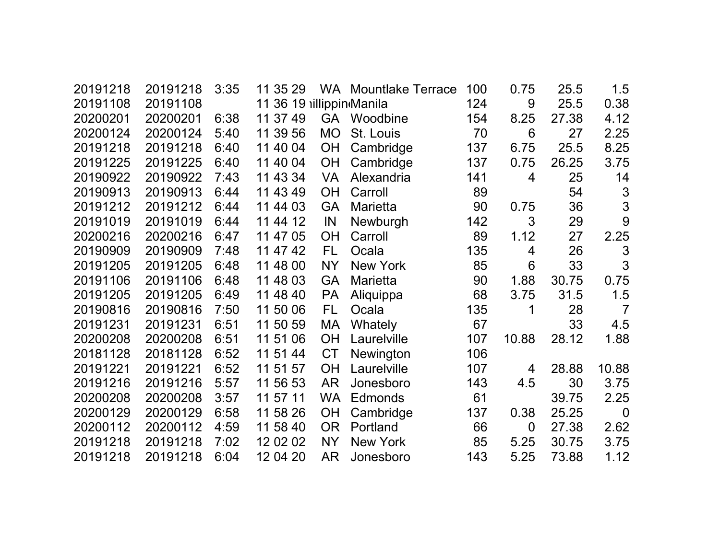| 20191218 | 20191218 | 3:35 | 11 35 29                 |           | <b>WA</b> Mountlake Terrace | 100 | 0.75           | 25.5  | 1.5            |
|----------|----------|------|--------------------------|-----------|-----------------------------|-----|----------------|-------|----------------|
| 20191108 | 20191108 |      | 11 36 19 illippin Manila |           |                             | 124 | 9              | 25.5  | 0.38           |
| 20200201 | 20200201 | 6:38 | 11 37 49                 |           | GA Woodbine                 | 154 | 8.25           | 27.38 | 4.12           |
| 20200124 | 20200124 | 5:40 | 11 39 56                 | <b>MO</b> | St. Louis                   | 70  | 6              | 27    | 2.25           |
| 20191218 | 20191218 | 6:40 | 11 40 04                 | OH        | Cambridge                   | 137 | 6.75           | 25.5  | 8.25           |
| 20191225 | 20191225 | 6:40 | 11 40 04                 | OH        | Cambridge                   | 137 | 0.75           | 26.25 | 3.75           |
| 20190922 | 20190922 | 7:43 | 11 43 34                 | <b>VA</b> | Alexandria                  | 141 | 4              | 25    | 14             |
| 20190913 | 20190913 | 6:44 | 11 43 49                 | <b>OH</b> | Carroll                     | 89  |                | 54    | 3              |
| 20191212 | 20191212 | 6:44 | 11 44 03                 | <b>GA</b> | <b>Marietta</b>             | 90  | 0.75           | 36    | 3              |
| 20191019 | 20191019 | 6:44 | 11 44 12                 | IN        | Newburgh                    | 142 | 3              | 29    | 9              |
| 20200216 | 20200216 | 6:47 | 11 47 05                 | <b>OH</b> | Carroll                     | 89  | 1.12           | 27    | 2.25           |
| 20190909 | 20190909 | 7:48 | 11 47 42                 | FL        | Ocala                       | 135 | 4              | 26    | 3              |
| 20191205 | 20191205 | 6:48 | 11 48 00                 | <b>NY</b> | <b>New York</b>             | 85  | 6              | 33    | 3              |
| 20191106 | 20191106 | 6:48 | 11 48 03                 | <b>GA</b> | <b>Marietta</b>             | 90  | 1.88           | 30.75 | 0.75           |
| 20191205 | 20191205 | 6:49 | 11 48 40                 | <b>PA</b> | Aliquippa                   | 68  | 3.75           | 31.5  | 1.5            |
| 20190816 | 20190816 | 7:50 | 11 50 06                 | FL        | Ocala                       | 135 | 1              | 28    | $\overline{7}$ |
| 20191231 | 20191231 | 6:51 | 11 50 59                 | MA        | Whately                     | 67  |                | 33    | 4.5            |
| 20200208 | 20200208 | 6:51 | 11 51 06                 | <b>OH</b> | Laurelville                 | 107 | 10.88          | 28.12 | 1.88           |
| 20181128 | 20181128 | 6:52 | 11 51 44                 | <b>CT</b> | Newington                   | 106 |                |       |                |
| 20191221 | 20191221 | 6:52 | 11 51 57                 | <b>OH</b> | Laurelville                 | 107 | 4              | 28.88 | 10.88          |
| 20191216 | 20191216 | 5:57 | 56 53<br>11              | AR        | Jonesboro                   | 143 | 4.5            | 30    | 3.75           |
| 20200208 | 20200208 | 3:57 | 11 57 11                 | <b>WA</b> | <b>Edmonds</b>              | 61  |                | 39.75 | 2.25           |
| 20200129 | 20200129 | 6:58 | 11 58 26                 | <b>OH</b> | Cambridge                   | 137 | 0.38           | 25.25 | $\overline{0}$ |
| 20200112 | 20200112 | 4:59 | 11 58 40                 | <b>OR</b> | Portland                    | 66  | $\overline{0}$ | 27.38 | 2.62           |
| 20191218 | 20191218 | 7:02 | 12 02 02                 | <b>NY</b> | New York                    | 85  | 5.25           | 30.75 | 3.75           |
| 20191218 | 20191218 | 6:04 | 12 04 20                 | <b>AR</b> | Jonesboro                   | 143 | 5.25           | 73.88 | 1.12           |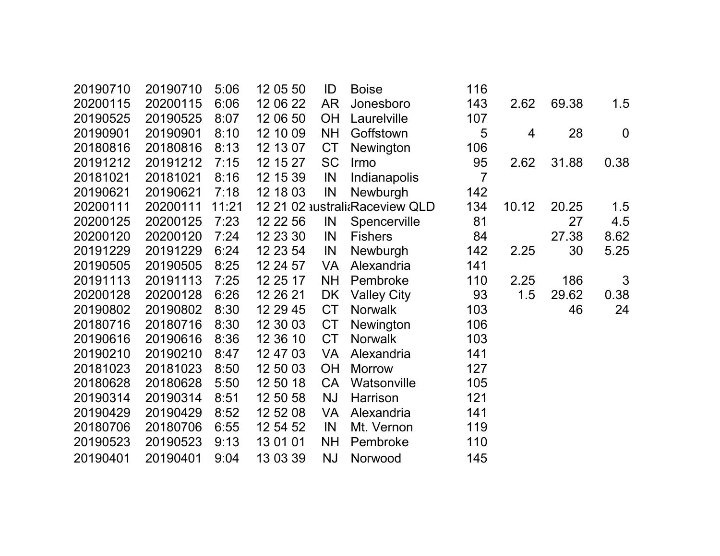| 20190710 | 20190710 | 5:06  | 12 05 50 | ID        | <b>Boise</b>                   | 116            |       |       |                |
|----------|----------|-------|----------|-----------|--------------------------------|----------------|-------|-------|----------------|
| 20200115 | 20200115 | 6:06  | 12 06 22 | <b>AR</b> | Jonesboro                      | 143            | 2.62  | 69.38 | 1.5            |
| 20190525 | 20190525 | 8:07  | 12 06 50 | <b>OH</b> | Laurelville                    | 107            |       |       |                |
| 20190901 | 20190901 | 8:10  | 12 10 09 | <b>NH</b> | Goffstown                      | 5              | 4     | 28    | $\overline{0}$ |
| 20180816 | 20180816 | 8:13  | 12 13 07 | <b>CT</b> | <b>Newington</b>               | 106            |       |       |                |
| 20191212 | 20191212 | 7:15  | 12 15 27 | <b>SC</b> | Irmo                           | 95             | 2.62  | 31.88 | 0.38           |
| 20181021 | 20181021 | 8:16  | 12 15 39 | IN        | Indianapolis                   | $\overline{7}$ |       |       |                |
| 20190621 | 20190621 | 7:18  | 12 18 03 | IN        | Newburgh                       | 142            |       |       |                |
| 20200111 | 20200111 | 11:21 |          |           | 12 21 02 australi Raceview QLD | 134            | 10.12 | 20.25 | 1.5            |
| 20200125 | 20200125 | 7:23  | 12 22 56 | IN        | Spencerville                   | 81             |       | 27    | 4.5            |
| 20200120 | 20200120 | 7:24  | 12 23 30 | IN        | <b>Fishers</b>                 | 84             |       | 27.38 | 8.62           |
| 20191229 | 20191229 | 6:24  | 12 23 54 | IN        | Newburgh                       | 142            | 2.25  | 30    | 5.25           |
| 20190505 | 20190505 | 8:25  | 12 24 57 | <b>VA</b> | Alexandria                     | 141            |       |       |                |
| 20191113 | 20191113 | 7:25  | 12 25 17 | <b>NH</b> | Pembroke                       | 110            | 2.25  | 186   | 3              |
| 20200128 | 20200128 | 6:26  | 12 26 21 | <b>DK</b> | <b>Valley City</b>             | 93             | 1.5   | 29.62 | 0.38           |
| 20190802 | 20190802 | 8:30  | 12 29 45 | <b>CT</b> | <b>Norwalk</b>                 | 103            |       | 46    | 24             |
| 20180716 | 20180716 | 8:30  | 12 30 03 | <b>CT</b> | Newington                      | 106            |       |       |                |
| 20190616 | 20190616 | 8:36  | 12 36 10 | <b>CT</b> | <b>Norwalk</b>                 | 103            |       |       |                |
| 20190210 | 20190210 | 8:47  | 12 47 03 | <b>VA</b> | Alexandria                     | 141            |       |       |                |
| 20181023 | 20181023 | 8:50  | 12 50 03 | <b>OH</b> | <b>Morrow</b>                  | 127            |       |       |                |
| 20180628 | 20180628 | 5:50  | 12 50 18 | <b>CA</b> | Watsonville                    | 105            |       |       |                |
| 20190314 | 20190314 | 8:51  | 12 50 58 | <b>NJ</b> | Harrison                       | 121            |       |       |                |
| 20190429 | 20190429 | 8:52  | 12 52 08 | VA        | Alexandria                     | 141            |       |       |                |
| 20180706 | 20180706 | 6:55  | 12 54 52 | IN        | Mt. Vernon                     | 119            |       |       |                |
| 20190523 | 20190523 | 9:13  | 13 01 01 | <b>NH</b> | Pembroke                       | 110            |       |       |                |
| 20190401 | 20190401 | 9:04  | 13 03 39 | <b>NJ</b> | Norwood                        | 145            |       |       |                |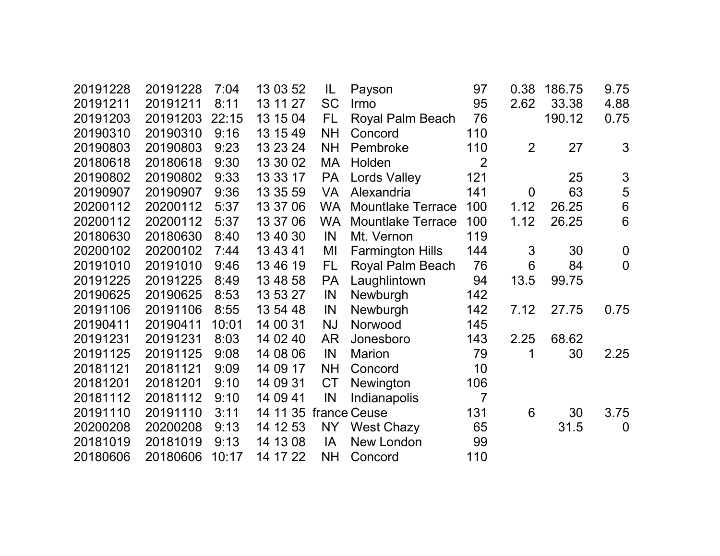| 20191228 | 20191228 | 7:04  | 13 03 52 | IL        | Payson                   | 97             | 0.38            | 186.75 | 9.75             |
|----------|----------|-------|----------|-----------|--------------------------|----------------|-----------------|--------|------------------|
| 20191211 | 20191211 | 8:11  | 13 11 27 | <b>SC</b> | Irmo                     | 95             | 2.62            | 33.38  | 4.88             |
| 20191203 | 20191203 | 22:15 | 13 15 04 | FL.       | Royal Palm Beach         | 76             |                 | 190.12 | 0.75             |
| 20190310 | 20190310 | 9:16  | 13 15 49 | <b>NH</b> | Concord                  | 110            |                 |        |                  |
| 20190803 | 20190803 | 9:23  | 13 23 24 | <b>NH</b> | Pembroke                 | 110            | $\overline{2}$  | 27     | 3                |
| 20180618 | 20180618 | 9:30  | 13 30 02 | <b>MA</b> | Holden                   | $\overline{2}$ |                 |        |                  |
| 20190802 | 20190802 | 9:33  | 13 33 17 | <b>PA</b> | <b>Lords Valley</b>      | 121            |                 | 25     | $\mathfrak{S}$   |
| 20190907 | 20190907 | 9:36  | 13 35 59 | <b>VA</b> | Alexandria               | 141            | $\mathbf 0$     | 63     | 5                |
| 20200112 | 20200112 | 5:37  | 13 37 06 | <b>WA</b> | <b>Mountlake Terrace</b> | 100            | 1.12            | 26.25  | $6\phantom{1}6$  |
| 20200112 | 20200112 | 5:37  | 13 37 06 | <b>WA</b> | <b>Mountlake Terrace</b> | 100            | 1.12            | 26.25  | $6\phantom{1}6$  |
| 20180630 | 20180630 | 8:40  | 13 40 30 | IN        | Mt. Vernon               | 119            |                 |        |                  |
| 20200102 | 20200102 | 7:44  | 13 43 41 | MI        | <b>Farmington Hills</b>  | 144            | 3               | 30     | $\boldsymbol{0}$ |
| 20191010 | 20191010 | 9:46  | 13 46 19 | FL        | Royal Palm Beach         | 76             | $6\phantom{1}6$ | 84     | $\overline{0}$   |
| 20191225 | 20191225 | 8:49  | 13 48 58 | <b>PA</b> | Laughlintown             | 94             | 13.5            | 99.75  |                  |
| 20190625 | 20190625 | 8:53  | 13 53 27 | IN        | Newburgh                 | 142            |                 |        |                  |
| 20191106 | 20191106 | 8:55  | 13 54 48 | IN        | Newburgh                 | 142            | 7.12            | 27.75  | 0.75             |
| 20190411 | 20190411 | 10:01 | 14 00 31 | <b>NJ</b> | Norwood                  | 145            |                 |        |                  |
| 20191231 | 20191231 | 8:03  | 14 02 40 | <b>AR</b> | Jonesboro                | 143            | 2.25            | 68.62  |                  |
| 20191125 | 20191125 | 9:08  | 14 08 06 | IN        | <b>Marion</b>            | 79             | 1               | 30     | 2.25             |
| 20181121 | 20181121 | 9:09  | 14 09 17 | <b>NH</b> | Concord                  | 10             |                 |        |                  |
| 20181201 | 20181201 | 9:10  | 14 09 31 | <b>CT</b> | Newington                | 106            |                 |        |                  |
| 20181112 | 20181112 | 9:10  | 14 09 41 | IN        | Indianapolis             | $\overline{7}$ |                 |        |                  |
| 20191110 | 20191110 | 3:11  | 14 11 35 |           | france Ceuse             | 131            | 6               | 30     | 3.75             |
| 20200208 | 20200208 | 9:13  | 14 12 53 | <b>NY</b> | <b>West Chazy</b>        | 65             |                 | 31.5   | $\mathbf 0$      |
| 20181019 | 20181019 | 9:13  | 14 13 08 | IA        | New London               | 99             |                 |        |                  |
| 20180606 | 20180606 | 10:17 | 14 17 22 | <b>NH</b> | Concord                  | 110            |                 |        |                  |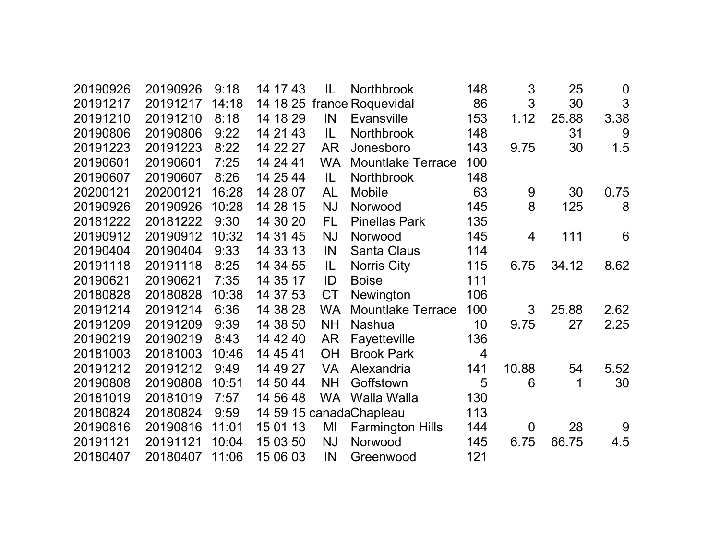| 20190926 | 20190926 | 9:18  | 14 17 43 | IL        | Northbrook               | 148 | 3              | 25    | $\boldsymbol{0}$ |
|----------|----------|-------|----------|-----------|--------------------------|-----|----------------|-------|------------------|
| 20191217 | 20191217 | 14:18 | 14 18 25 |           | france Roquevidal        | 86  | 3              | 30    | 3                |
| 20191210 | 20191210 | 8:18  | 14 18 29 | IN        | <b>Evansville</b>        | 153 | 1.12           | 25.88 | 3.38             |
| 20190806 | 20190806 | 9:22  | 14 21 43 | IL        | <b>Northbrook</b>        | 148 |                | 31    | 9                |
| 20191223 | 20191223 | 8:22  | 14 22 27 | <b>AR</b> | Jonesboro                | 143 | 9.75           | 30    | 1.5              |
| 20190601 | 20190601 | 7:25  | 14 24 41 | <b>WA</b> | <b>Mountlake Terrace</b> | 100 |                |       |                  |
| 20190607 | 20190607 | 8:26  | 14 25 44 | IL        | Northbrook               | 148 |                |       |                  |
| 20200121 | 20200121 | 16:28 | 14 28 07 | <b>AL</b> | <b>Mobile</b>            | 63  | 9              | 30    | 0.75             |
| 20190926 | 20190926 | 10:28 | 14 28 15 | <b>NJ</b> | Norwood                  | 145 | 8              | 125   | 8                |
| 20181222 | 20181222 | 9:30  | 14 30 20 | FL.       | <b>Pinellas Park</b>     | 135 |                |       |                  |
| 20190912 | 20190912 | 10:32 | 14 31 45 | <b>NJ</b> | Norwood                  | 145 | 4              | 111   | 6                |
| 20190404 | 20190404 | 9:33  | 14 33 13 | IN        | <b>Santa Claus</b>       | 114 |                |       |                  |
| 20191118 | 20191118 | 8:25  | 14 34 55 | IL.       | <b>Norris City</b>       | 115 | 6.75           | 34.12 | 8.62             |
| 20190621 | 20190621 | 7:35  | 14 35 17 | ID        | <b>Boise</b>             | 111 |                |       |                  |
| 20180828 | 20180828 | 10:38 | 14 37 53 | <b>CT</b> | Newington                | 106 |                |       |                  |
| 20191214 | 20191214 | 6:36  | 14 38 28 | <b>WA</b> | <b>Mountlake Terrace</b> | 100 | 3              | 25.88 | 2.62             |
| 20191209 | 20191209 | 9:39  | 14 38 50 | <b>NH</b> | <b>Nashua</b>            | 10  | 9.75           | 27    | 2.25             |
| 20190219 | 20190219 | 8:43  | 14 42 40 | <b>AR</b> | Fayetteville             | 136 |                |       |                  |
| 20181003 | 20181003 | 10:46 | 14 45 41 | <b>OH</b> | <b>Brook Park</b>        | 4   |                |       |                  |
| 20191212 | 20191212 | 9:49  | 14 49 27 | <b>VA</b> | Alexandria               | 141 | 10.88          | 54    | 5.52             |
| 20190808 | 20190808 | 10:51 | 14 50 44 | <b>NH</b> | Goffstown                | 5   | 6              | 1     | 30               |
| 20181019 | 20181019 | 7:57  | 14 56 48 | <b>WA</b> | Walla Walla              | 130 |                |       |                  |
| 20180824 | 20180824 | 9:59  |          |           | 14 59 15 canadaChapleau  | 113 |                |       |                  |
| 20190816 | 20190816 | 11:01 | 15 01 13 | MI        | <b>Farmington Hills</b>  | 144 | $\overline{0}$ | 28    | 9                |
| 20191121 | 20191121 | 10:04 | 15 03 50 | <b>NJ</b> | Norwood                  | 145 | 6.75           | 66.75 | 4.5              |
| 20180407 | 20180407 | 11:06 | 15 06 03 | IN        | Greenwood                | 121 |                |       |                  |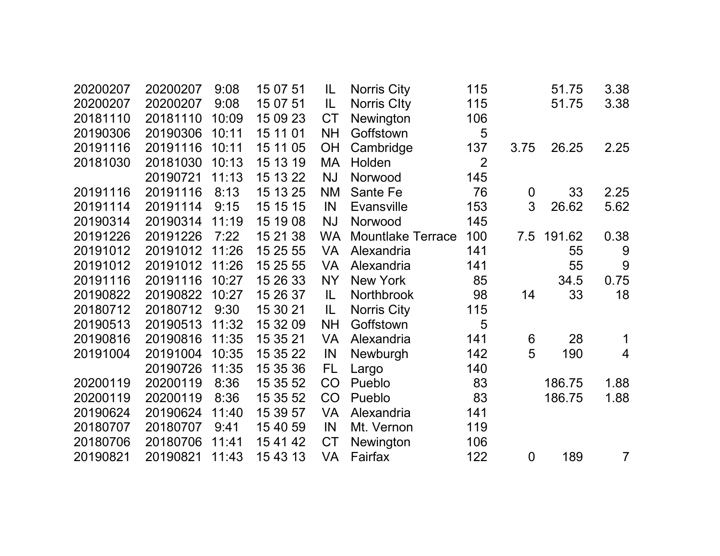| 20200207 | 20200207 | 9:08  | 15 07 51 | IL        | <b>Norris City</b>       | 115            |                | 51.75  | 3.38           |
|----------|----------|-------|----------|-----------|--------------------------|----------------|----------------|--------|----------------|
| 20200207 | 20200207 | 9:08  | 15 07 51 | IL        | Norris City              | 115            |                | 51.75  | 3.38           |
| 20181110 | 20181110 | 10:09 | 15 09 23 | <b>CT</b> | Newington                | 106            |                |        |                |
| 20190306 | 20190306 | 10:11 | 15 11 01 | <b>NH</b> | Goffstown                | 5              |                |        |                |
| 20191116 | 20191116 | 10:11 | 15 11 05 | OH        | Cambridge                | 137            | 3.75           | 26.25  | 2.25           |
| 20181030 | 20181030 | 10:13 | 15 13 19 | MA        | Holden                   | $\overline{2}$ |                |        |                |
|          | 20190721 | 11:13 | 15 13 22 | <b>NJ</b> | Norwood                  | 145            |                |        |                |
| 20191116 | 20191116 | 8:13  | 15 13 25 | <b>NM</b> | Sante Fe                 | 76             | $\mathbf 0$    | 33     | 2.25           |
| 20191114 | 20191114 | 9:15  | 15 15 15 | IN        | <b>Evansville</b>        | 153            | 3              | 26.62  | 5.62           |
| 20190314 | 20190314 | 11:19 | 15 19 08 | <b>NJ</b> | Norwood                  | 145            |                |        |                |
| 20191226 | 20191226 | 7:22  | 15 21 38 | <b>WA</b> | <b>Mountlake Terrace</b> | 100            | 7.5            | 191.62 | 0.38           |
| 20191012 | 20191012 | 11:26 | 15 25 55 | <b>VA</b> | Alexandria               | 141            |                | 55     | 9              |
| 20191012 | 20191012 | 11:26 | 15 25 55 | VA        | Alexandria               | 141            |                | 55     | 9              |
| 20191116 | 20191116 | 10:27 | 15 26 33 | <b>NY</b> | <b>New York</b>          | 85             |                | 34.5   | 0.75           |
| 20190822 | 20190822 | 10:27 | 15 26 37 | IL        | <b>Northbrook</b>        | 98             | 14             | 33     | 18             |
| 20180712 | 20180712 | 9:30  | 15 30 21 | IL.       | <b>Norris City</b>       | 115            |                |        |                |
| 20190513 | 20190513 | 11:32 | 15 32 09 | <b>NH</b> | Goffstown                | 5              |                |        |                |
| 20190816 | 20190816 | 11:35 | 15 35 21 | <b>VA</b> | Alexandria               | 141            | $6\phantom{1}$ | 28     | 1              |
| 20191004 | 20191004 | 10:35 | 15 35 22 | IN        | Newburgh                 | 142            | 5              | 190    | $\overline{4}$ |
|          | 20190726 | 11:35 | 15 35 36 | FL.       | Largo                    | 140            |                |        |                |
| 20200119 | 20200119 | 8:36  | 15 35 52 | CO        | Pueblo                   | 83             |                | 186.75 | 1.88           |
| 20200119 | 20200119 | 8:36  | 15 35 52 | CO        | Pueblo                   | 83             |                | 186.75 | 1.88           |
| 20190624 | 20190624 | 11:40 | 15 39 57 | <b>VA</b> | Alexandria               | 141            |                |        |                |
| 20180707 | 20180707 | 9:41  | 15 40 59 | IN        | Mt. Vernon               | 119            |                |        |                |
| 20180706 | 20180706 | 11:41 | 15 41 42 | <b>CT</b> | Newington                | 106            |                |        |                |
| 20190821 | 20190821 | 11:43 | 15 43 13 | VA        | Fairfax                  | 122            | $\mathbf 0$    | 189    | $\overline{7}$ |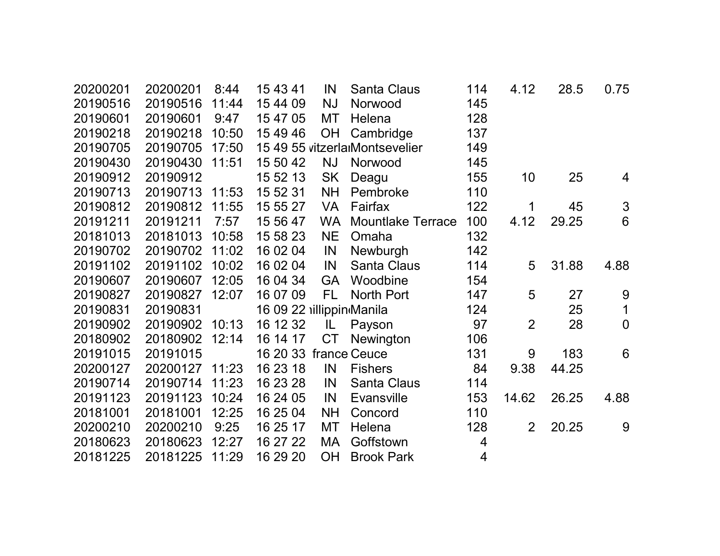| 20200201 | 20200201       | 8:44  | 15 43 41                 | IN        | <b>Santa Claus</b>             | 114            | 4.12           | 28.5  | 0.75           |  |
|----------|----------------|-------|--------------------------|-----------|--------------------------------|----------------|----------------|-------|----------------|--|
| 20190516 | 20190516       | 11:44 | 15 44 09                 | <b>NJ</b> | Norwood                        | 145            |                |       |                |  |
| 20190601 | 20190601       | 9:47  | 15 47 05                 | MT        | Helena                         | 128            |                |       |                |  |
| 20190218 | 20190218       | 10:50 | 15 49 46                 | OH        | Cambridge                      | 137            |                |       |                |  |
| 20190705 | 20190705 17:50 |       |                          |           | 15 49 55 vitzerlarMontsevelier | 149            |                |       |                |  |
| 20190430 | 20190430       | 11:51 | 15 50 42                 | <b>NJ</b> | Norwood                        | 145            |                |       |                |  |
| 20190912 | 20190912       |       | 15 52 13                 | <b>SK</b> | Deagu                          | 155            | 10             | 25    | 4              |  |
| 20190713 | 20190713 11:53 |       | 15 52 31                 | <b>NH</b> | Pembroke                       | 110            |                |       |                |  |
| 20190812 | 20190812       | 11:55 | 15 55 27                 | <b>VA</b> | Fairfax                        | 122            | 1              | 45    | $\mathfrak{S}$ |  |
| 20191211 | 20191211       | 7:57  | 15 56 47                 | <b>WA</b> | <b>Mountlake Terrace</b>       | 100            | 4.12           | 29.25 | 6              |  |
| 20181013 | 20181013       | 10:58 | 15 58 23                 | <b>NE</b> | Omaha                          | 132            |                |       |                |  |
| 20190702 | 20190702 11:02 |       | 16 02 04                 | IN        | Newburgh                       | 142            |                |       |                |  |
| 20191102 | 20191102       | 10:02 | 16 02 04                 | IN        | <b>Santa Claus</b>             | 114            | 5              | 31.88 | 4.88           |  |
| 20190607 | 20190607       | 12:05 | 16 04 34                 | <b>GA</b> | Woodbine                       | 154            |                |       |                |  |
| 20190827 | 20190827 12:07 |       | 16 07 09                 | FL.       | North Port                     | 147            | 5              | 27    | 9              |  |
| 20190831 | 20190831       |       | 16 09 22 illippin Manila |           |                                | 124            |                | 25    | $\mathbf 1$    |  |
| 20190902 | 20190902 10:13 |       | 16 12 32                 | L         | Payson                         | 97             | $\overline{2}$ | 28    | $\mathbf 0$    |  |
| 20180902 | 20180902 12:14 |       | 16 14 17                 | <b>CT</b> | <b>Newington</b>               | 106            |                |       |                |  |
| 20191015 | 20191015       |       | 16 20 33 france Ceuce    |           |                                | 131            | 9              | 183   | 6              |  |
| 20200127 | 20200127 11:23 |       | 16 23 18                 | IN        | <b>Fishers</b>                 | 84             | 9.38           | 44.25 |                |  |
| 20190714 | 20190714       | 11:23 | 16 23 28                 | IN        | <b>Santa Claus</b>             | 114            |                |       |                |  |
| 20191123 | 20191123       | 10:24 | 16 24 05                 | IN        | <b>Evansville</b>              | 153            | 14.62          | 26.25 | 4.88           |  |
| 20181001 | 20181001       | 12:25 | 16 25 04                 | <b>NH</b> | Concord                        | 110            |                |       |                |  |
| 20200210 | 20200210       | 9:25  | 16 25 17                 | MT        | Helena                         | 128            | 2              | 20.25 | 9              |  |
| 20180623 | 20180623       | 12:27 | 16 27 22                 | MA        | Goffstown                      | 4              |                |       |                |  |
| 20181225 | 20181225 11:29 |       | 16 29 20                 | <b>OH</b> | <b>Brook Park</b>              | $\overline{4}$ |                |       |                |  |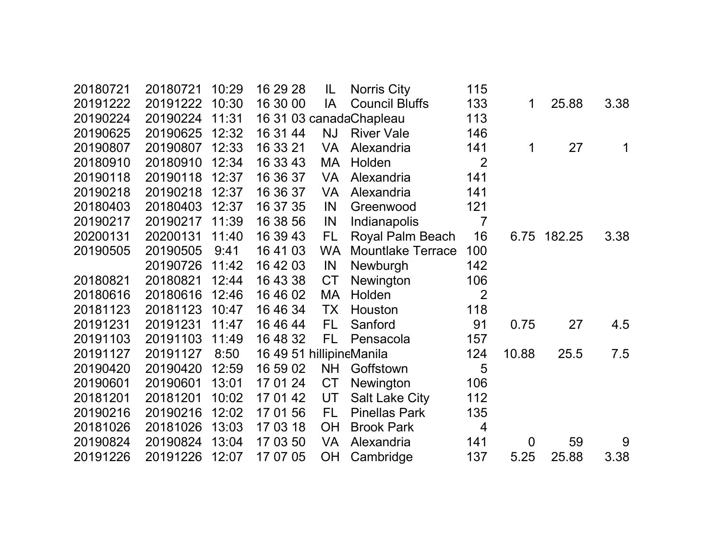| 20180721 | 20180721 | 10:29 | 16 29 28                 | IL        | <b>Norris City</b>       | 115            |             |        |      |
|----------|----------|-------|--------------------------|-----------|--------------------------|----------------|-------------|--------|------|
| 20191222 | 20191222 | 10:30 | 16 30 00                 | IA        | <b>Council Bluffs</b>    | 133            | 1           | 25.88  | 3.38 |
| 20190224 | 20190224 | 11:31 |                          |           | 16 31 03 canadaChapleau  | 113            |             |        |      |
| 20190625 | 20190625 | 12:32 | 16 31 44                 | <b>NJ</b> | <b>River Vale</b>        | 146            |             |        |      |
| 20190807 | 20190807 | 12:33 | 16 33 21                 | <b>VA</b> | Alexandria               | 141            | 1           | 27     | 1    |
| 20180910 | 20180910 | 12:34 | 16 33 43                 | MA        | Holden                   | $\overline{2}$ |             |        |      |
| 20190118 | 20190118 | 12:37 | 16 36 37                 | <b>VA</b> | Alexandria               | 141            |             |        |      |
| 20190218 | 20190218 | 12:37 | 16 36 37                 | <b>VA</b> | Alexandria               | 141            |             |        |      |
| 20180403 | 20180403 | 12:37 | 16 37 35                 | IN        | Greenwood                | 121            |             |        |      |
| 20190217 | 20190217 | 11:39 | 16 38 56                 | IN        | Indianapolis             | $\overline{7}$ |             |        |      |
| 20200131 | 20200131 | 11:40 | 16 39 43                 | FL.       | Royal Palm Beach         | 16             | 6.75        | 182.25 | 3.38 |
| 20190505 | 20190505 | 9:41  | 16 41 03                 | <b>WA</b> | <b>Mountlake Terrace</b> | 100            |             |        |      |
|          | 20190726 | 11:42 | 16 42 03                 | IN        | Newburgh                 | 142            |             |        |      |
| 20180821 | 20180821 | 12:44 | 16 43 38                 | <b>CT</b> | Newington                | 106            |             |        |      |
| 20180616 | 20180616 | 12:46 | 16 46 02                 | MA        | Holden                   | $\overline{2}$ |             |        |      |
| 20181123 | 20181123 | 10:47 | 16 46 34                 | <b>TX</b> | Houston                  | 118            |             |        |      |
| 20191231 | 20191231 | 11:47 | 16 46 44                 | FL.       | Sanford                  | 91             | 0.75        | 27     | 4.5  |
| 20191103 | 20191103 | 11:49 | 16 48 32                 | FL.       | Pensacola                | 157            |             |        |      |
| 20191127 | 20191127 | 8:50  | 16 49 51 hillipineManila |           |                          | 124            | 10.88       | 25.5   | 7.5  |
| 20190420 | 20190420 | 12:59 | 16 59 02                 | <b>NH</b> | Goffstown                | 5              |             |        |      |
| 20190601 | 20190601 | 13:01 | 17 01 24                 | <b>CT</b> | Newington                | 106            |             |        |      |
| 20181201 | 20181201 | 10:02 | 17 01 42                 | UT        | <b>Salt Lake City</b>    | 112            |             |        |      |
| 20190216 | 20190216 | 12:02 | 17 01 56                 | FL.       | <b>Pinellas Park</b>     | 135            |             |        |      |
| 20181026 | 20181026 | 13:03 | 17 03 18                 | <b>OH</b> | <b>Brook Park</b>        | $\overline{4}$ |             |        |      |
| 20190824 | 20190824 | 13:04 | 17 03 50                 | <b>VA</b> | Alexandria               | 141            | $\mathbf 0$ | 59     | 9    |
| 20191226 | 20191226 | 12:07 | 17 07 05                 | <b>OH</b> | Cambridge                | 137            | 5.25        | 25.88  | 3.38 |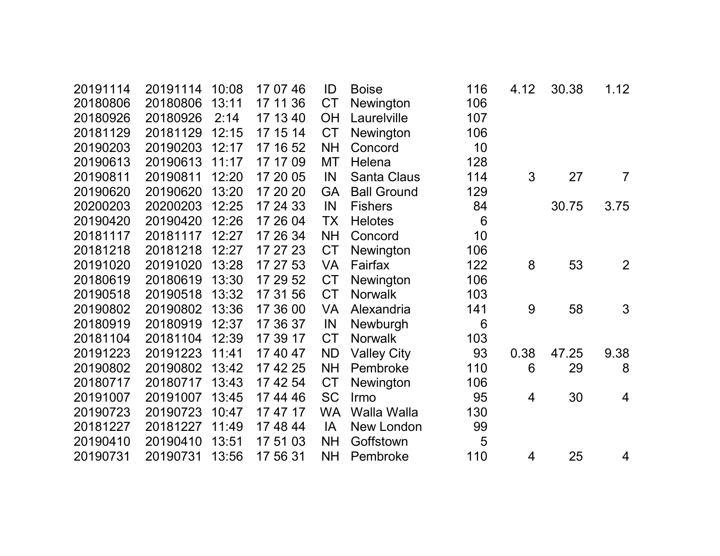| 20191114 | 20191114 | 10:08 | 17 07 46 | ID        | <b>Boise</b>       | 116             | 4.12 | 30.38 | 1.12           |
|----------|----------|-------|----------|-----------|--------------------|-----------------|------|-------|----------------|
| 20180806 | 20180806 | 13:11 | 17 11 36 | <b>CT</b> | Newington          | 106             |      |       |                |
| 20180926 | 20180926 | 2:14  | 17 13 40 | <b>OH</b> | Laurelville        | 107             |      |       |                |
| 20181129 | 20181129 | 12:15 | 17 15 14 | <b>CT</b> | Newington          | 106             |      |       |                |
| 20190203 | 20190203 | 12:17 | 17 16 52 | <b>NH</b> | Concord            | 10              |      |       |                |
| 20190613 | 20190613 | 11:17 | 17 17 09 | MT        | Helena             | 128             |      |       |                |
| 20190811 | 20190811 | 12:20 | 17 20 05 | IN        | <b>Santa Claus</b> | 114             | 3    | 27    | $\overline{7}$ |
| 20190620 | 20190620 | 13:20 | 17 20 20 | <b>GA</b> | <b>Ball Ground</b> | 129             |      |       |                |
| 20200203 | 20200203 | 12:25 | 17 24 33 | IN        | <b>Fishers</b>     | 84              |      | 30.75 | 3.75           |
| 20190420 | 20190420 | 12:26 | 17 26 04 | <b>TX</b> | <b>Helotes</b>     | $6\phantom{1}6$ |      |       |                |
| 20181117 | 20181117 | 12:27 | 17 26 34 | <b>NH</b> | Concord            | 10              |      |       |                |
| 20181218 | 20181218 | 12:27 | 17 27 23 | <b>CT</b> | Newington          | 106             |      |       |                |
| 20191020 | 20191020 | 13:28 | 17 27 53 | <b>VA</b> | Fairfax            | 122             | 8    | 53    | 2              |
| 20180619 | 20180619 | 13:30 | 17 29 52 | <b>CT</b> | Newington          | 106             |      |       |                |
| 20190518 | 20190518 | 13:32 | 17 31 56 | <b>CT</b> | <b>Norwalk</b>     | 103             |      |       |                |
| 20190802 | 20190802 | 13:36 | 17 36 00 | <b>VA</b> | Alexandria         | 141             | 9    | 58    | 3              |
| 20180919 | 20180919 | 12:37 | 17 36 37 | IN        | Newburgh           | 6               |      |       |                |
| 20181104 | 20181104 | 12:39 | 17 39 17 | <b>CT</b> | <b>Norwalk</b>     | 103             |      |       |                |
| 20191223 | 20191223 | 11:41 | 17 40 47 | <b>ND</b> | <b>Valley City</b> | 93              | 0.38 | 47.25 | 9.38           |
| 20190802 | 20190802 | 13:42 | 17 42 25 | <b>NH</b> | Pembroke           | 110             | 6    | 29    | 8              |
| 20180717 | 20180717 | 13:43 | 17 42 54 | <b>CT</b> | Newington          | 106             |      |       |                |
| 20191007 | 20191007 | 13:45 | 17 44 46 | <b>SC</b> | Irmo               | 95              | 4    | 30    | 4              |
| 20190723 | 20190723 | 10:47 | 17 47 17 | <b>WA</b> | <b>Walla Walla</b> | 130             |      |       |                |
| 20181227 | 20181227 | 11:49 | 17 48 44 | IA        | New London         | 99              |      |       |                |
| 20190410 | 20190410 | 13:51 | 17 51 03 | <b>NH</b> | Goffstown          | 5               |      |       |                |
| 20190731 | 20190731 | 13:56 | 17 56 31 | <b>NH</b> | Pembroke           | 110             | 4    | 25    | 4              |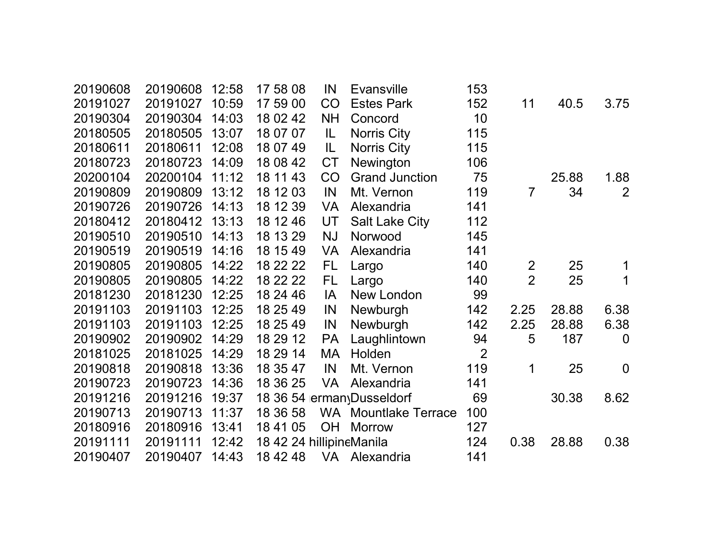| 20190608 | 20190608 | 12:58 | 17 58 08                 | IN        | <b>Evansville</b>           | 153            |                |       |                |
|----------|----------|-------|--------------------------|-----------|-----------------------------|----------------|----------------|-------|----------------|
| 20191027 | 20191027 | 10:59 | 17 59 00                 | CO        | <b>Estes Park</b>           | 152            | 11             | 40.5  | 3.75           |
| 20190304 | 20190304 | 14:03 | 18 02 42                 | <b>NH</b> | Concord                     | 10             |                |       |                |
| 20180505 | 20180505 | 13:07 | 18 07 07                 | IL        | Norris City                 | 115            |                |       |                |
| 20180611 | 20180611 | 12:08 | 18 07 49                 | IL        | <b>Norris City</b>          | 115            |                |       |                |
| 20180723 | 20180723 | 14:09 | 18 08 42                 | <b>CT</b> | Newington                   | 106            |                |       |                |
| 20200104 | 20200104 | 11:12 | 18 11 43                 | CO        | <b>Grand Junction</b>       | 75             |                | 25.88 | 1.88           |
| 20190809 | 20190809 | 13:12 | 18 12 03                 | IN        | Mt. Vernon                  | 119            | 7              | 34    | 2              |
| 20190726 | 20190726 | 14:13 | 18 12 39                 | <b>VA</b> | Alexandria                  | 141            |                |       |                |
| 20180412 | 20180412 | 13:13 | 18 12 46                 | UT        | <b>Salt Lake City</b>       | 112            |                |       |                |
| 20190510 | 20190510 | 14:13 | 18 13 29                 | <b>NJ</b> | Norwood                     | 145            |                |       |                |
| 20190519 | 20190519 | 14:16 | 18 15 49                 | <b>VA</b> | Alexandria                  | 141            |                |       |                |
| 20190805 | 20190805 | 14:22 | 18 22 22                 | FL        | Largo                       | 140            | $\overline{2}$ | 25    | 1              |
| 20190805 | 20190805 | 14:22 | 18 22 22                 | FL.       | Largo                       | 140            | $\overline{2}$ | 25    | 1              |
| 20181230 | 20181230 | 12:25 | 18 24 46                 | IA        | New London                  | 99             |                |       |                |
| 20191103 | 20191103 | 12:25 | 18 25 49                 | IN        | Newburgh                    | 142            | 2.25           | 28.88 | 6.38           |
| 20191103 | 20191103 | 12:25 | 18 25 49                 | IN        | Newburgh                    | 142            | 2.25           | 28.88 | 6.38           |
| 20190902 | 20190902 | 14:29 | 18 29 12                 | <b>PA</b> | Laughlintown                | 94             | 5              | 187   | $\overline{0}$ |
| 20181025 | 20181025 | 14:29 | 18 29 14                 | МA        | Holden                      | $\overline{2}$ |                |       |                |
| 20190818 | 20190818 | 13:36 | 18 35 47                 | IN        | Mt. Vernon                  | 119            | 1              | 25    | $\overline{0}$ |
| 20190723 | 20190723 | 14:36 | 18 36 25                 | <b>VA</b> | Alexandria                  | 141            |                |       |                |
| 20191216 | 20191216 | 19:37 |                          |           | 18 36 54 erman Dusseldorf   | 69             |                | 30.38 | 8.62           |
| 20190713 | 20190713 | 11:37 | 18 36 58                 |           | <b>WA</b> Mountlake Terrace | 100            |                |       |                |
| 20180916 | 20180916 | 13:41 | 18 41 05                 | <b>OH</b> | <b>Morrow</b>               | 127            |                |       |                |
| 20191111 | 20191111 | 12:42 | 18 42 24 hillipineManila |           |                             | 124            | 0.38           | 28.88 | 0.38           |
| 20190407 | 20190407 | 14:43 | 18 42 48                 |           | VA Alexandria               | 141            |                |       |                |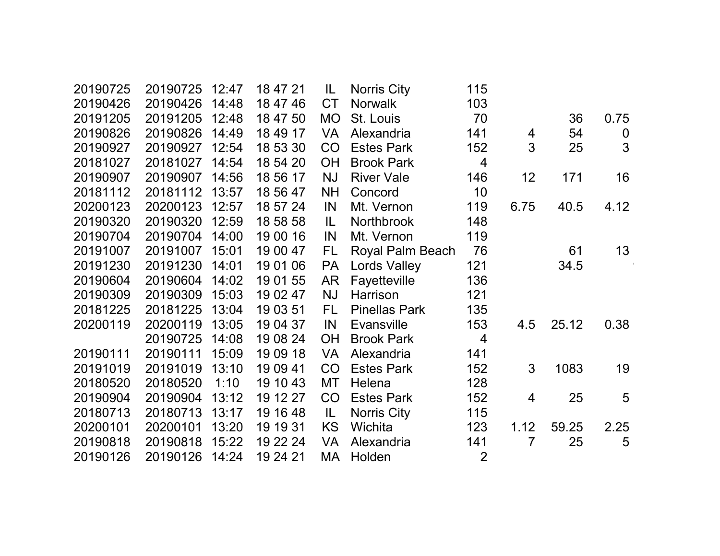| 20190725 | 20190725       | 12:47 | 18 47 21 | IL        | Norris City          | 115            |                |       |                  |  |
|----------|----------------|-------|----------|-----------|----------------------|----------------|----------------|-------|------------------|--|
| 20190426 | 20190426       | 14:48 | 18 47 46 | <b>CT</b> | <b>Norwalk</b>       | 103            |                |       |                  |  |
| 20191205 | 20191205       | 12:48 | 18 47 50 | <b>MO</b> | St. Louis            | 70             |                | 36    | 0.75             |  |
| 20190826 | 20190826       | 14:49 | 18 49 17 | VA        | Alexandria           | 141            | $\overline{4}$ | 54    | $\boldsymbol{0}$ |  |
| 20190927 | 20190927       | 12:54 | 18 53 30 | CO        | <b>Estes Park</b>    | 152            | 3              | 25    | 3                |  |
| 20181027 | 20181027       | 14:54 | 18 54 20 | <b>OH</b> | <b>Brook Park</b>    | $\overline{4}$ |                |       |                  |  |
| 20190907 | 20190907       | 14:56 | 18 56 17 | <b>NJ</b> | <b>River Vale</b>    | 146            | 12             | 171   | 16               |  |
| 20181112 | 20181112 13:57 |       | 18 56 47 | <b>NH</b> | Concord              | 10             |                |       |                  |  |
| 20200123 | 20200123       | 12:57 | 18 57 24 | IN        | Mt. Vernon           | 119            | 6.75           | 40.5  | 4.12             |  |
| 20190320 | 20190320       | 12:59 | 18 58 58 | IL        | <b>Northbrook</b>    | 148            |                |       |                  |  |
| 20190704 | 20190704       | 14:00 | 19 00 16 | IN        | Mt. Vernon           | 119            |                |       |                  |  |
| 20191007 | 20191007       | 15:01 | 19 00 47 | FL.       | Royal Palm Beach     | 76             |                | 61    | 13               |  |
| 20191230 | 20191230       | 14:01 | 19 01 06 | <b>PA</b> | <b>Lords Valley</b>  | 121            |                | 34.5  |                  |  |
| 20190604 | 20190604       | 14:02 | 19 01 55 | AR        | Fayetteville         | 136            |                |       |                  |  |
| 20190309 | 20190309       | 15:03 | 19 02 47 | <b>NJ</b> | Harrison             | 121            |                |       |                  |  |
| 20181225 | 20181225       | 13:04 | 19 03 51 | FL        | <b>Pinellas Park</b> | 135            |                |       |                  |  |
| 20200119 | 20200119       | 13:05 | 19 04 37 | IN        | <b>Evansville</b>    | 153            | 4.5            | 25.12 | 0.38             |  |
|          | 20190725       | 14:08 | 19 08 24 | <b>OH</b> | <b>Brook Park</b>    | 4              |                |       |                  |  |
| 20190111 | 20190111       | 15:09 | 19 09 18 | VA        | Alexandria           | 141            |                |       |                  |  |
| 20191019 | 20191019       | 13:10 | 19 09 41 | CO        | <b>Estes Park</b>    | 152            | 3              | 1083  | 19               |  |
| 20180520 | 20180520       | 1:10  | 19 10 43 | MT        | Helena               | 128            |                |       |                  |  |
| 20190904 | 20190904       | 13:12 | 19 12 27 | CO        | <b>Estes Park</b>    | 152            | $\overline{4}$ | 25    | 5                |  |
| 20180713 | 20180713       | 13:17 | 19 16 48 | IL        | Norris City          | 115            |                |       |                  |  |
| 20200101 | 20200101       | 13:20 | 19 19 31 | <b>KS</b> | Wichita              | 123            | 1.12           | 59.25 | 2.25             |  |
| 20190818 | 20190818       | 15:22 | 19 22 24 | VA        | Alexandria           | 141            | 7              | 25    | 5                |  |
| 20190126 | 20190126       | 14:24 | 19 24 21 | MA        | Holden               | $\overline{2}$ |                |       |                  |  |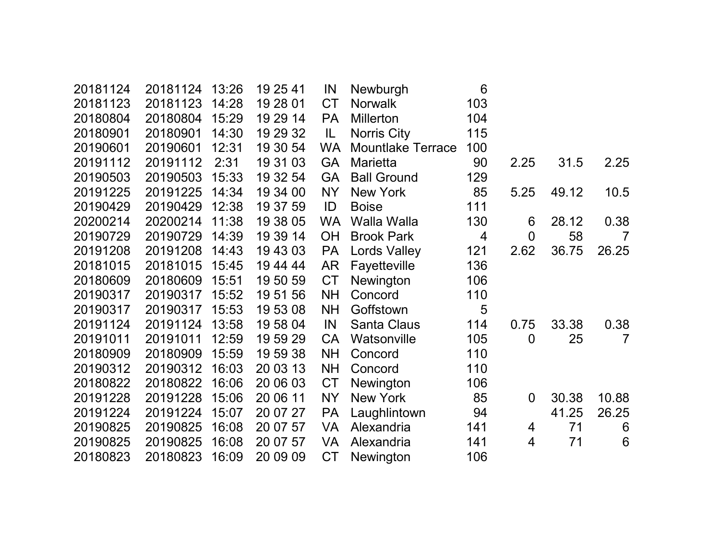| 20181124 | 20181124 | 13:26 | 19 25 41 | IN        | Newburgh                 | 6   |                |       |                 |
|----------|----------|-------|----------|-----------|--------------------------|-----|----------------|-------|-----------------|
| 20181123 | 20181123 | 14:28 | 19 28 01 | <b>CT</b> | <b>Norwalk</b>           | 103 |                |       |                 |
| 20180804 | 20180804 | 15:29 | 19 29 14 | <b>PA</b> | <b>Millerton</b>         | 104 |                |       |                 |
| 20180901 | 20180901 | 14:30 | 19 29 32 | IL        | Norris City              | 115 |                |       |                 |
| 20190601 | 20190601 | 12:31 | 19 30 54 | <b>WA</b> | <b>Mountlake Terrace</b> | 100 |                |       |                 |
| 20191112 | 20191112 | 2:31  | 19 31 03 | <b>GA</b> | <b>Marietta</b>          | 90  | 2.25           | 31.5  | 2.25            |
| 20190503 | 20190503 | 15:33 | 19 32 54 | <b>GA</b> | <b>Ball Ground</b>       | 129 |                |       |                 |
| 20191225 | 20191225 | 14:34 | 19 34 00 | <b>NY</b> | New York                 | 85  | 5.25           | 49.12 | 10.5            |
| 20190429 | 20190429 | 12:38 | 19 37 59 | ID        | <b>Boise</b>             | 111 |                |       |                 |
| 20200214 | 20200214 | 11:38 | 19 38 05 | <b>WA</b> | Walla Walla              | 130 | 6              | 28.12 | 0.38            |
| 20190729 | 20190729 | 14:39 | 19 39 14 | <b>OH</b> | <b>Brook Park</b>        | 4   | $\overline{0}$ | 58    | $\overline{7}$  |
| 20191208 | 20191208 | 14:43 | 19 43 03 | <b>PA</b> | <b>Lords Valley</b>      | 121 | 2.62           | 36.75 | 26.25           |
| 20181015 | 20181015 | 15:45 | 19 44 44 | AR        | Fayetteville             | 136 |                |       |                 |
| 20180609 | 20180609 | 15:51 | 19 50 59 | <b>CT</b> | Newington                | 106 |                |       |                 |
| 20190317 | 20190317 | 15:52 | 19 51 56 | <b>NH</b> | Concord                  | 110 |                |       |                 |
| 20190317 | 20190317 | 15:53 | 19 53 08 | <b>NH</b> | Goffstown                | 5   |                |       |                 |
| 20191124 | 20191124 | 13:58 | 19 58 04 | IN        | <b>Santa Claus</b>       | 114 | 0.75           | 33.38 | 0.38            |
| 20191011 | 20191011 | 12:59 | 19 59 29 | <b>CA</b> | Watsonville              | 105 | $\overline{0}$ | 25    | $\overline{7}$  |
| 20180909 | 20180909 | 15:59 | 19 59 38 | <b>NH</b> | Concord                  | 110 |                |       |                 |
| 20190312 | 20190312 | 16:03 | 20 03 13 | <b>NH</b> | Concord                  | 110 |                |       |                 |
| 20180822 | 20180822 | 16:06 | 20 06 03 | <b>CT</b> | Newington                | 106 |                |       |                 |
| 20191228 | 20191228 | 15:06 | 20 06 11 | <b>NY</b> | New York                 | 85  | $\overline{0}$ | 30.38 | 10.88           |
| 20191224 | 20191224 | 15:07 | 20 07 27 | <b>PA</b> | Laughlintown             | 94  |                | 41.25 | 26.25           |
| 20190825 | 20190825 | 16:08 | 20 07 57 | <b>VA</b> | Alexandria               | 141 | 4              | 71    | 6               |
| 20190825 | 20190825 | 16:08 | 20 07 57 | <b>VA</b> | Alexandria               | 141 | 4              | 71    | $6\phantom{1}6$ |
| 20180823 | 20180823 | 16:09 | 20 09 09 | <b>CT</b> | Newington                | 106 |                |       |                 |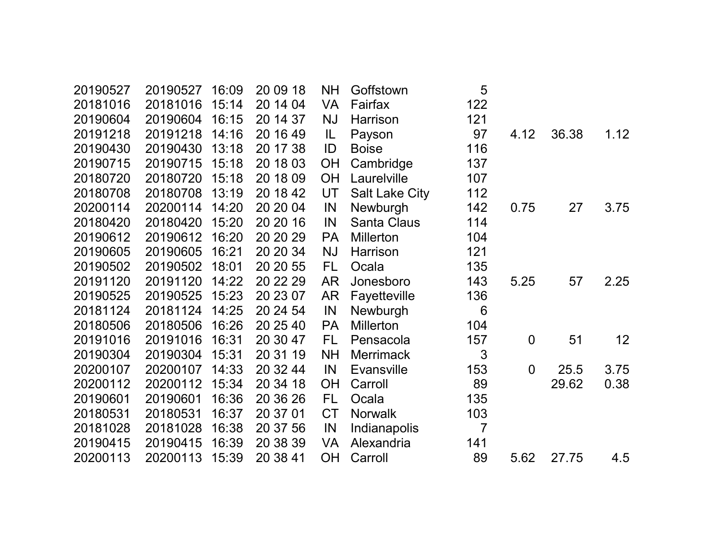| 20190527 | 20190527 | 16:09 | 20 09 18 | <b>NH</b> | Goffstown             | 5              |                |       |                 |
|----------|----------|-------|----------|-----------|-----------------------|----------------|----------------|-------|-----------------|
| 20181016 | 20181016 | 15:14 | 20 14 04 | <b>VA</b> | Fairfax               | 122            |                |       |                 |
| 20190604 | 20190604 | 16:15 | 20 14 37 | <b>NJ</b> | Harrison              | 121            |                |       |                 |
| 20191218 | 20191218 | 14:16 | 20 16 49 | IL        | Payson                | 97             | 4.12           | 36.38 | 1.12            |
| 20190430 | 20190430 | 13:18 | 20 17 38 | ID        | <b>Boise</b>          | 116            |                |       |                 |
| 20190715 | 20190715 | 15:18 | 20 18 03 | OH        | Cambridge             | 137            |                |       |                 |
| 20180720 | 20180720 | 15:18 | 20 18 09 | <b>OH</b> | Laurelville           | 107            |                |       |                 |
| 20180708 | 20180708 | 13:19 | 20 18 42 | UT        | <b>Salt Lake City</b> | 112            |                |       |                 |
| 20200114 | 20200114 | 14:20 | 20 20 04 | IN        | Newburgh              | 142            | 0.75           | 27    | 3.75            |
| 20180420 | 20180420 | 15:20 | 20 20 16 | IN        | <b>Santa Claus</b>    | 114            |                |       |                 |
| 20190612 | 20190612 | 16:20 | 20 20 29 | <b>PA</b> | <b>Millerton</b>      | 104            |                |       |                 |
| 20190605 | 20190605 | 16:21 | 20 20 34 | <b>NJ</b> | Harrison              | 121            |                |       |                 |
| 20190502 | 20190502 | 18:01 | 20 20 55 | FL        | Ocala                 | 135            |                |       |                 |
| 20191120 | 20191120 | 14:22 | 20 22 29 | <b>AR</b> | Jonesboro             | 143            | 5.25           | 57    | 2.25            |
| 20190525 | 20190525 | 15:23 | 20 23 07 | <b>AR</b> | Fayetteville          | 136            |                |       |                 |
| 20181124 | 20181124 | 14:25 | 20 24 54 | IN        | Newburgh              | 6              |                |       |                 |
| 20180506 | 20180506 | 16:26 | 20 25 40 | <b>PA</b> | <b>Millerton</b>      | 104            |                |       |                 |
| 20191016 | 20191016 | 16:31 | 20 30 47 | FL.       | Pensacola             | 157            | $\overline{0}$ | 51    | 12 <sub>2</sub> |
| 20190304 | 20190304 | 15:31 | 20 31 19 | <b>NH</b> | <b>Merrimack</b>      | 3              |                |       |                 |
| 20200107 | 20200107 | 14:33 | 20 32 44 | IN        | <b>Evansville</b>     | 153            | $\overline{0}$ | 25.5  | 3.75            |
| 20200112 | 20200112 | 15:34 | 20 34 18 | <b>OH</b> | Carroll               | 89             |                | 29.62 | 0.38            |
| 20190601 | 20190601 | 16:36 | 20 36 26 | FL.       | Ocala                 | 135            |                |       |                 |
| 20180531 | 20180531 | 16:37 | 20 37 01 | <b>CT</b> | <b>Norwalk</b>        | 103            |                |       |                 |
| 20181028 | 20181028 | 16:38 | 20 37 56 | IN        | Indianapolis          | $\overline{7}$ |                |       |                 |
| 20190415 | 20190415 | 16:39 | 20 38 39 | <b>VA</b> | Alexandria            | 141            |                |       |                 |
| 20200113 | 20200113 | 15:39 | 20 38 41 | <b>OH</b> | Carroll               | 89             | 5.62           | 27.75 | 4.5             |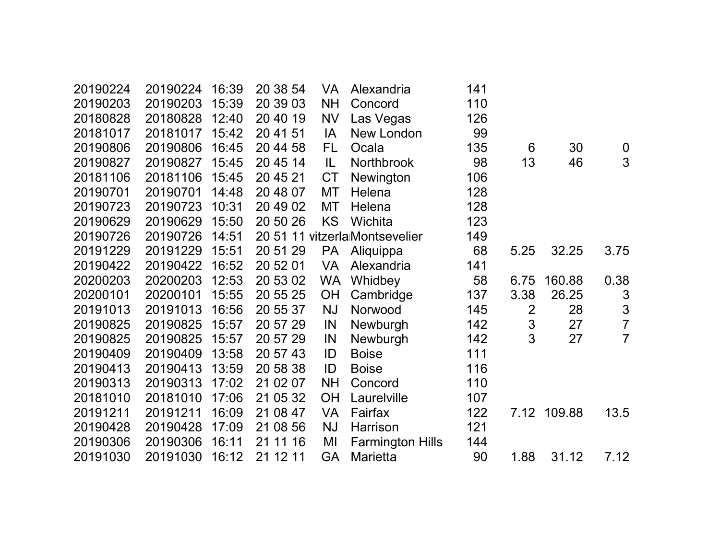| 20190224 | 20190224 | 16:39 | 20 38 54 | <b>VA</b> | Alexandria                     | 141 |                |             |                  |
|----------|----------|-------|----------|-----------|--------------------------------|-----|----------------|-------------|------------------|
| 20190203 | 20190203 | 15:39 | 20 39 03 | <b>NH</b> | Concord                        | 110 |                |             |                  |
| 20180828 | 20180828 | 12:40 | 20 40 19 | <b>NV</b> | Las Vegas                      | 126 |                |             |                  |
| 20181017 | 20181017 | 15:42 | 20 41 51 | IA        | New London                     | 99  |                |             |                  |
| 20190806 | 20190806 | 16:45 | 20 44 58 | FL.       | Ocala                          | 135 | 6              | 30          | $\boldsymbol{0}$ |
| 20190827 | 20190827 | 15:45 | 20 45 14 | IL        | Northbrook                     | 98  | 13             | 46          | 3                |
| 20181106 | 20181106 | 15:45 | 20 45 21 | <b>CT</b> | Newington                      | 106 |                |             |                  |
| 20190701 | 20190701 | 14:48 | 20 48 07 | MT        | Helena                         | 128 |                |             |                  |
| 20190723 | 20190723 | 10:31 | 20 49 02 | MT        | Helena                         | 128 |                |             |                  |
| 20190629 | 20190629 | 15:50 | 20 50 26 | <b>KS</b> | Wichita                        | 123 |                |             |                  |
| 20190726 | 20190726 | 14:51 |          |           | 20 51 11 vitzerla Montsevelier | 149 |                |             |                  |
| 20191229 | 20191229 | 15:51 | 20 51 29 |           | PA Aliquippa                   | 68  | 5.25           | 32.25       | 3.75             |
| 20190422 | 20190422 | 16:52 | 20 52 01 | <b>VA</b> | Alexandria                     | 141 |                |             |                  |
| 20200203 | 20200203 | 12:53 | 20 53 02 | <b>WA</b> | Whidbey                        | 58  | 6.75           | 160.88      | 0.38             |
| 20200101 | 20200101 | 15:55 | 20 55 25 | OH        | Cambridge                      | 137 | 3.38           | 26.25       | $\mathfrak{S}$   |
| 20191013 | 20191013 | 16:56 | 20 55 37 | <b>NJ</b> | Norwood                        | 145 | $\overline{2}$ | 28          | $\frac{3}{7}$    |
| 20190825 | 20190825 | 15:57 | 20 57 29 | IN        | Newburgh                       | 142 | $\mathsf 3$    | 27          |                  |
| 20190825 | 20190825 | 15:57 | 20 57 29 | IN        | Newburgh                       | 142 | 3              | 27          | $\overline{7}$   |
| 20190409 | 20190409 | 13:58 | 20 57 43 | ID        | <b>Boise</b>                   | 111 |                |             |                  |
| 20190413 | 20190413 | 13:59 | 20 58 38 | ID        | <b>Boise</b>                   | 116 |                |             |                  |
| 20190313 | 20190313 | 17:02 | 21 02 07 | <b>NH</b> | Concord                        | 110 |                |             |                  |
| 20181010 | 20181010 | 17:06 | 21 05 32 | OH        | Laurelville                    | 107 |                |             |                  |
| 20191211 | 20191211 | 16:09 | 21 08 47 | <b>VA</b> | Fairfax                        | 122 |                | 7.12 109.88 | 13.5             |
| 20190428 | 20190428 | 17:09 | 21 08 56 | <b>NJ</b> | Harrison                       | 121 |                |             |                  |
| 20190306 | 20190306 | 16:11 | 21 11 16 | MI        | <b>Farmington Hills</b>        | 144 |                |             |                  |
| 20191030 | 20191030 | 16:12 | 21 12 11 | <b>GA</b> | Marietta                       | 90  | 1.88           | 31.12       | 7.12             |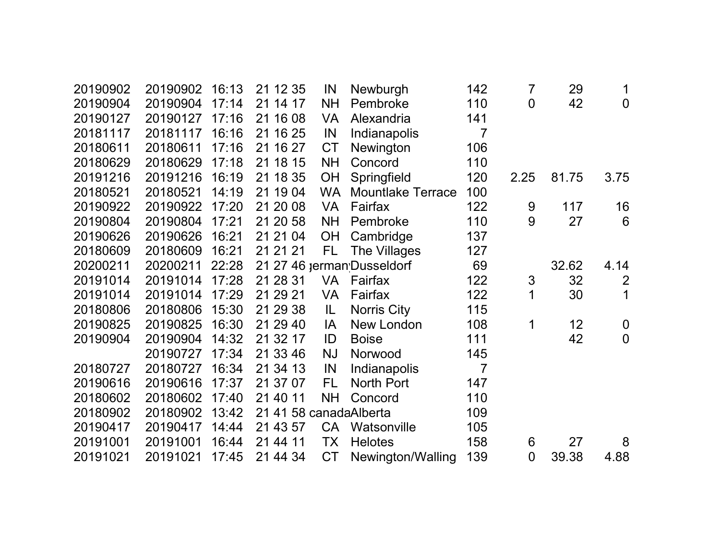| 20190902 | 20190902 | 16:13 | 21 12 35               | IN        | Newburgh                   | 142            | 7              | 29    | 1              |
|----------|----------|-------|------------------------|-----------|----------------------------|----------------|----------------|-------|----------------|
| 20190904 | 20190904 | 17:14 | 21 14 17               | <b>NH</b> | Pembroke                   | 110            | $\overline{0}$ | 42    | $\overline{0}$ |
| 20190127 | 20190127 | 17:16 | 21 16 08               | <b>VA</b> | Alexandria                 | 141            |                |       |                |
| 20181117 | 20181117 | 16:16 | 21 16 25               | IN        | Indianapolis               | 7              |                |       |                |
| 20180611 | 20180611 | 17:16 | 21 16 27               | <b>CT</b> | Newington                  | 106            |                |       |                |
| 20180629 | 20180629 | 17:18 | 21 18 15               | <b>NH</b> | Concord                    | 110            |                |       |                |
| 20191216 | 20191216 | 16:19 | 21 18 35               | OH        | Springfield                | 120            | 2.25           | 81.75 | 3.75           |
| 20180521 | 20180521 | 14:19 | 21 19 04               | <b>WA</b> | <b>Mountlake Terrace</b>   | 100            |                |       |                |
| 20190922 | 20190922 | 17:20 | 21 20 08               | <b>VA</b> | Fairfax                    | 122            | 9              | 117   | 16             |
| 20190804 | 20190804 | 17:21 | 21 20 58               | <b>NH</b> | Pembroke                   | 110            | 9              | 27    | 6              |
| 20190626 | 20190626 | 16:21 | 21 21 04               | <b>OH</b> | Cambridge                  | 137            |                |       |                |
| 20180609 | 20180609 | 16:21 | 21 21 21               | FL.       | The Villages               | 127            |                |       |                |
| 20200211 | 20200211 | 22:28 |                        |           | 21 27 46 jerman Dusseldorf | 69             |                | 32.62 | 4.14           |
| 20191014 | 20191014 | 17:28 | 21 28 31               | VA        | Fairfax                    | 122            | 3              | 32    | $\overline{2}$ |
| 20191014 | 20191014 | 17:29 | 21 29 21               | <b>VA</b> | Fairfax                    | 122            | 1              | 30    | 1              |
| 20180806 | 20180806 | 15:30 | 21 29 38               | IL        | <b>Norris City</b>         | 115            |                |       |                |
| 20190825 | 20190825 | 16:30 | 21 29 40               | IA        | New London                 | 108            | 1              | 12    | $\overline{0}$ |
| 20190904 | 20190904 | 14:32 | 21 32 17               | ID        | <b>Boise</b>               | 111            |                | 42    | $\overline{0}$ |
|          | 20190727 | 17:34 | 21 33 46               | <b>NJ</b> | Norwood                    | 145            |                |       |                |
| 20180727 | 20180727 | 16:34 | 21 34 13               | IN        | Indianapolis               | $\overline{7}$ |                |       |                |
| 20190616 | 20190616 | 17:37 | 21 37 07               | FL        | North Port                 | 147            |                |       |                |
| 20180602 | 20180602 | 17:40 | 21 40 11               | <b>NH</b> | Concord                    | 110            |                |       |                |
| 20180902 | 20180902 | 13:42 | 21 41 58 canadaAlberta |           |                            | 109            |                |       |                |
| 20190417 | 20190417 | 14:44 | 21 43 57               | <b>CA</b> | Watsonville                | 105            |                |       |                |
| 20191001 | 20191001 | 16:44 | 21 44 11               | TX        | <b>Helotes</b>             | 158            | 6              | 27    | 8              |
| 20191021 | 20191021 | 17:45 | 21 44 34               | <b>CT</b> | Newington/Walling          | 139            | $\overline{0}$ | 39.38 | 4.88           |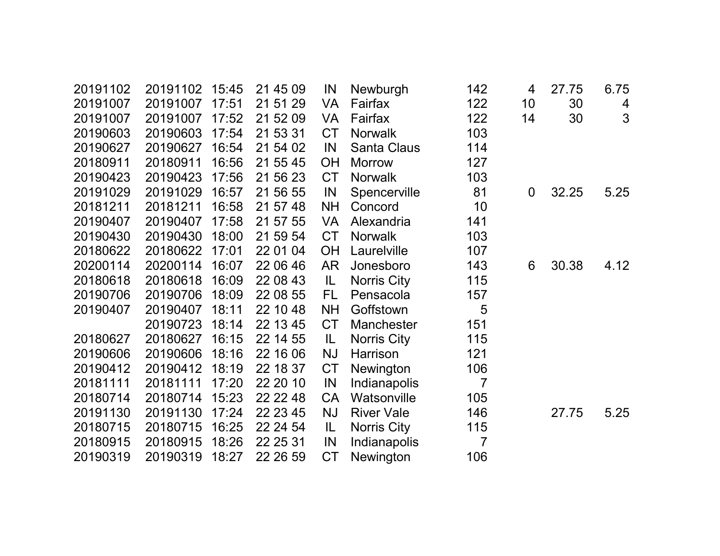| 20191102 | 20191102 | 15:45 | 21 45 09 | IN        | Newburgh           | 142            | 4           | 27.75 | 6.75 |
|----------|----------|-------|----------|-----------|--------------------|----------------|-------------|-------|------|
| 20191007 | 20191007 | 17:51 | 21 51 29 | <b>VA</b> | Fairfax            | 122            | 10          | 30    | 4    |
| 20191007 | 20191007 | 17:52 | 21 52 09 | <b>VA</b> | Fairfax            | 122            | 14          | 30    | 3    |
| 20190603 | 20190603 | 17:54 | 21 53 31 | <b>CT</b> | <b>Norwalk</b>     | 103            |             |       |      |
| 20190627 | 20190627 | 16:54 | 21 54 02 | IN        | <b>Santa Claus</b> | 114            |             |       |      |
| 20180911 | 20180911 | 16:56 | 21 55 45 | OH        | <b>Morrow</b>      | 127            |             |       |      |
| 20190423 | 20190423 | 17:56 | 21 56 23 | <b>CT</b> | <b>Norwalk</b>     | 103            |             |       |      |
| 20191029 | 20191029 | 16:57 | 21 56 55 | IN        | Spencerville       | 81             | $\mathbf 0$ | 32.25 | 5.25 |
| 20181211 | 20181211 | 16:58 | 21 57 48 | <b>NH</b> | Concord            | 10             |             |       |      |
| 20190407 | 20190407 | 17:58 | 21 57 55 | <b>VA</b> | Alexandria         | 141            |             |       |      |
| 20190430 | 20190430 | 18:00 | 21 59 54 | <b>CT</b> | <b>Norwalk</b>     | 103            |             |       |      |
| 20180622 | 20180622 | 17:01 | 22 01 04 | <b>OH</b> | Laurelville        | 107            |             |       |      |
| 20200114 | 20200114 | 16:07 | 22 06 46 | <b>AR</b> | Jonesboro          | 143            | 6           | 30.38 | 4.12 |
| 20180618 | 20180618 | 16:09 | 22 08 43 | IL        | Norris City        | 115            |             |       |      |
| 20190706 | 20190706 | 18:09 | 22 08 55 | <b>FL</b> | Pensacola          | 157            |             |       |      |
| 20190407 | 20190407 | 18:11 | 22 10 48 | <b>NH</b> | Goffstown          | 5              |             |       |      |
|          | 20190723 | 18:14 | 22 13 45 | <b>CT</b> | Manchester         | 151            |             |       |      |
| 20180627 | 20180627 | 16:15 | 22 14 55 | IL        | Norris City        | 115            |             |       |      |
| 20190606 | 20190606 | 18:16 | 22 16 06 | <b>NJ</b> | Harrison           | 121            |             |       |      |
| 20190412 | 20190412 | 18:19 | 22 18 37 | <b>CT</b> | Newington          | 106            |             |       |      |
| 20181111 | 20181111 | 17:20 | 22 20 10 | IN        | Indianapolis       | $\overline{7}$ |             |       |      |
| 20180714 | 20180714 | 15:23 | 22 22 48 | CA        | Watsonville        | 105            |             |       |      |
| 20191130 | 20191130 | 17:24 | 22 23 45 | <b>NJ</b> | <b>River Vale</b>  | 146            |             | 27.75 | 5.25 |
| 20180715 | 20180715 | 16:25 | 22 24 54 | IL        | Norris City        | 115            |             |       |      |
| 20180915 | 20180915 | 18:26 | 22 25 31 | IN        | Indianapolis       | $\overline{7}$ |             |       |      |
| 20190319 | 20190319 | 18:27 | 22 26 59 | <b>CT</b> | Newington          | 106            |             |       |      |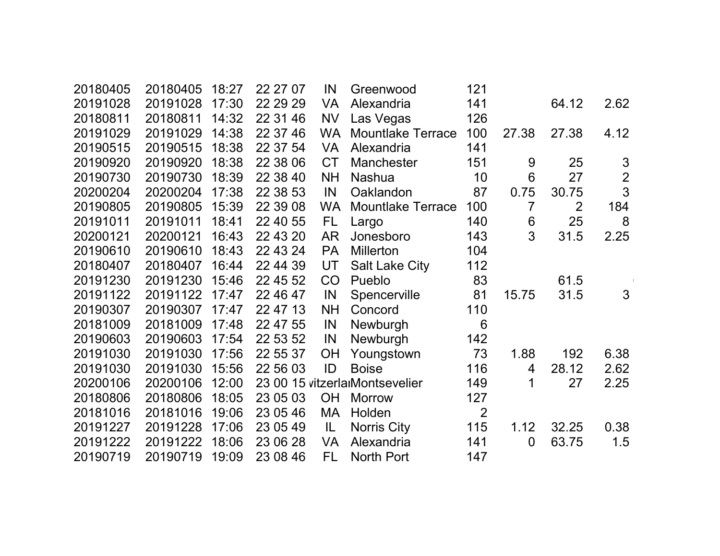| 20180405 | 20180405       | 18:27 | 22 27 07 | IN        | Greenwood                      | 121            |                |       |                |  |
|----------|----------------|-------|----------|-----------|--------------------------------|----------------|----------------|-------|----------------|--|
| 20191028 | 20191028       | 17:30 | 22 29 29 | VA        | Alexandria                     | 141            |                | 64.12 | 2.62           |  |
| 20180811 | 20180811       | 14:32 | 22 31 46 | <b>NV</b> | Las Vegas                      | 126            |                |       |                |  |
| 20191029 | 20191029       | 14:38 | 22 37 46 | <b>WA</b> | <b>Mountlake Terrace</b>       | 100            | 27.38          | 27.38 | 4.12           |  |
| 20190515 | 20190515       | 18:38 | 22 37 54 | VA        | Alexandria                     | 141            |                |       |                |  |
| 20190920 | 20190920       | 18:38 | 22 38 06 | <b>CT</b> | <b>Manchester</b>              | 151            | 9              | 25    | $\mathfrak{S}$ |  |
| 20190730 | 20190730       | 18:39 | 22 38 40 | <b>NH</b> | <b>Nashua</b>                  | 10             | $6\phantom{1}$ | 27    | $\overline{2}$ |  |
| 20200204 | 20200204       | 17:38 | 22 38 53 | IN        | Oaklandon                      | 87             | 0.75           | 30.75 | $\overline{3}$ |  |
| 20190805 | 20190805       | 15:39 | 22 39 08 | <b>WA</b> | <b>Mountlake Terrace</b>       | 100            | $\overline{7}$ | 2     | 184            |  |
| 20191011 | 20191011       | 18:41 | 22 40 55 | FL.       | Largo                          | 140            | $6\phantom{1}$ | 25    | 8              |  |
| 20200121 | 20200121       | 16:43 | 22 43 20 | AR        | Jonesboro                      | 143            | 3              | 31.5  | 2.25           |  |
| 20190610 | 20190610       | 18:43 | 22 43 24 | <b>PA</b> | <b>Millerton</b>               | 104            |                |       |                |  |
| 20180407 | 20180407       | 16:44 | 22 44 39 | UT        | <b>Salt Lake City</b>          | 112            |                |       |                |  |
| 20191230 | 20191230       | 15:46 | 22 45 52 | CO        | Pueblo                         | 83             |                | 61.5  |                |  |
| 20191122 | 20191122 17:47 |       | 22 46 47 | IN        | Spencerville                   | 81             | 15.75          | 31.5  | $\mathfrak{S}$ |  |
| 20190307 | 20190307       | 17:47 | 22 47 13 | <b>NH</b> | Concord                        | 110            |                |       |                |  |
| 20181009 | 20181009       | 17:48 | 22 47 55 | IN        | Newburgh                       | 6              |                |       |                |  |
| 20190603 | 20190603       | 17:54 | 22 53 52 | IN        | Newburgh                       | 142            |                |       |                |  |
| 20191030 | 20191030       | 17:56 | 22 55 37 | <b>OH</b> | Youngstown                     | 73             | 1.88           | 192   | 6.38           |  |
| 20191030 | 20191030       | 15:56 | 22 56 03 | ID        | <b>Boise</b>                   | 116            | 4              | 28.12 | 2.62           |  |
| 20200106 | 20200106       | 12:00 |          |           | 23 00 15 vitzerlarMontsevelier | 149            | 1              | 27    | 2.25           |  |
| 20180806 | 20180806       | 18:05 | 23 05 03 | OH        | <b>Morrow</b>                  | 127            |                |       |                |  |
| 20181016 | 20181016       | 19:06 | 23 05 46 | MA        | Holden                         | $\overline{2}$ |                |       |                |  |
| 20191227 | 20191228       | 17:06 | 23 05 49 | IL        | Norris City                    | 115            | 1.12           | 32.25 | 0.38           |  |
| 20191222 | 20191222       | 18:06 | 23 06 28 | VA        | Alexandria                     | 141            | $\mathbf 0$    | 63.75 | 1.5            |  |
| 20190719 | 20190719       | 19:09 | 23 08 46 | FL.       | North Port                     | 147            |                |       |                |  |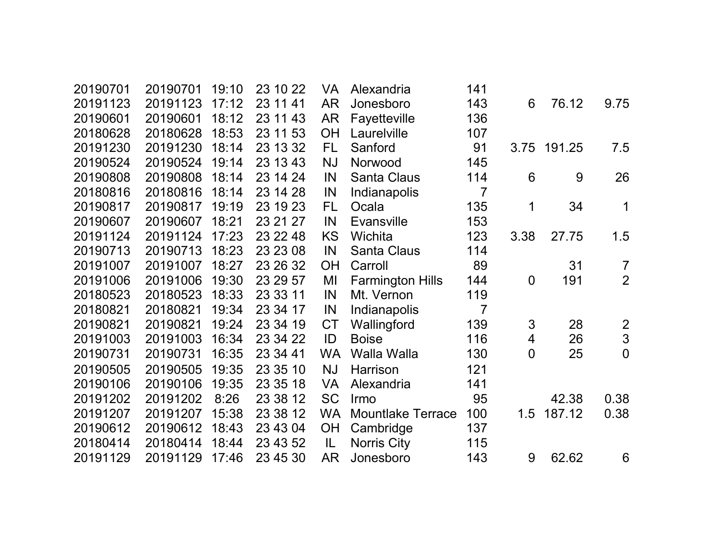| 20190701 | 20190701 | 19:10 | 23 10 22 | <b>VA</b> | Alexandria               | 141            |                          |             |                |
|----------|----------|-------|----------|-----------|--------------------------|----------------|--------------------------|-------------|----------------|
| 20191123 | 20191123 | 17:12 | 23 11 41 | <b>AR</b> | Jonesboro                | 143            | 6                        | 76.12       | 9.75           |
| 20190601 | 20190601 | 18:12 | 23 11 43 | AR        | Fayetteville             | 136            |                          |             |                |
| 20180628 | 20180628 | 18:53 | 23 11 53 | <b>OH</b> | Laurelville              | 107            |                          |             |                |
| 20191230 | 20191230 | 18:14 | 23 13 32 | FL.       | Sanford                  | 91             |                          | 3.75 191.25 | 7.5            |
| 20190524 | 20190524 | 19:14 | 23 13 43 | <b>NJ</b> | Norwood                  | 145            |                          |             |                |
| 20190808 | 20190808 | 18:14 | 23 14 24 | IN        | <b>Santa Claus</b>       | 114            | 6                        | 9           | 26             |
| 20180816 | 20180816 | 18:14 | 23 14 28 | IN        | Indianapolis             | $\overline{7}$ |                          |             |                |
| 20190817 | 20190817 | 19:19 | 23 19 23 | FL        | Ocala                    | 135            | 1                        | 34          | 1              |
| 20190607 | 20190607 | 18:21 | 23 21 27 | IN        | <b>Evansville</b>        | 153            |                          |             |                |
| 20191124 | 20191124 | 17:23 | 23 22 48 | <b>KS</b> | Wichita                  | 123            | 3.38                     | 27.75       | 1.5            |
| 20190713 | 20190713 | 18:23 | 23 23 08 | IN        | <b>Santa Claus</b>       | 114            |                          |             |                |
| 20191007 | 20191007 | 18:27 | 23 26 32 | <b>OH</b> | Carroll                  | 89             |                          | 31          | $\overline{7}$ |
| 20191006 | 20191006 | 19:30 | 23 29 57 | MI        | <b>Farmington Hills</b>  | 144            | $\mathbf 0$              | 191         | $\overline{2}$ |
| 20180523 | 20180523 | 18:33 | 23 33 11 | IN        | Mt. Vernon               | 119            |                          |             |                |
| 20180821 | 20180821 | 19:34 | 23 34 17 | IN        | Indianapolis             | $\overline{7}$ |                          |             |                |
| 20190821 | 20190821 | 19:24 | 23 34 19 | <b>CT</b> | Wallingford              | 139            | 3                        | 28          | $\frac{2}{3}$  |
| 20191003 | 20191003 | 16:34 | 23 34 22 | ID        | <b>Boise</b>             | 116            | $\overline{\mathcal{A}}$ | 26          |                |
| 20190731 | 20190731 | 16:35 | 23 34 41 | <b>WA</b> | Walla Walla              | 130            | $\mathbf 0$              | 25          | $\overline{0}$ |
| 20190505 | 20190505 | 19:35 | 23 35 10 | <b>NJ</b> | Harrison                 | 121            |                          |             |                |
| 20190106 | 20190106 | 19:35 | 23 35 18 | <b>VA</b> | Alexandria               | 141            |                          |             |                |
| 20191202 | 20191202 | 8:26  | 23 38 12 | <b>SC</b> | Irmo                     | 95             |                          | 42.38       | 0.38           |
| 20191207 | 20191207 | 15:38 | 23 38 12 | <b>WA</b> | <b>Mountlake Terrace</b> | 100            | 1.5                      | 187.12      | 0.38           |
| 20190612 | 20190612 | 18:43 | 23 43 04 | <b>OH</b> | Cambridge                | 137            |                          |             |                |
| 20180414 | 20180414 | 18:44 | 23 43 52 | IL        | <b>Norris City</b>       | 115            |                          |             |                |
| 20191129 | 20191129 | 17:46 | 23 45 30 | AR.       | Jonesboro                | 143            | 9                        | 62.62       | 6              |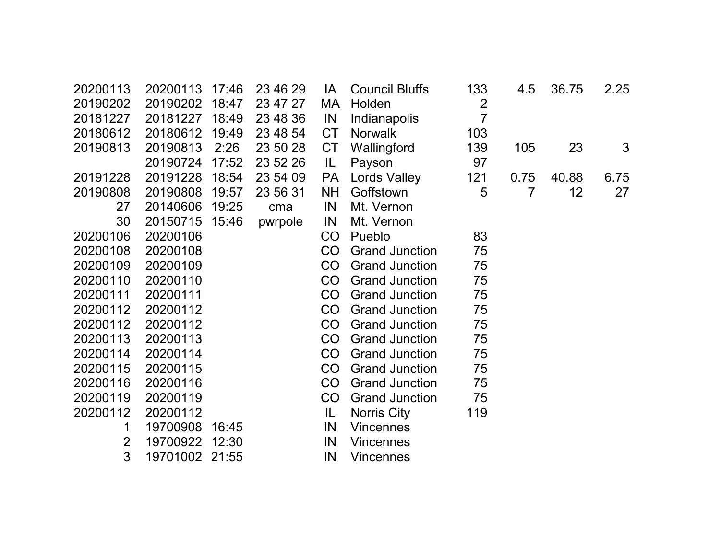| 20200113       | 20200113 | 17:46 | 23 46 29 | IA        | <b>Council Bluffs</b> | 133            | 4.5  | 36.75 | 2.25 |
|----------------|----------|-------|----------|-----------|-----------------------|----------------|------|-------|------|
| 20190202       | 20190202 | 18:47 | 23 47 27 | MA        | Holden                | $\overline{2}$ |      |       |      |
| 20181227       | 20181227 | 18:49 | 23 48 36 | IN        | Indianapolis          | $\overline{7}$ |      |       |      |
| 20180612       | 20180612 | 19:49 | 23 48 54 | <b>CT</b> | <b>Norwalk</b>        | 103            |      |       |      |
| 20190813       | 20190813 | 2:26  | 23 50 28 | <b>CT</b> | Wallingford           | 139            | 105  | 23    | 3    |
|                | 20190724 | 17:52 | 23 52 26 | IL        | Payson                | 97             |      |       |      |
| 20191228       | 20191228 | 18:54 | 23 54 09 | <b>PA</b> | Lords Valley          | 121            | 0.75 | 40.88 | 6.75 |
| 20190808       | 20190808 | 19:57 | 23 56 31 | <b>NH</b> | Goffstown             | 5              | 7    | 12    | 27   |
| 27             | 20140606 | 19:25 | cma      | IN        | Mt. Vernon            |                |      |       |      |
| 30             | 20150715 | 15:46 | pwrpole  | IN        | Mt. Vernon            |                |      |       |      |
| 20200106       | 20200106 |       |          | CO        | Pueblo                | 83             |      |       |      |
| 20200108       | 20200108 |       |          | CO        | <b>Grand Junction</b> | 75             |      |       |      |
| 20200109       | 20200109 |       |          | CO        | <b>Grand Junction</b> | 75             |      |       |      |
| 20200110       | 20200110 |       |          | <b>CO</b> | <b>Grand Junction</b> | 75             |      |       |      |
| 20200111       | 20200111 |       |          | CO        | <b>Grand Junction</b> | 75             |      |       |      |
| 20200112       | 20200112 |       |          | CO        | <b>Grand Junction</b> | 75             |      |       |      |
| 20200112       | 20200112 |       |          | CO        | <b>Grand Junction</b> | 75             |      |       |      |
| 20200113       | 20200113 |       |          | CO        | <b>Grand Junction</b> | 75             |      |       |      |
| 20200114       | 20200114 |       |          | CO        | <b>Grand Junction</b> | 75             |      |       |      |
| 20200115       | 20200115 |       |          | CO        | <b>Grand Junction</b> | 75             |      |       |      |
| 20200116       | 20200116 |       |          | CO        | <b>Grand Junction</b> | 75             |      |       |      |
| 20200119       | 20200119 |       |          | CO        | <b>Grand Junction</b> | 75             |      |       |      |
| 20200112       | 20200112 |       |          | IL.       | Norris City           | 119            |      |       |      |
| 1              | 19700908 | 16:45 |          | IN        | <b>Vincennes</b>      |                |      |       |      |
| $\overline{2}$ | 19700922 | 12:30 |          | IN        | Vincennes             |                |      |       |      |
| 3              | 19701002 | 21:55 |          | IN        | <b>Vincennes</b>      |                |      |       |      |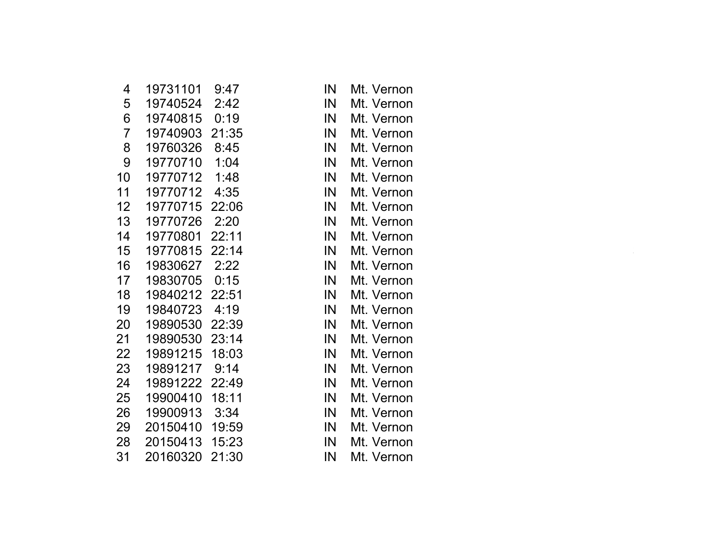| 4                | 19731101       | 9:47  | IN | Mt. Vernon |  |
|------------------|----------------|-------|----|------------|--|
| 5                | 19740524       | 2:42  | IN | Mt. Vernon |  |
| 6                | 19740815       | 0:19  | IN | Mt. Vernon |  |
| $\overline{7}$   | 19740903       | 21:35 | IN | Mt. Vernon |  |
| 8                | 19760326       | 8:45  | IN | Mt. Vernon |  |
| 9                | 19770710       | 1:04  | IN | Mt. Vernon |  |
| 10               | 19770712       | 1:48  | IN | Mt. Vernon |  |
| 11               | 19770712       | 4:35  | IN | Mt. Vernon |  |
| 12 <sub>2</sub>  | 19770715       | 22:06 | IN | Mt. Vernon |  |
| 13 <sup>°</sup>  | 19770726       | 2:20  | IN | Mt. Vernon |  |
| 14               | 19770801       | 22:11 | IN | Mt. Vernon |  |
| 15 <sub>15</sub> | 19770815       | 22:14 | IN | Mt. Vernon |  |
| 16               | 19830627       | 2:22  | IN | Mt. Vernon |  |
| 17               | 19830705       | 0:15  | IN | Mt. Vernon |  |
| 18               | 19840212 22:51 |       | IN | Mt. Vernon |  |
| 19               | 19840723       | 4:19  | IN | Mt. Vernon |  |
| 20               | 19890530 22:39 |       | IN | Mt. Vernon |  |
| 21               | 19890530 23:14 |       | IN | Mt. Vernon |  |
| 22               | 19891215       | 18:03 | IN | Mt. Vernon |  |
| 23               | 19891217       | 9:14  | IN | Mt. Vernon |  |
| 24               | 19891222 22:49 |       | IN | Mt. Vernon |  |
| 25               | 19900410       | 18:11 | IN | Mt. Vernon |  |
| 26               | 19900913       | 3:34  | IN | Mt. Vernon |  |
| 29               | 20150410       | 19:59 | IN | Mt. Vernon |  |
| 28               | 20150413       | 15:23 | IN | Mt. Vernon |  |
| 31               | 20160320       | 21:30 | IN | Mt. Vernon |  |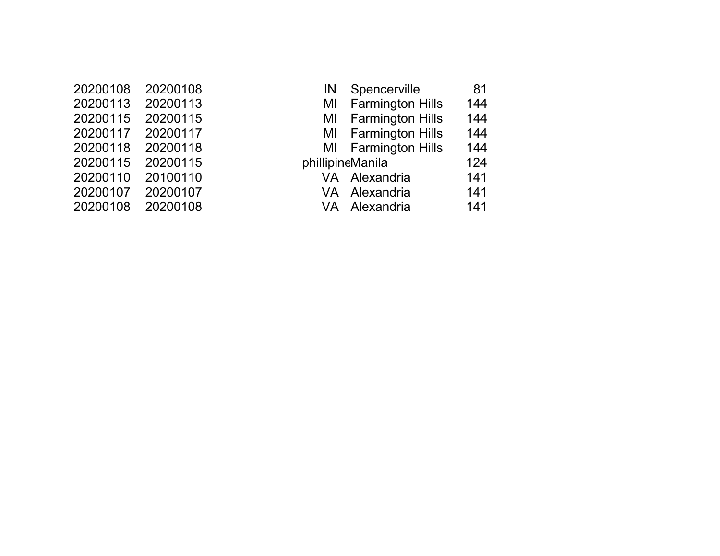| 20200108 | 20200108 |
|----------|----------|
| 20200113 | 20200113 |
| 20200115 | 20200115 |
| 20200117 | 20200117 |
| 20200118 | 20200118 |
| 20200115 | 20200115 |
| 20200110 | 20100110 |
| 20200107 | 20200107 |
| 20200108 | 20200108 |

| 20200108<br>20200108<br>Spencerville<br>81<br>IN             |  |
|--------------------------------------------------------------|--|
|                                                              |  |
| 20200113<br><b>Farmington Hills</b><br>20200113<br>144<br>MI |  |
| 20200115<br>MI Farmington Hills<br>144<br>20200115           |  |
| 144<br>MI Farmington Hills<br>20200117<br>20200117           |  |
| 144<br>MI Farmington Hills<br>20200118<br>20200118           |  |
| 20200115<br>phillipineManila<br>20200115<br>124              |  |
| 20100110<br>20200110<br>VA Alexandria<br>141                 |  |
| 20200107<br>20200107<br>141<br>VA Alexandria                 |  |
| 20200108<br>20200108<br>141<br>VA Alexandria                 |  |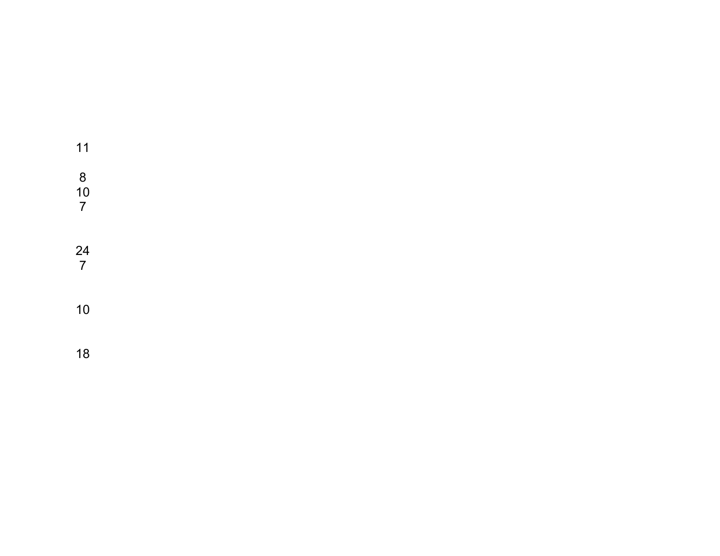| 11                                          |  |  |  |
|---------------------------------------------|--|--|--|
| $\begin{array}{c} 8 \\ 10 \\ 7 \end{array}$ |  |  |  |
| $\frac{24}{7}$                              |  |  |  |
| 10                                          |  |  |  |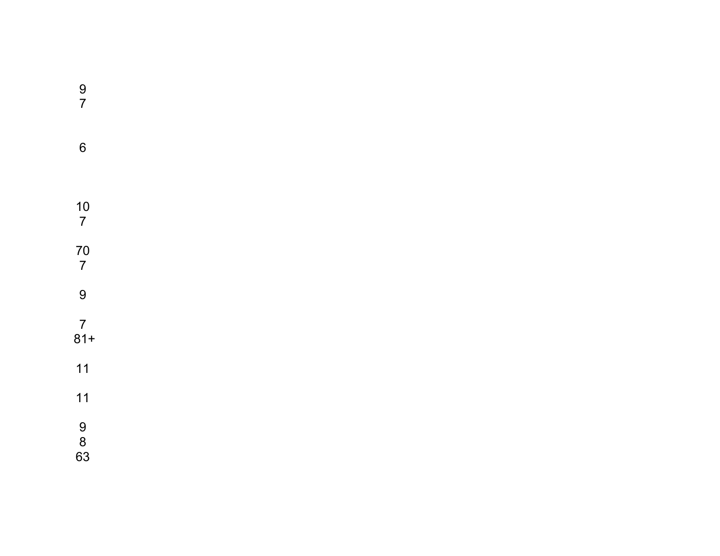| $\frac{9}{7}$                               |  |  |  |
|---------------------------------------------|--|--|--|
| $\boldsymbol{6}$                            |  |  |  |
| $\frac{10}{7}$                              |  |  |  |
| 70<br>7                                     |  |  |  |
| 9                                           |  |  |  |
| $\frac{7}{81+}$                             |  |  |  |
| $11$                                        |  |  |  |
| $11$                                        |  |  |  |
| $\begin{array}{c} 9 \\ 8 \\ 63 \end{array}$ |  |  |  |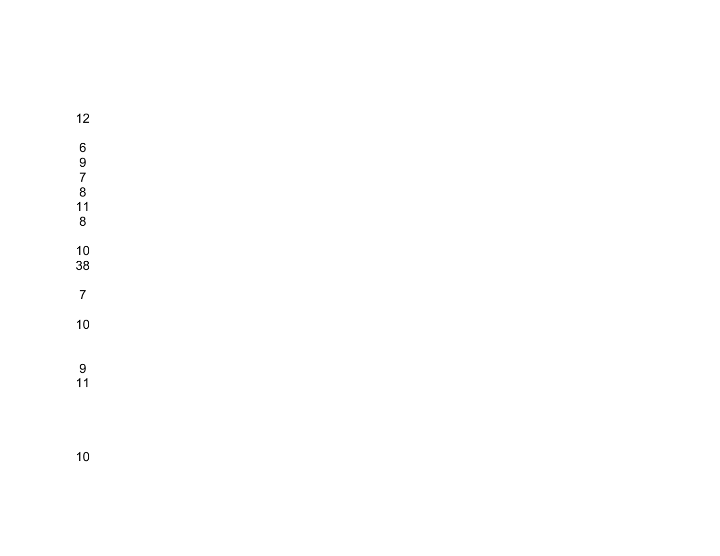| 12                                                                        |  |  |  |
|---------------------------------------------------------------------------|--|--|--|
| $\begin{array}{c} 6 \\ 9 \end{array}$<br>$\overline{7}$<br>8<br>$11$<br>8 |  |  |  |
| 10<br>38                                                                  |  |  |  |
| $\overline{7}$                                                            |  |  |  |
| 10                                                                        |  |  |  |
| $\overline{9}$<br>11                                                      |  |  |  |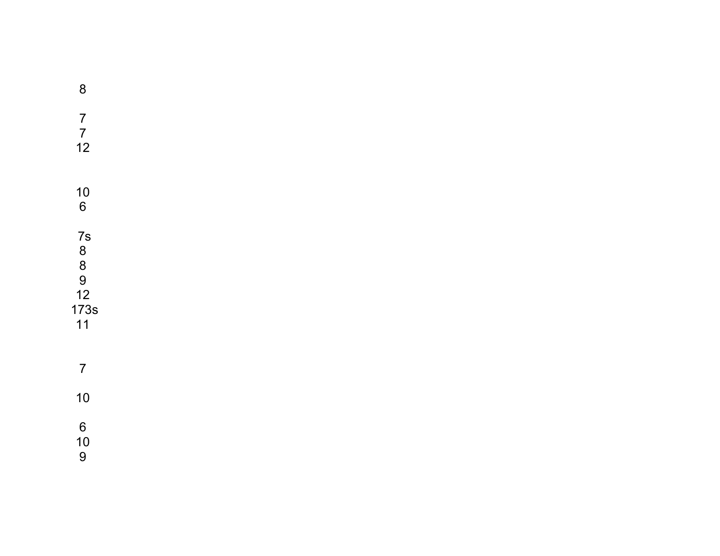| $\bf 8$                                     |  |  |  |
|---------------------------------------------|--|--|--|
| $\begin{array}{c} 7 \\ 7 \\ 12 \end{array}$ |  |  |  |
| $\begin{array}{c} 10 \\ 6 \end{array}$      |  |  |  |
| 7s<br>8<br>8<br>9<br>12<br>173s<br>11       |  |  |  |
| $\overline{7}$                              |  |  |  |
| 10                                          |  |  |  |
| $\boldsymbol{6}$<br>$\frac{10}{9}$          |  |  |  |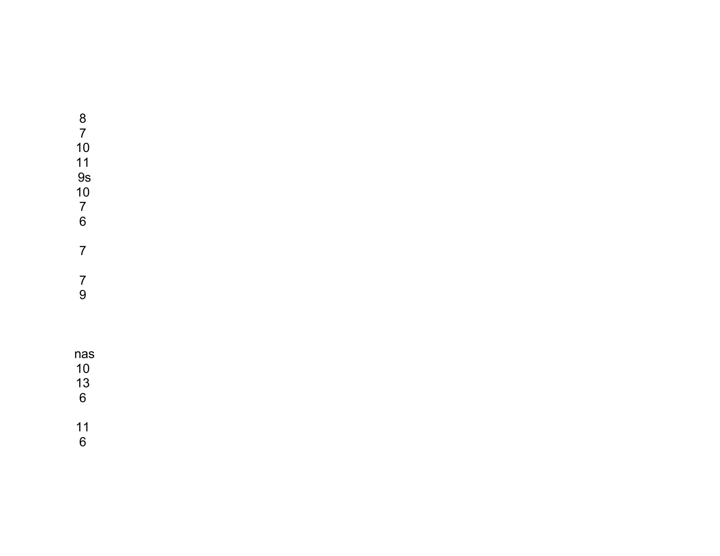## 9s

 

## nas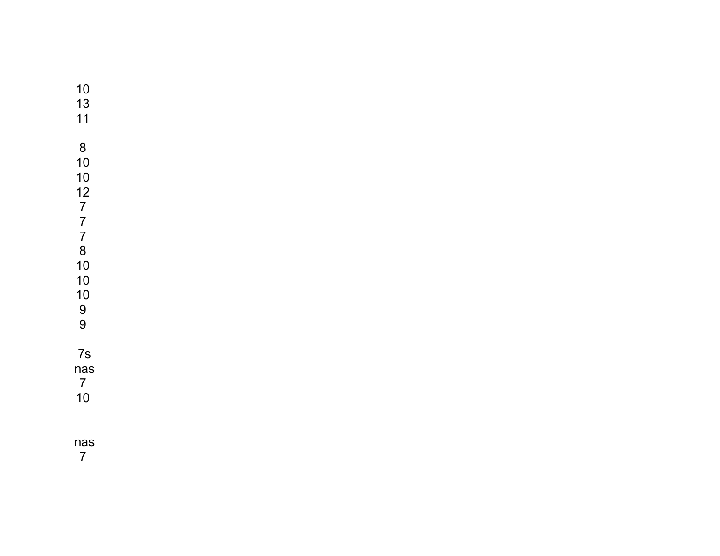## nas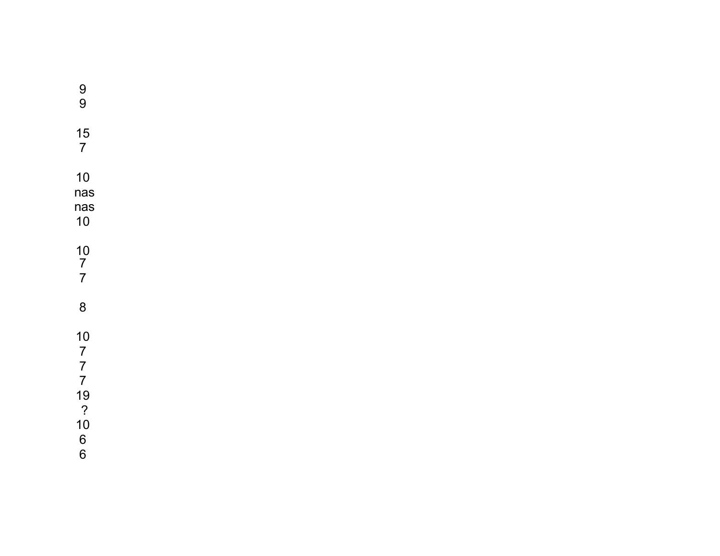| $\begin{array}{c} 9 \\ 9 \end{array}$                                                                        |  |  |  |
|--------------------------------------------------------------------------------------------------------------|--|--|--|
| 15<br>$\overline{7}$                                                                                         |  |  |  |
| 10<br>nas<br>nas<br>10                                                                                       |  |  |  |
| $\begin{array}{c} 10 \\ 7 \\ 7 \end{array}$                                                                  |  |  |  |
| 8                                                                                                            |  |  |  |
| 10<br>$77$<br>$7$<br>$19$<br>$\begin{array}{c} 2 \\ 10 \end{array}$<br>$\begin{array}{c} 6 \\ 6 \end{array}$ |  |  |  |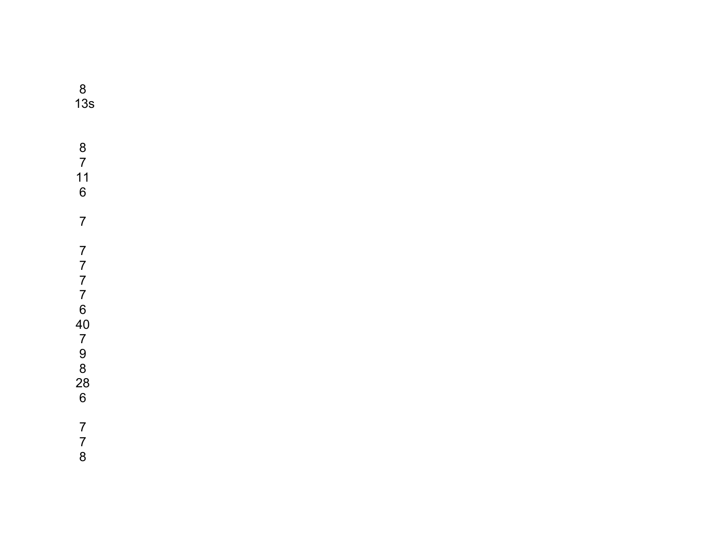13s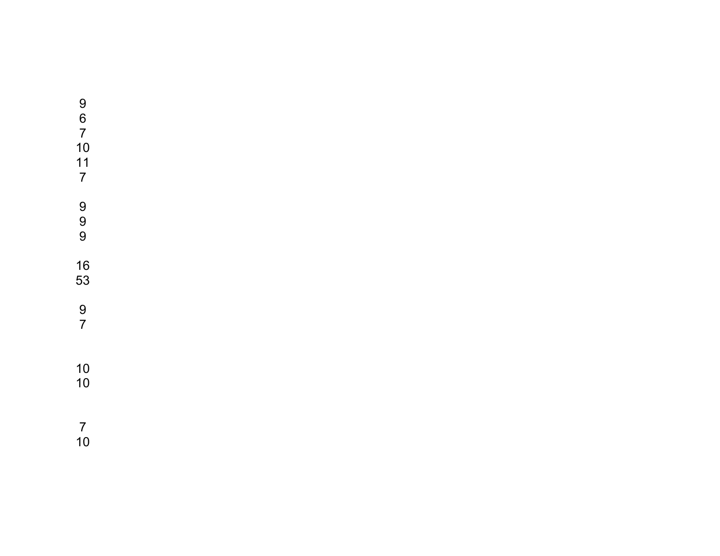| 9<br>6<br>$\overline{7}$<br>10<br>11<br>$\overline{7}$ |  |
|--------------------------------------------------------|--|
| 9<br>9<br>9                                            |  |
| 16<br>53                                               |  |
| 9<br>7                                                 |  |
| 10<br>10                                               |  |
| 7                                                      |  |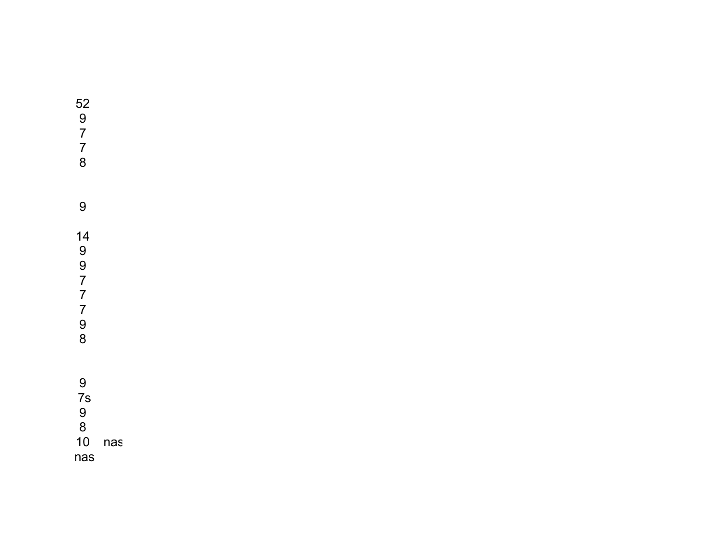| 52<br>9<br>7<br>7<br>8    |     |
|---------------------------|-----|
| 9                         |     |
| 14<br>9<br>9777<br>9<br>8 |     |
| 9<br>7s<br>9<br>8<br>10   | nas |
| nas                       |     |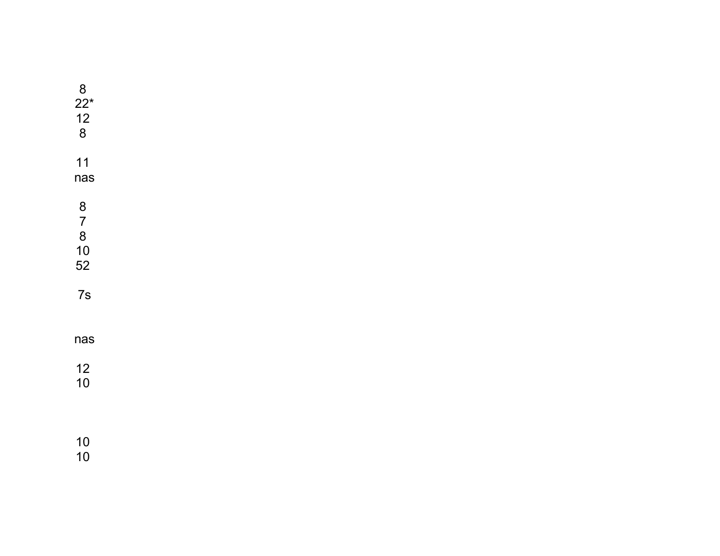| $8$<br>22*<br>12<br>8                   |  |  |  |
|-----------------------------------------|--|--|--|
| $11$<br>nas                             |  |  |  |
| 8<br>7<br>8<br>10<br>52                 |  |  |  |
| 7s                                      |  |  |  |
| nas                                     |  |  |  |
| $\begin{array}{c} 12 \\ 10 \end{array}$ |  |  |  |
| $\begin{array}{c} 10 \\ 10 \end{array}$ |  |  |  |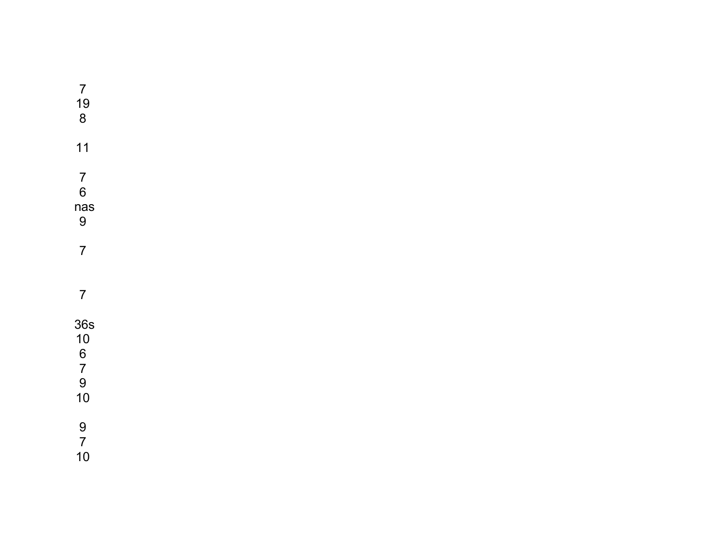| $\overline{7}$<br>$\frac{19}{8}$                  |  |  |  |  |
|---------------------------------------------------|--|--|--|--|
| 11                                                |  |  |  |  |
| $\begin{array}{c} 7 \\ 6 \end{array}$<br>nas<br>9 |  |  |  |  |
| $\overline{7}$                                    |  |  |  |  |
| $\overline{7}$                                    |  |  |  |  |
| 36s<br>$10$<br>6<br>7<br>9<br>10<br>10            |  |  |  |  |
| $\frac{9}{7}$<br>10                               |  |  |  |  |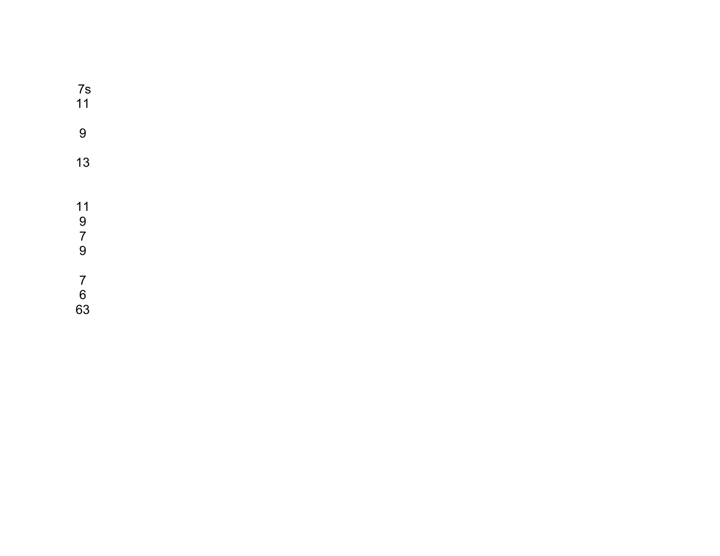| 7s<br>11                                         |  |  |  |
|--------------------------------------------------|--|--|--|
| $9$                                              |  |  |  |
| 13                                               |  |  |  |
| $\begin{array}{c} 11 \\ 9 \\ 7 \\ 9 \end{array}$ |  |  |  |
| $\begin{array}{c} 7 \\ 6 \\ 63 \end{array}$      |  |  |  |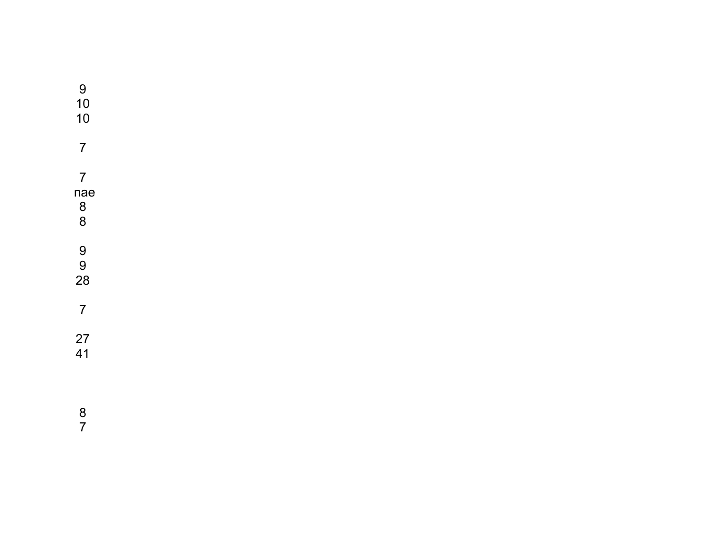| 9<br>10<br>10                                                  |  |  |
|----------------------------------------------------------------|--|--|
| $\overline{7}$                                                 |  |  |
| $\overline{7}$<br>nae<br>$\begin{array}{c} 8 \\ 8 \end{array}$ |  |  |
| $\begin{array}{c} 9 \\ 9 \end{array}$<br>28                    |  |  |
| $\overline{7}$                                                 |  |  |
| 27<br>41                                                       |  |  |
| 8                                                              |  |  |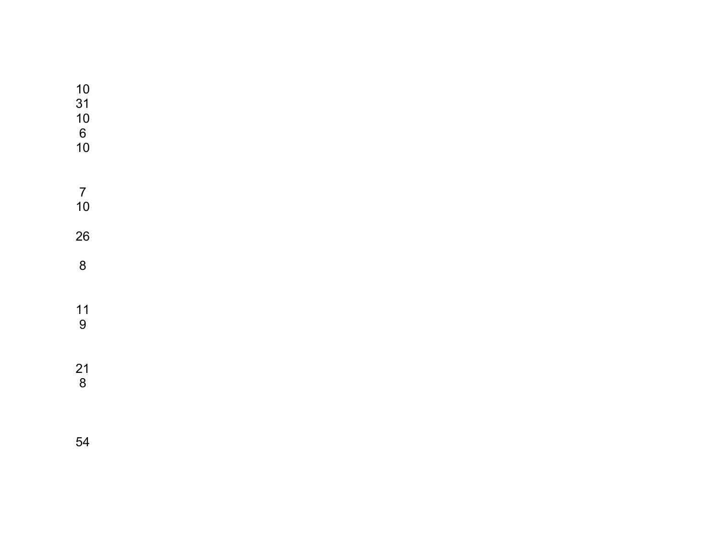| $10$<br>31<br>$\begin{array}{c} 10 \\ 6 \\ 10 \end{array}$ |  |  |  |
|------------------------------------------------------------|--|--|--|
|                                                            |  |  |  |
| $\frac{7}{10}$                                             |  |  |  |
| 26                                                         |  |  |  |
| $\bf 8$                                                    |  |  |  |
|                                                            |  |  |  |
| $\frac{11}{9}$                                             |  |  |  |
|                                                            |  |  |  |
|                                                            |  |  |  |
| $\frac{21}{8}$                                             |  |  |  |
|                                                            |  |  |  |
|                                                            |  |  |  |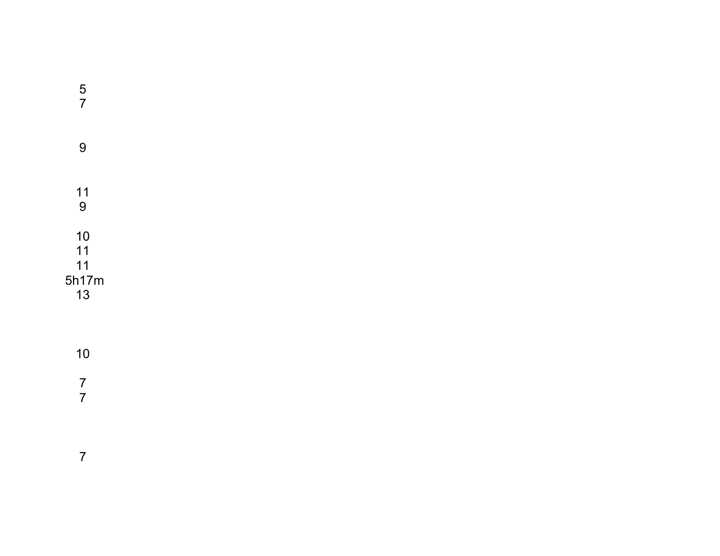| $\frac{5}{7}$                 |  |  |  |
|-------------------------------|--|--|--|
| $\overline{9}$                |  |  |  |
| $11$<br>9                     |  |  |  |
| 10<br>11<br>11<br>5h17m<br>13 |  |  |  |
| 10                            |  |  |  |
| $\overline{7}$                |  |  |  |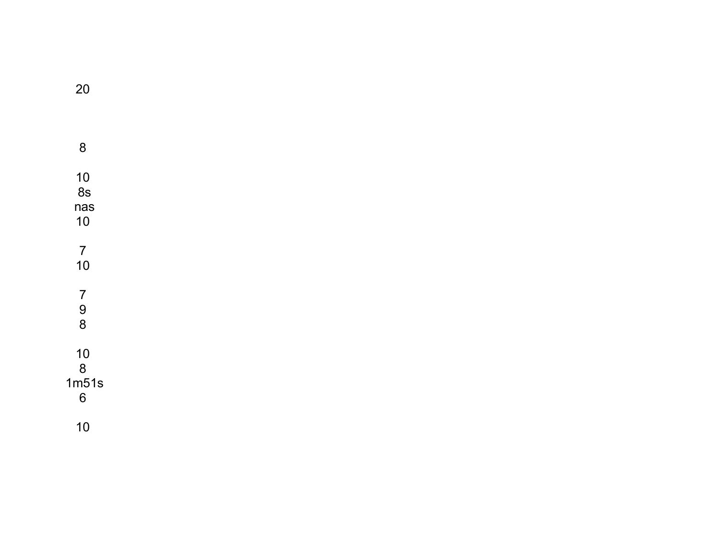$\boldsymbol{8}$  $\frac{10}{8s}$  $nas$  $10$  $\begin{array}{c} 7 \\ 10 \end{array}$  $\begin{array}{c} 7 \\ 9 \\ 8 \end{array}$  $\begin{array}{c} 10 \\ 8 \\ 1 \text{m} 51 \text{s} \\ 6 \end{array}$  $10$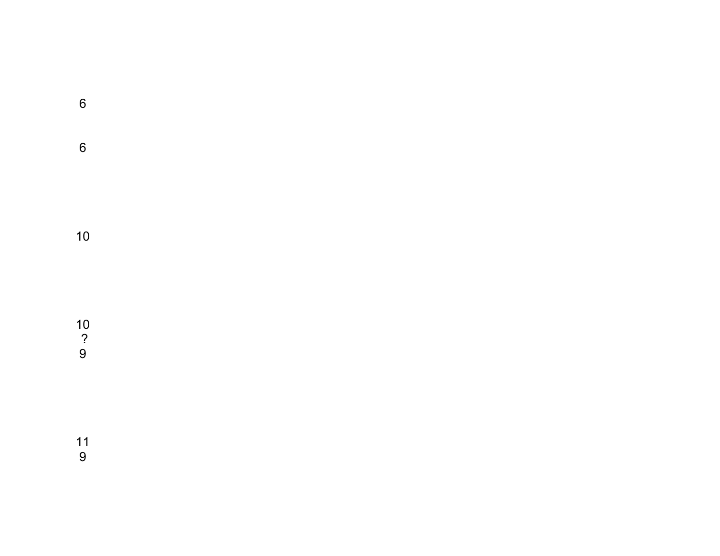10 ?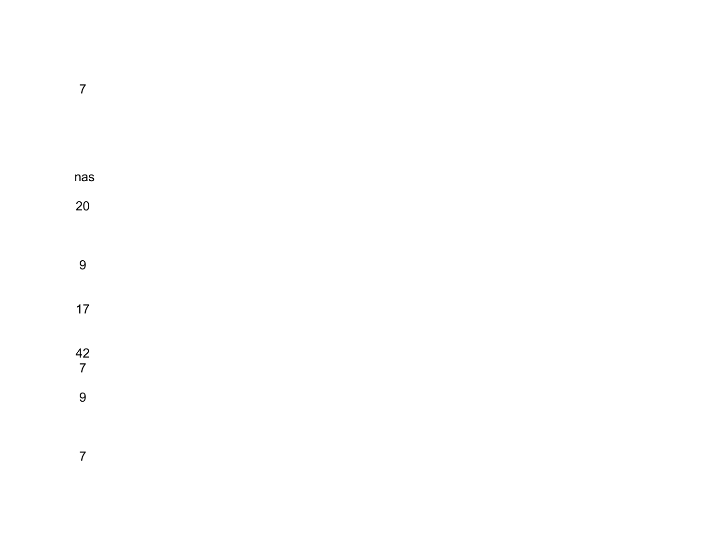| nas            |  |  |  |
|----------------|--|--|--|
| 20             |  |  |  |
|                |  |  |  |
|                |  |  |  |
| 9              |  |  |  |
| $17$           |  |  |  |
|                |  |  |  |
|                |  |  |  |
| $\frac{42}{7}$ |  |  |  |
| $\overline{9}$ |  |  |  |
|                |  |  |  |
|                |  |  |  |
| $\overline{7}$ |  |  |  |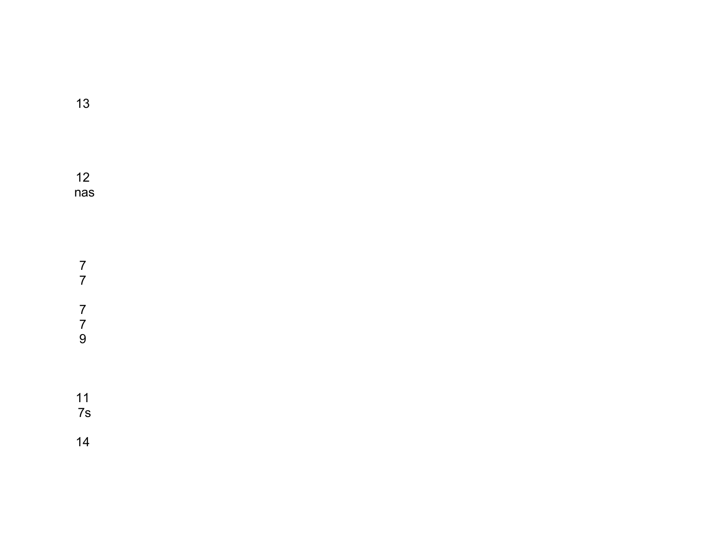nas 7s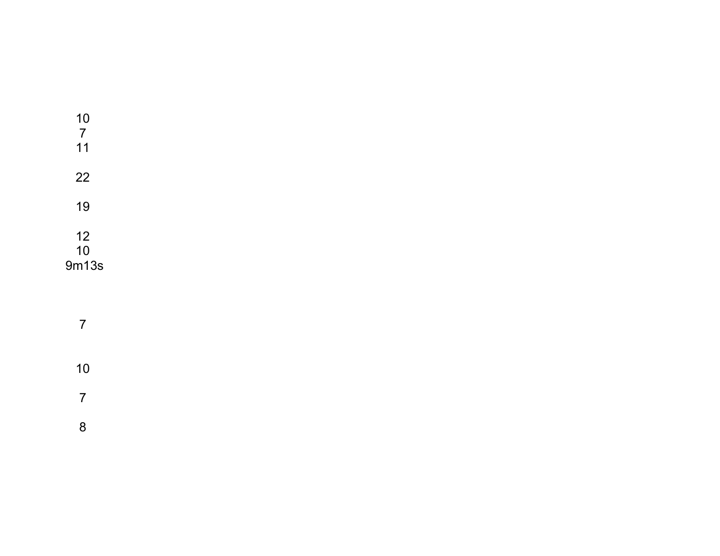| 10<br>$\overline{7}$ |  |  |  |
|----------------------|--|--|--|
| 11                   |  |  |  |
| 22<br>19             |  |  |  |
| 12                   |  |  |  |
| 10                   |  |  |  |
| 9m13s                |  |  |  |

 $\overline{7}$  $10$  $\overline{7}$  $\boldsymbol{8}$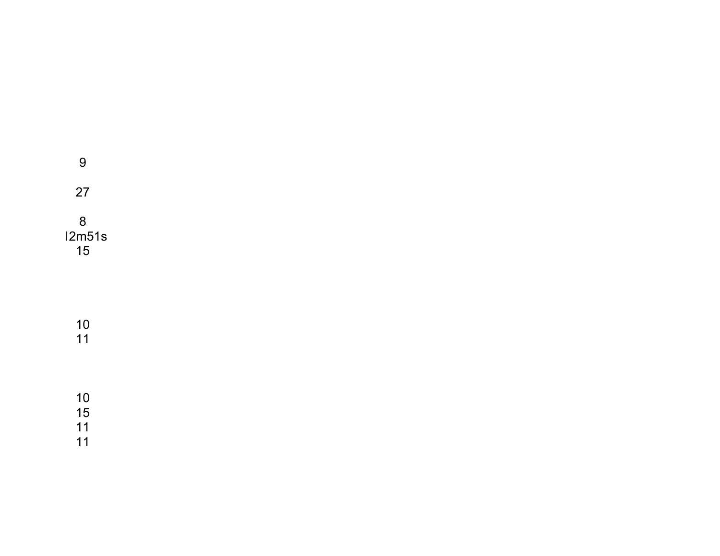| 9                    |  |  |
|----------------------|--|--|
| 27                   |  |  |
| 8<br>12m51s<br>15    |  |  |
|                      |  |  |
| 10<br>11             |  |  |
| 10<br>15<br>11<br>11 |  |  |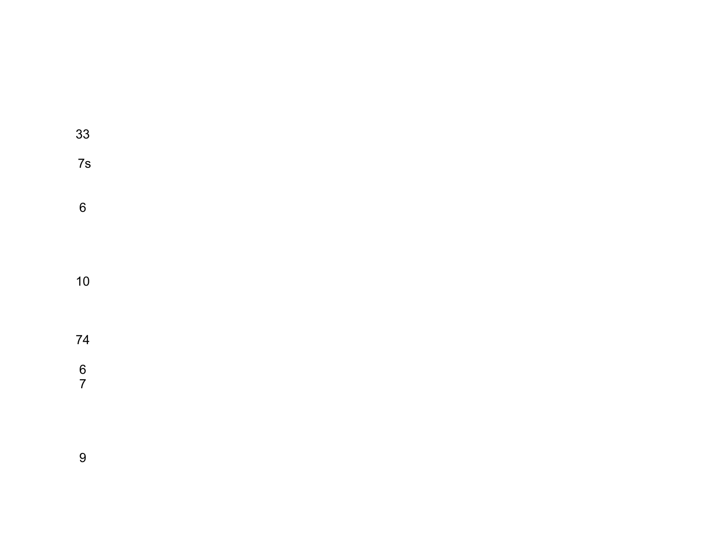| 33                                    |  |  |  |  |
|---------------------------------------|--|--|--|--|
| 7s                                    |  |  |  |  |
| $6\phantom{a}$                        |  |  |  |  |
| $10$                                  |  |  |  |  |
| 74                                    |  |  |  |  |
| $\begin{array}{c} 6 \\ 7 \end{array}$ |  |  |  |  |
|                                       |  |  |  |  |
| $\boldsymbol{9}$                      |  |  |  |  |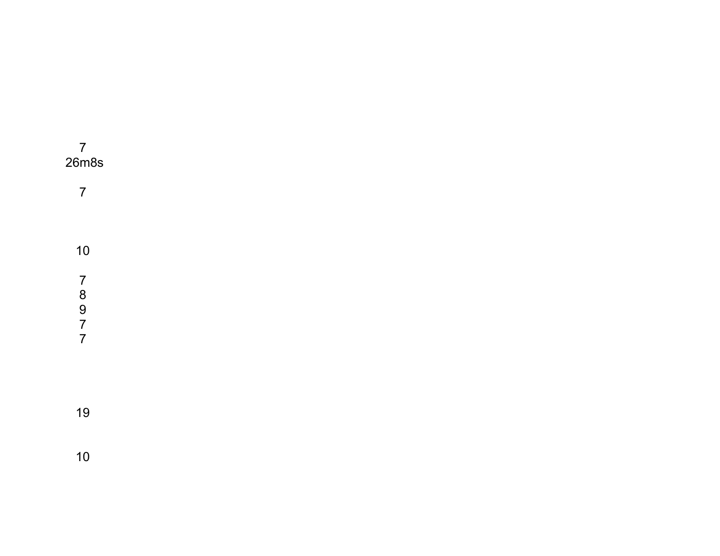| $\overline{7}$<br>26m8s            |  |  |  |
|------------------------------------|--|--|--|
| $\overline{7}$                     |  |  |  |
|                                    |  |  |  |
| 10                                 |  |  |  |
| $\overline{7}$<br>8<br>9<br>7<br>7 |  |  |  |
| 19                                 |  |  |  |
| $10$                               |  |  |  |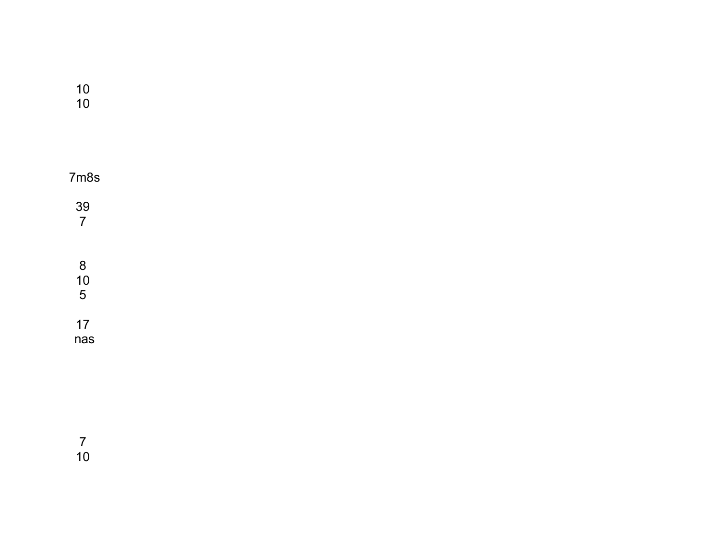| 10 |  |
|----|--|
| 10 |  |

| 7m8s                 |  |  |
|----------------------|--|--|
| 39<br>$\overline{7}$ |  |  |
| 8<br>10<br>5         |  |  |
| 17<br>nas            |  |  |

 $\begin{array}{c} 7 \\ 10 \end{array}$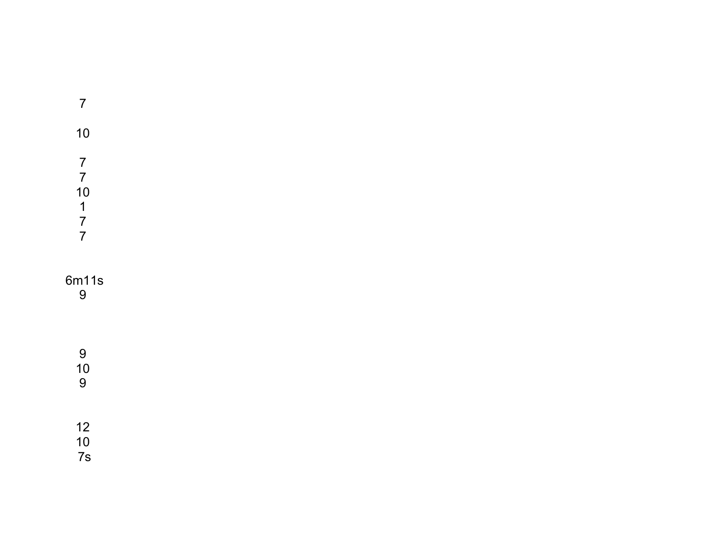| $\overline{7}$                                                                            |  |  |  |
|-------------------------------------------------------------------------------------------|--|--|--|
| 10                                                                                        |  |  |  |
| $\begin{array}{c} 7 \\ 7 \\ 10 \end{array}$<br>$\begin{array}{c} 1 \\ 7 \\ 7 \end{array}$ |  |  |  |
| 6m11s<br>9                                                                                |  |  |  |
| $\overline{9}$<br>$\frac{10}{9}$                                                          |  |  |  |
| $\begin{array}{c} 12 \\ 10 \end{array}$<br>7s                                             |  |  |  |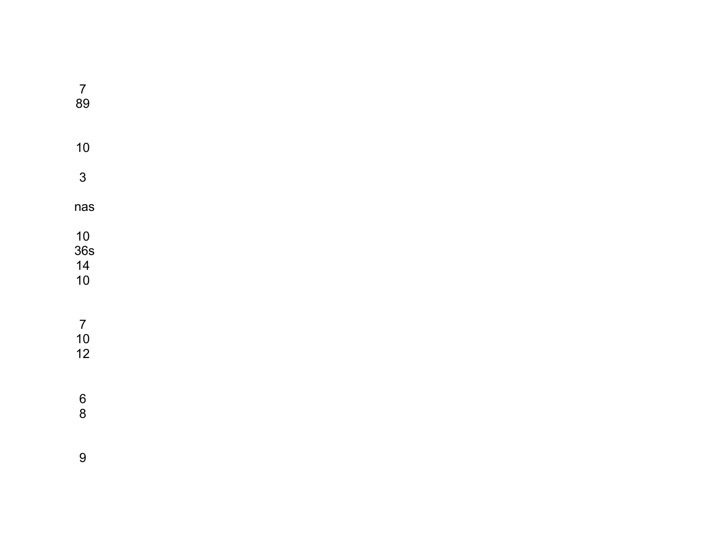| $\overline{7}$<br>89                         |  |  |  |
|----------------------------------------------|--|--|--|
| 10                                           |  |  |  |
| $\mathbf{3}$                                 |  |  |  |
| nas                                          |  |  |  |
| $\frac{10}{36}$ s<br>$\frac{14}{10}$         |  |  |  |
| $\begin{array}{c} 7 \\ 10 \\ 12 \end{array}$ |  |  |  |
| $\begin{array}{c} 6 \\ 8 \end{array}$        |  |  |  |
| $\boldsymbol{9}$                             |  |  |  |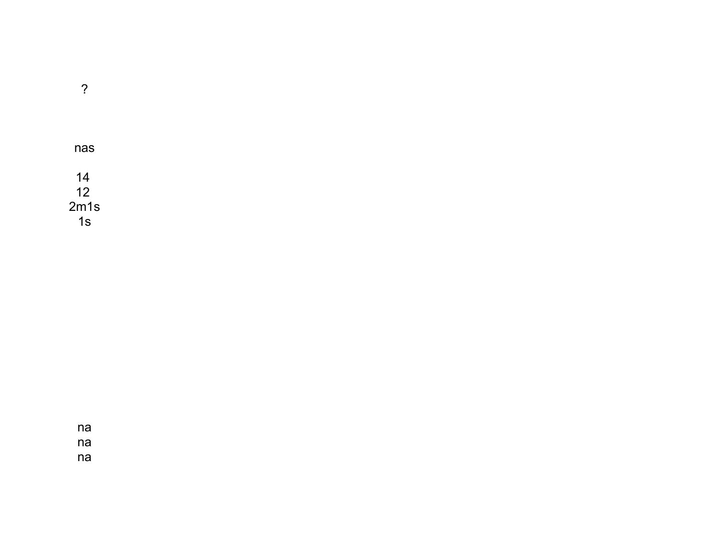nas  $14$  $12$  $2m1s$  $1s$ 

 $\ddot{?}$ 

 $na$  $na$ 

 $na$